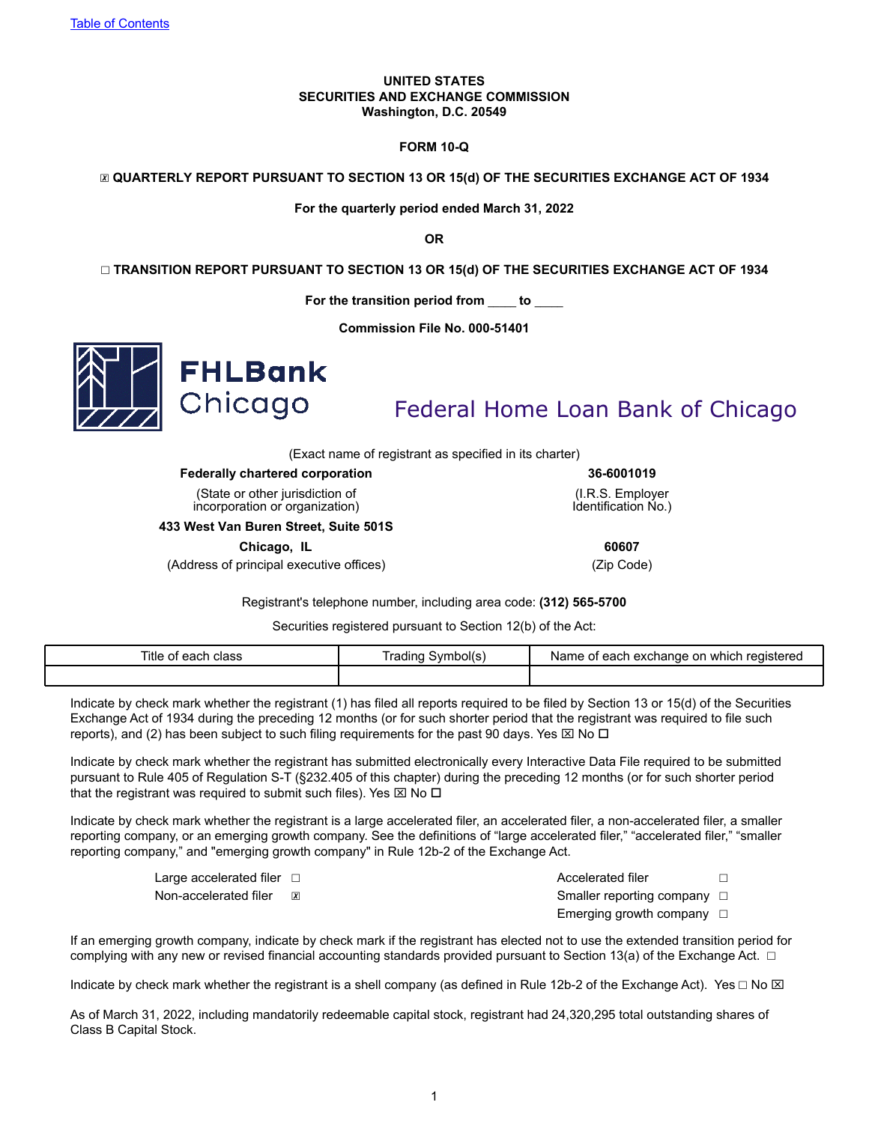#### **UNITED STATES SECURITIES AND EXCHANGE COMMISSION Washington, D.C. 20549**

### **FORM 10-Q**

☒ **QUARTERLY REPORT PURSUANT TO SECTION 13 OR 15(d) OF THE SECURITIES EXCHANGE ACT OF 1934**

**For the quarterly period ended March 31, 2022**

**OR**

☐ **TRANSITION REPORT PURSUANT TO SECTION 13 OR 15(d) OF THE SECURITIES EXCHANGE ACT OF 1934**

**For the transition period from \_\_\_\_\_ to \_\_\_\_\_**

**Commission File No. 000-51401**



Federal Home Loan Bank of Chicago

(Exact name of registrant as specified in its charter)

**Federally chartered corporation 36-6001019**

(State or other jurisdiction of incorporation or organization)

**433 West Van Buren Street, Suite 501S**

**Chicago, IL 60607**

(Address of principal executive offices) (Zip Code)

(I.R.S. Employer Identification No.)

Registrant's telephone number, including area code: **(312) 565-5700**

Securities registered pursuant to Section 12(b) of the Act:

| Title<br>। class<br>of each | Symbol(s)<br>rading | Name of<br>າ exchanɑe on<br>ı reaistered<br>⊧ which<br>∶each |
|-----------------------------|---------------------|--------------------------------------------------------------|
|                             |                     |                                                              |

Indicate by check mark whether the registrant (1) has filed all reports required to be filed by Section 13 or 15(d) of the Securities Exchange Act of 1934 during the preceding 12 months (or for such shorter period that the registrant was required to file such reports), and (2) has been subject to such filing requirements for the past 90 days. Yes  $\boxtimes$  No  $\Box$ 

Indicate by check mark whether the registrant has submitted electronically every Interactive Data File required to be submitted pursuant to Rule 405 of Regulation S-T (§232.405 of this chapter) during the preceding 12 months (or for such shorter period that the registrant was required to submit such files). Yes  $\boxtimes$  No  $\square$ 

Indicate by check mark whether the registrant is a large accelerated filer, an accelerated filer, a non-accelerated filer, a smaller reporting company, or an emerging growth company. See the definitions of "large accelerated filer," "accelerated filer," "smaller reporting company," and "emerging growth company" in Rule 12b-2 of the Exchange Act.

Large accelerated filer ☐ Accelerated filer ☐

Non-accelerated filer **<u>⊠</u>** Smaller reporting company <del></del> **Smaller reporting company □** 

Emerging growth company  $\Box$ 

If an emerging growth company, indicate by check mark if the registrant has elected not to use the extended transition period for complying with any new or revised financial accounting standards provided pursuant to Section 13(a) of the Exchange Act.  $\Box$ 

Indicate by check mark whether the registrant is a shell company (as defined in Rule 12b-2 of the Exchange Act). Yes  $\Box$  No  $\boxtimes$ 

As of March 31, 2022, including mandatorily redeemable capital stock, registrant had 24,320,295 total outstanding shares of Class B Capital Stock.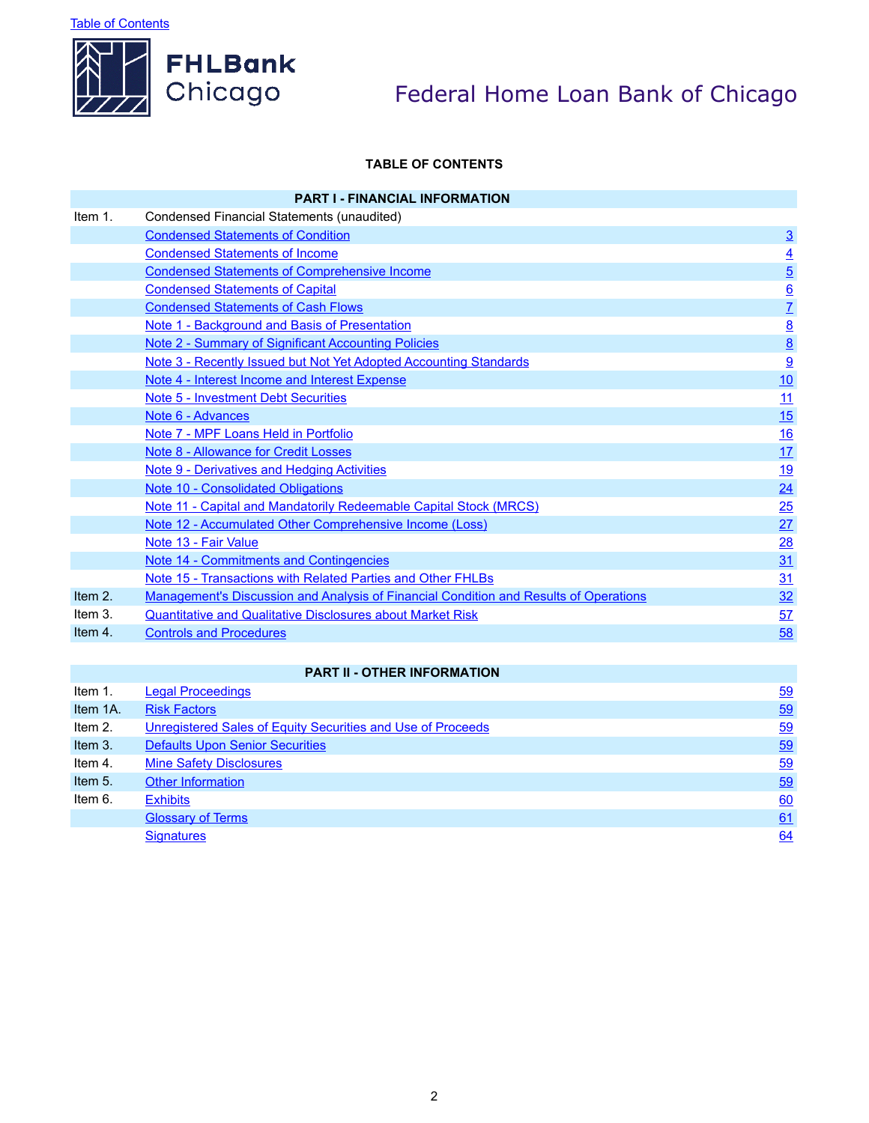**Table of Contents** 



# Federal Home Loan Bank of Chicago

# **TABLE OF CONTENTS**

|         | <b>PART I - FINANCIAL INFORMATION</b>                                                        |                 |
|---------|----------------------------------------------------------------------------------------------|-----------------|
| Item 1. | Condensed Financial Statements (unaudited)                                                   |                 |
|         | <b>Condensed Statements of Condition</b>                                                     | $\underline{3}$ |
|         | <b>Condensed Statements of Income</b>                                                        | $\underline{4}$ |
|         | <b>Condensed Statements of Comprehensive Income</b>                                          | $\overline{5}$  |
|         | <b>Condensed Statements of Capital</b>                                                       | $\underline{6}$ |
|         | <b>Condensed Statements of Cash Flows</b>                                                    | $\overline{L}$  |
|         | Note 1 - Background and Basis of Presentation                                                | $\underline{8}$ |
|         | <b>Note 2 - Summary of Significant Accounting Policies</b>                                   | $\underline{8}$ |
|         | Note 3 - Recently Issued but Not Yet Adopted Accounting Standards                            | 9               |
|         | Note 4 - Interest Income and Interest Expense                                                | 10              |
|         | <b>Note 5 - Investment Debt Securities</b>                                                   | 11              |
|         | Note 6 - Advances                                                                            | 15              |
|         | Note 7 - MPF Loans Held in Portfolio                                                         | 16              |
|         | Note 8 - Allowance for Credit Losses                                                         | 17              |
|         | Note 9 - Derivatives and Hedging Activities                                                  | 19              |
|         | Note 10 - Consolidated Obligations                                                           | 24              |
|         | Note 11 - Capital and Mandatorily Redeemable Capital Stock (MRCS)                            | 25              |
|         | Note 12 - Accumulated Other Comprehensive Income (Loss)                                      | 27              |
|         | Note 13 - Fair Value                                                                         | 28              |
|         | <b>Note 14 - Commitments and Contingencies</b>                                               | 31              |
|         | Note 15 - Transactions with Related Parties and Other FHLBs                                  | 31              |
| Item 2. | <b>Management's Discussion and Analysis of Financial Condition and Results of Operations</b> | 32              |
| Item 3. | <b>Quantitative and Qualitative Disclosures about Market Risk</b>                            | 57              |
| Item 4. | <b>Controls and Procedures</b>                                                               | 58              |

## **PART II - OTHER INFORMATION**

| Item 1.  | <b>Legal Proceedings</b>                                    | 59 |
|----------|-------------------------------------------------------------|----|
| Item 1A. | <b>Risk Factors</b>                                         | 59 |
| Item 2.  | Unregistered Sales of Equity Securities and Use of Proceeds | 59 |
| Item 3.  | <b>Defaults Upon Senior Securities</b>                      | 59 |
| Item 4.  | <b>Mine Safety Disclosures</b>                              | 59 |
| Item 5.  | <b>Other Information</b>                                    | 59 |
| Item 6.  | <b>Exhibits</b>                                             | 60 |
|          | <b>Glossary of Terms</b>                                    | 61 |
|          | <b>Signatures</b>                                           | 64 |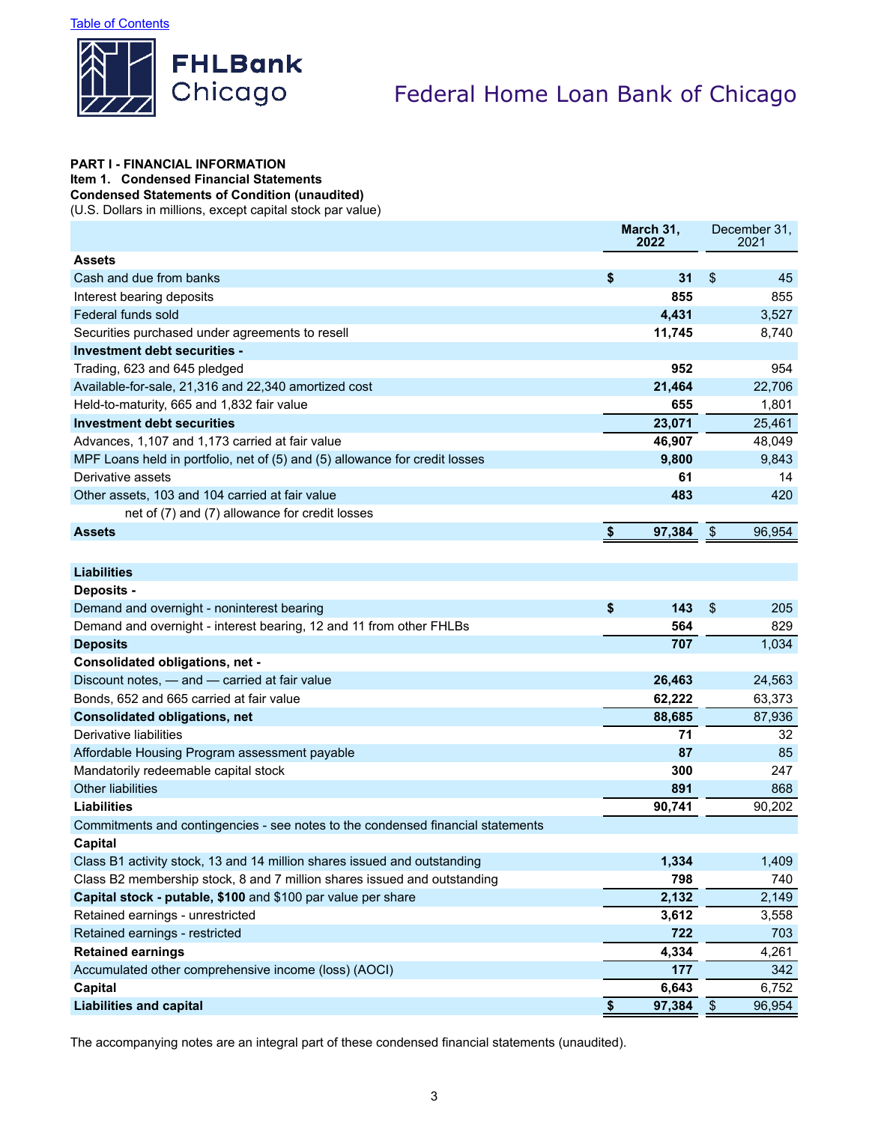

### **PART I - FINANCIAL INFORMATION Item 1. Condensed Financial Statements**

**Condensed Statements of Condition (unaudited)**

(U.S. Dollars in millions, except capital stock par value)

|                                                                                 | March 31,<br>2022 |        |                         | December 31,<br>2021 |
|---------------------------------------------------------------------------------|-------------------|--------|-------------------------|----------------------|
| <b>Assets</b>                                                                   |                   |        |                         |                      |
| Cash and due from banks                                                         | \$                | 31     | \$                      | 45                   |
| Interest bearing deposits                                                       |                   | 855    |                         | 855                  |
| Federal funds sold                                                              |                   | 4,431  |                         | 3,527                |
| Securities purchased under agreements to resell                                 |                   | 11,745 |                         | 8,740                |
| Investment debt securities -                                                    |                   |        |                         |                      |
| Trading, 623 and 645 pledged                                                    |                   | 952    |                         | 954                  |
| Available-for-sale, 21,316 and 22,340 amortized cost                            |                   | 21,464 |                         | 22,706               |
| Held-to-maturity, 665 and 1,832 fair value                                      |                   | 655    |                         | 1,801                |
| Investment debt securities                                                      |                   | 23,071 |                         | 25,461               |
| Advances, 1,107 and 1,173 carried at fair value                                 |                   | 46,907 |                         | 48,049               |
| MPF Loans held in portfolio, net of (5) and (5) allowance for credit losses     |                   | 9,800  |                         | 9,843                |
| Derivative assets                                                               |                   | 61     |                         | 14                   |
| Other assets, 103 and 104 carried at fair value                                 |                   | 483    |                         | 420                  |
| net of (7) and (7) allowance for credit losses                                  |                   |        |                         |                      |
| <b>Assets</b>                                                                   | \$                | 97,384 | $\sqrt[6]{\frac{1}{2}}$ | 96,954               |
|                                                                                 |                   |        |                         |                      |
| <b>Liabilities</b>                                                              |                   |        |                         |                      |
| <b>Deposits -</b>                                                               |                   |        |                         |                      |
| Demand and overnight - noninterest bearing                                      | \$                | 143    | \$                      | 205                  |
| Demand and overnight - interest bearing, 12 and 11 from other FHLBs             |                   | 564    |                         | 829                  |
| <b>Deposits</b>                                                                 |                   | 707    |                         | 1,034                |
| Consolidated obligations, net -                                                 |                   |        |                         |                      |
| Discount notes, - and - carried at fair value                                   |                   | 26,463 |                         | 24,563               |
| Bonds, 652 and 665 carried at fair value                                        |                   | 62,222 |                         | 63,373               |
| <b>Consolidated obligations, net</b>                                            |                   | 88,685 |                         | 87,936               |
| Derivative liabilities                                                          |                   | 71     |                         | 32                   |
| Affordable Housing Program assessment payable                                   |                   | 87     |                         | 85                   |
| Mandatorily redeemable capital stock                                            |                   | 300    |                         | 247                  |
| <b>Other liabilities</b>                                                        |                   | 891    |                         | 868                  |
| <b>Liabilities</b>                                                              |                   | 90,741 |                         | 90,202               |
| Commitments and contingencies - see notes to the condensed financial statements |                   |        |                         |                      |
| <b>Capital</b>                                                                  |                   |        |                         |                      |
| Class B1 activity stock, 13 and 14 million shares issued and outstanding        |                   | 1,334  |                         | 1,409                |
| Class B2 membership stock, 8 and 7 million shares issued and outstanding        |                   | 798    |                         | 740                  |
| Capital stock - putable, \$100 and \$100 par value per share                    |                   | 2,132  |                         | 2,149                |
| Retained earnings - unrestricted                                                |                   | 3,612  |                         | 3,558                |
| Retained earnings - restricted                                                  |                   | 722    |                         | 703                  |
| <b>Retained earnings</b>                                                        |                   | 4,334  |                         | 4,261                |
| Accumulated other comprehensive income (loss) (AOCI)                            |                   | 177    |                         | 342                  |
| <b>Capital</b>                                                                  |                   | 6,643  |                         | 6,752                |
| <b>Liabilities and capital</b>                                                  | \$                | 97,384 | $\sqrt[6]{\frac{1}{2}}$ | 96,954               |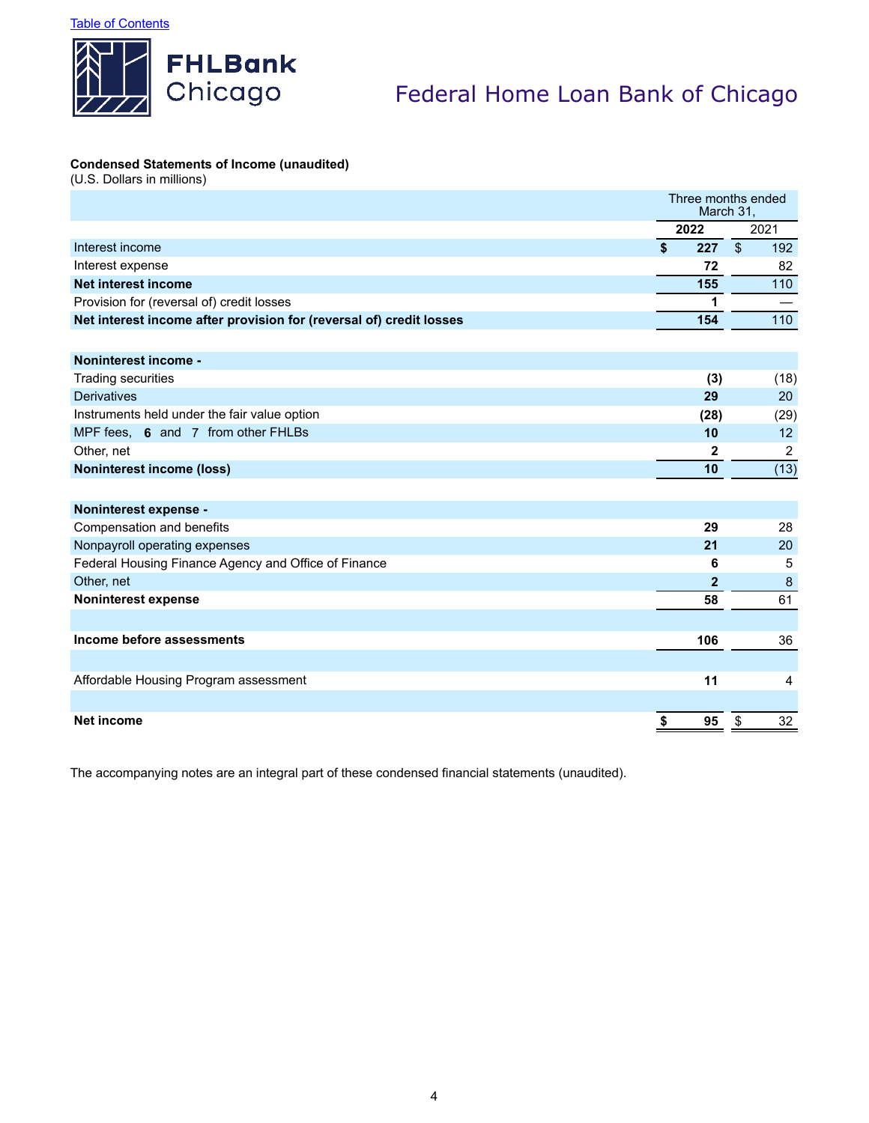

## **Condensed Statements of Income (unaudited)**

(U.S. Dollars in millions)

|                                                                     |                         | Three months ended<br>March 31, |                          |                |
|---------------------------------------------------------------------|-------------------------|---------------------------------|--------------------------|----------------|
|                                                                     | 2022                    |                                 |                          | 2021           |
| Interest income                                                     | $\overline{\mathbf{s}}$ | 227                             | $\overline{\mathcal{S}}$ | 192            |
| Interest expense                                                    |                         | 72                              |                          | 82             |
| <b>Net interest income</b>                                          |                         | 155                             |                          | 110            |
| Provision for (reversal of) credit losses                           |                         | 1                               |                          |                |
| Net interest income after provision for (reversal of) credit losses |                         | 154                             |                          | 110            |
|                                                                     |                         |                                 |                          |                |
| Noninterest income -                                                |                         |                                 |                          |                |
| Trading securities                                                  |                         | (3)                             |                          | (18)           |
| <b>Derivatives</b>                                                  |                         | 29                              |                          | 20             |
| Instruments held under the fair value option                        |                         | (28)                            |                          | (29)           |
| MPF fees, 6 and 7 from other FHLBs                                  |                         | 10                              |                          | 12             |
| Other, net                                                          |                         | 2                               |                          | $\overline{2}$ |
| <b>Noninterest income (loss)</b>                                    |                         | 10                              |                          | (13)           |
|                                                                     |                         |                                 |                          |                |
| Noninterest expense -                                               |                         |                                 |                          |                |
| Compensation and benefits                                           |                         | 29                              |                          | 28             |
| Nonpayroll operating expenses                                       |                         | 21                              |                          | 20             |
| Federal Housing Finance Agency and Office of Finance                |                         | 6                               |                          | 5              |
| Other, net                                                          |                         | $\mathbf{2}$                    |                          | 8              |
| <b>Noninterest expense</b>                                          |                         | 58                              |                          | 61             |
|                                                                     |                         |                                 |                          |                |
| Income before assessments                                           |                         | 106                             |                          | 36             |
|                                                                     |                         |                                 |                          |                |
| Affordable Housing Program assessment                               |                         | 11                              |                          | $\overline{4}$ |
|                                                                     |                         |                                 |                          |                |
| Net income                                                          | \$                      | 95                              | \$                       | 32             |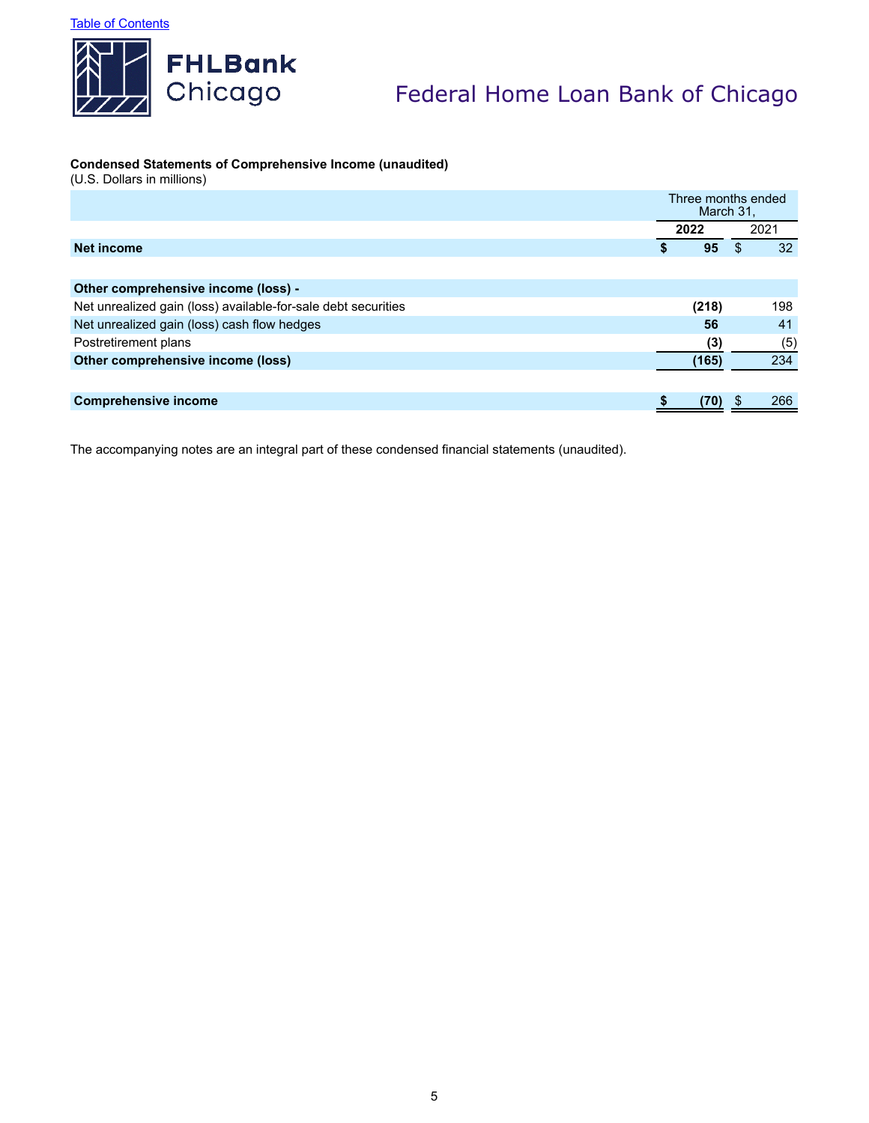

# **Condensed Statements of Comprehensive Income (unaudited)**

(U.S. Dollars in millions)

|                                                               | Three months ended<br>March 31. |          |
|---------------------------------------------------------------|---------------------------------|----------|
|                                                               | 2022                            | 2021     |
| <b>Net income</b>                                             | 95<br>S                         | 32<br>S. |
|                                                               |                                 |          |
| Other comprehensive income (loss) -                           |                                 |          |
| Net unrealized gain (loss) available-for-sale debt securities | (218)                           | 198      |
| Net unrealized gain (loss) cash flow hedges                   | 56                              | 41       |
| Postretirement plans                                          | (3)                             | (5)      |
| Other comprehensive income (loss)                             | (165)                           | 234      |
|                                                               |                                 |          |
| <b>Comprehensive income</b>                                   | (70)                            | 266      |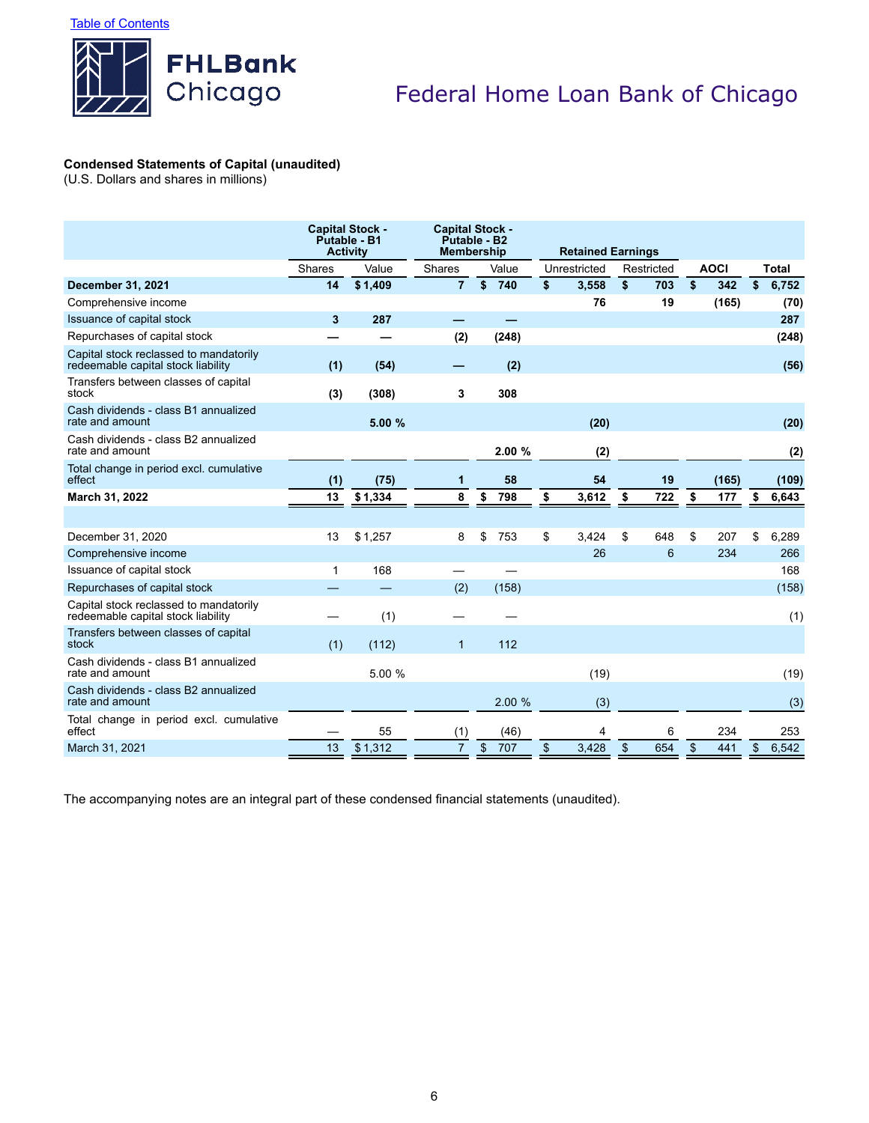

# **Condensed Statements of Capital (unaudited)**

(U.S. Dollars and shares in millions)

|                                                                              | <b>Capital Stock -</b><br>Putable - B1<br><b>Activity</b> |         | <b>Capital Stock -</b><br>Putable - B2<br><b>Membership</b> |             | <b>Retained Earnings</b> |            |            |             |              |
|------------------------------------------------------------------------------|-----------------------------------------------------------|---------|-------------------------------------------------------------|-------------|--------------------------|------------|------------|-------------|--------------|
|                                                                              | Shares                                                    | Value   | <b>Shares</b>                                               | Value       | Unrestricted             | Restricted |            | <b>AOCI</b> | <b>Total</b> |
| <b>December 31, 2021</b>                                                     | 14                                                        | \$1,409 | $\overline{7}$                                              | \$<br>740   | \$<br>3,558              | \$<br>703  | \$         | 342         | \$<br>6,752  |
| Comprehensive income                                                         |                                                           |         |                                                             |             | 76                       | 19         |            | (165)       | (70)         |
| Issuance of capital stock                                                    | 3                                                         | 287     |                                                             |             |                          |            |            |             | 287          |
| Repurchases of capital stock                                                 |                                                           |         | (2)                                                         | (248)       |                          |            |            |             | (248)        |
| Capital stock reclassed to mandatorily<br>redeemable capital stock liability | (1)                                                       | (54)    |                                                             | (2)         |                          |            |            |             | (56)         |
| Transfers between classes of capital<br>stock                                | (3)                                                       | (308)   | 3                                                           | 308         |                          |            |            |             |              |
| Cash dividends - class B1 annualized<br>rate and amount                      |                                                           | 5.00 %  |                                                             |             | (20)                     |            |            |             | (20)         |
| Cash dividends - class B2 annualized<br>rate and amount                      |                                                           |         |                                                             | 2.00%       | (2)                      |            |            |             | (2)          |
| Total change in period excl. cumulative<br>effect                            | (1)                                                       | (75)    | 1                                                           | 58          | 54                       | 19         |            | (165)       | (109)        |
| March 31, 2022                                                               | 13                                                        | \$1,334 | 8                                                           | \$<br>798   | \$<br>3,612              | \$<br>722  | \$         | 177         | \$<br>6,643  |
|                                                                              |                                                           |         |                                                             |             |                          |            |            |             |              |
| December 31, 2020                                                            | 13                                                        | \$1,257 | 8                                                           | \$<br>753   | \$<br>3,424              | \$<br>648  | \$         | 207         | \$<br>6,289  |
| Comprehensive income                                                         |                                                           |         |                                                             |             | 26                       | 6          |            | 234         | 266          |
| Issuance of capital stock                                                    | 1                                                         | 168     |                                                             |             |                          |            |            |             | 168          |
| Repurchases of capital stock                                                 |                                                           |         | (2)                                                         | (158)       |                          |            |            |             | (158)        |
| Capital stock reclassed to mandatorily<br>redeemable capital stock liability |                                                           | (1)     |                                                             |             |                          |            |            |             | (1)          |
| Transfers between classes of capital<br>stock                                | (1)                                                       | (112)   | $\mathbf{1}$                                                | 112         |                          |            |            |             |              |
| Cash dividends - class B1 annualized<br>rate and amount                      |                                                           | 5.00 %  |                                                             |             | (19)                     |            |            |             | (19)         |
| Cash dividends - class B2 annualized<br>rate and amount                      |                                                           |         |                                                             | 2.00 %      | (3)                      |            |            |             | (3)          |
| Total change in period excl. cumulative<br>effect                            |                                                           | 55      | (1)                                                         | (46)        | 4                        | 6          |            | 234         | 253          |
| March 31, 2021                                                               | 13                                                        | \$1,312 | $\overline{7}$                                              | $\,$<br>707 | \$<br>3,428              | \$<br>654  | $\sqrt{3}$ | 441         | \$<br>6,542  |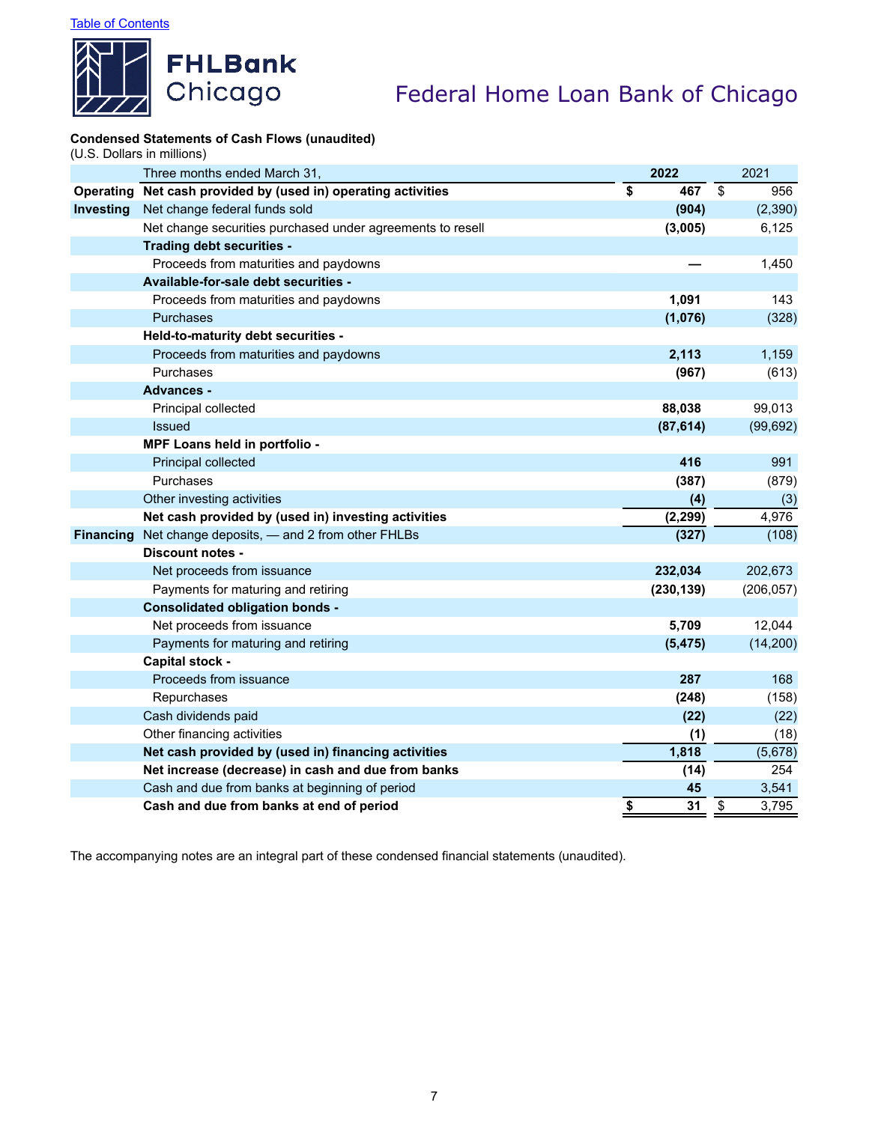

# **Condensed Statements of Cash Flows (unaudited)**

(U.S. Dollars in millions)

|                  | Three months ended March 31,                               | 2022       |            | 2021       |
|------------------|------------------------------------------------------------|------------|------------|------------|
| <b>Operating</b> | Net cash provided by (used in) operating activities        | \$<br>467  | $\sqrt{3}$ | 956        |
| <b>Investing</b> | Net change federal funds sold                              | (904)      |            | (2, 390)   |
|                  | Net change securities purchased under agreements to resell | (3,005)    |            | 6,125      |
|                  | Trading debt securities -                                  |            |            |            |
|                  | Proceeds from maturities and paydowns                      |            |            | 1,450      |
|                  | Available-for-sale debt securities -                       |            |            |            |
|                  | Proceeds from maturities and paydowns                      | 1,091      |            | 143        |
|                  | <b>Purchases</b>                                           | (1,076)    |            | (328)      |
|                  | Held-to-maturity debt securities -                         |            |            |            |
|                  | Proceeds from maturities and paydowns                      | 2,113      |            | 1,159      |
|                  | Purchases                                                  | (967)      |            | (613)      |
|                  | <b>Advances -</b>                                          |            |            |            |
|                  | Principal collected                                        | 88,038     |            | 99,013     |
|                  | <b>Issued</b>                                              | (87, 614)  |            | (99, 692)  |
|                  | MPF Loans held in portfolio -                              |            |            |            |
|                  | Principal collected                                        | 416        |            | 991        |
|                  | Purchases                                                  | (387)      |            | (879)      |
|                  | Other investing activities                                 | (4)        |            | (3)        |
|                  | Net cash provided by (used in) investing activities        | (2, 299)   |            | 4,976      |
| <b>Financing</b> | Net change deposits, - and 2 from other FHLBs              | (327)      |            | (108)      |
|                  | Discount notes -                                           |            |            |            |
|                  | Net proceeds from issuance                                 | 232,034    |            | 202,673    |
|                  | Payments for maturing and retiring                         | (230, 139) |            | (206, 057) |
|                  | <b>Consolidated obligation bonds -</b>                     |            |            |            |
|                  | Net proceeds from issuance                                 | 5,709      |            | 12,044     |
|                  | Payments for maturing and retiring                         | (5, 475)   |            | (14, 200)  |
|                  | <b>Capital stock -</b>                                     |            |            |            |
|                  | Proceeds from issuance                                     | 287        |            | 168        |
|                  | Repurchases                                                | (248)      |            | (158)      |
|                  | Cash dividends paid                                        | (22)       |            | (22)       |
|                  | Other financing activities                                 | (1)        |            | (18)       |
|                  | Net cash provided by (used in) financing activities        | 1,818      |            | (5,678)    |
|                  | Net increase (decrease) in cash and due from banks         | (14)       |            | 254        |
|                  | Cash and due from banks at beginning of period             | 45         |            | 3,541      |
|                  | Cash and due from banks at end of period                   | \$<br>31   | \$         | 3,795      |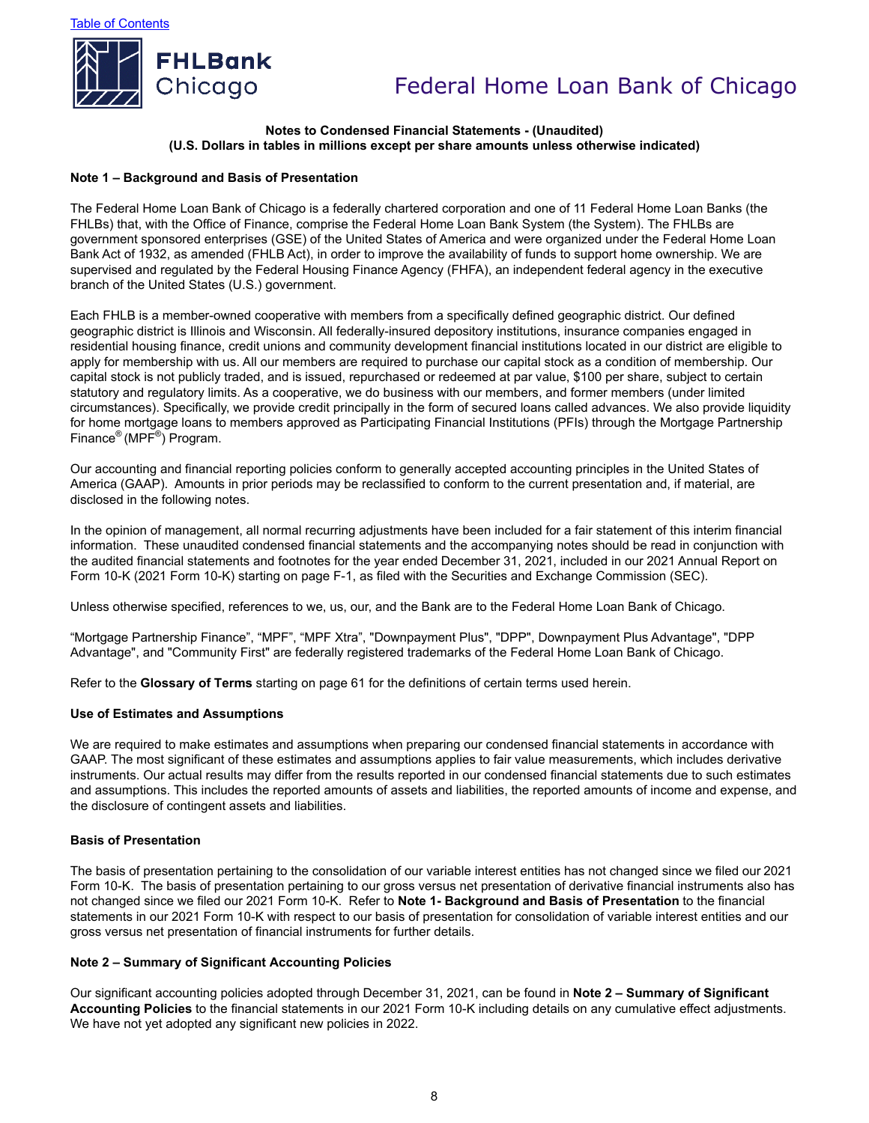

### **Notes to Condensed Financial Statements - (Unaudited) (U.S. Dollars in tables in millions except per share amounts unless otherwise indicated)**

#### **Note 1 – Background and Basis of Presentation**

The Federal Home Loan Bank of Chicago is a federally chartered corporation and one of 11 Federal Home Loan Banks (the FHLBs) that, with the Office of Finance, comprise the Federal Home Loan Bank System (the System). The FHLBs are government sponsored enterprises (GSE) of the United States of America and were organized under the Federal Home Loan Bank Act of 1932, as amended (FHLB Act), in order to improve the availability of funds to support home ownership. We are supervised and regulated by the Federal Housing Finance Agency (FHFA), an independent federal agency in the executive branch of the United States (U.S.) government.

Each FHLB is a member-owned cooperative with members from a specifically defined geographic district. Our defined geographic district is Illinois and Wisconsin. All federally-insured depository institutions, insurance companies engaged in residential housing finance, credit unions and community development financial institutions located in our district are eligible to apply for membership with us. All our members are required to purchase our capital stock as a condition of membership. Our capital stock is not publicly traded, and is issued, repurchased or redeemed at par value, \$100 per share, subject to certain statutory and regulatory limits. As a cooperative, we do business with our members, and former members (under limited circumstances). Specifically, we provide credit principally in the form of secured loans called advances. We also provide liquidity for home mortgage loans to members approved as Participating Financial Institutions (PFIs) through the Mortgage Partnership Finance® (MPF® ) Program.

Our accounting and financial reporting policies conform to generally accepted accounting principles in the United States of America (GAAP). Amounts in prior periods may be reclassified to conform to the current presentation and, if material, are disclosed in the following notes.

In the opinion of management, all normal recurring adjustments have been included for a fair statement of this interim financial information. These unaudited condensed financial statements and the accompanying notes should be read in conjunction with the audited financial statements and footnotes for the year ended December 31, 2021, included in our 2021 Annual Report on Form 10-K (2021 Form 10-K) starting on page F-1, as filed with the Securities and Exchange Commission (SEC).

Unless otherwise specified, references to we, us, our, and the Bank are to the Federal Home Loan Bank of Chicago.

"Mortgage Partnership Finance", "MPF", "MPF Xtra", "Downpayment Plus", "DPP", Downpayment Plus Advantage", "DPP Advantage", and "Community First" are federally registered trademarks of the Federal Home Loan Bank of Chicago.

Refer to the **Glossary of Terms** starting on page 61 for the definitions of certain terms used herein.

#### **Use of Estimates and Assumptions**

We are required to make estimates and assumptions when preparing our condensed financial statements in accordance with GAAP. The most significant of these estimates and assumptions applies to fair value measurements, which includes derivative instruments. Our actual results may differ from the results reported in our condensed financial statements due to such estimates and assumptions. This includes the reported amounts of assets and liabilities, the reported amounts of income and expense, and the disclosure of contingent assets and liabilities.

#### **Basis of Presentation**

The basis of presentation pertaining to the consolidation of our variable interest entities has not changed since we filed our 2021 Form 10-K. The basis of presentation pertaining to our gross versus net presentation of derivative financial instruments also has not changed since we filed our 2021 Form 10-K. Refer to **Note 1- Background and Basis of Presentation** to the financial statements in our 2021 Form 10-K with respect to our basis of presentation for consolidation of variable interest entities and our gross versus net presentation of financial instruments for further details.

#### **Note 2 – Summary of Significant Accounting Policies**

Our significant accounting policies adopted through December 31, 2021, can be found in **Note 2 – Summary of Significant Accounting Policies** to the financial statements in our 2021 Form 10-K including details on any cumulative effect adjustments. We have not yet adopted any significant new policies in 2022.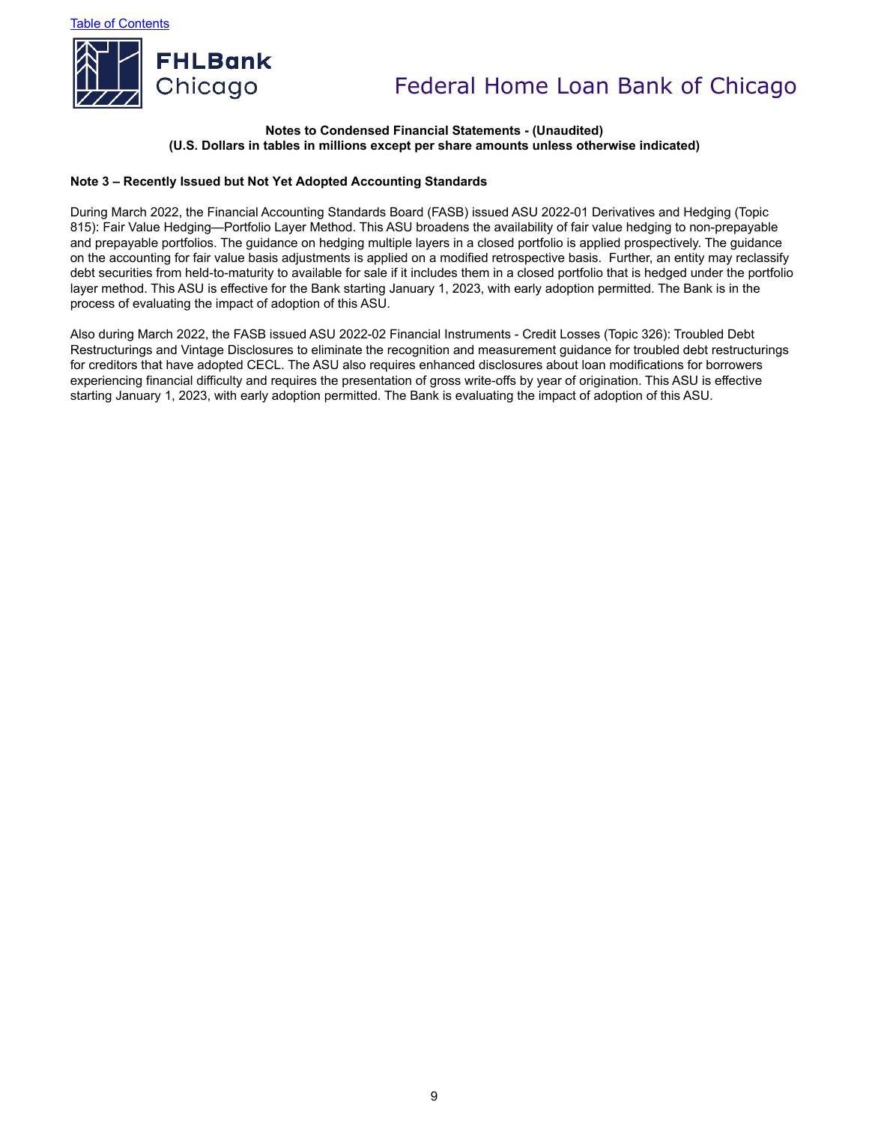

### **Notes to Condensed Financial Statements - (Unaudited) (U.S. Dollars in tables in millions except per share amounts unless otherwise indicated)**

### **Note 3 – Recently Issued but Not Yet Adopted Accounting Standards**

During March 2022, the Financial Accounting Standards Board (FASB) issued ASU 2022-01 Derivatives and Hedging (Topic 815): Fair Value Hedging—Portfolio Layer Method. This ASU broadens the availability of fair value hedging to non-prepayable and prepayable portfolios. The guidance on hedging multiple layers in a closed portfolio is applied prospectively. The guidance on the accounting for fair value basis adjustments is applied on a modified retrospective basis. Further, an entity may reclassify debt securities from held-to-maturity to available for sale if it includes them in a closed portfolio that is hedged under the portfolio layer method. This ASU is effective for the Bank starting January 1, 2023, with early adoption permitted. The Bank is in the process of evaluating the impact of adoption of this ASU.

Also during March 2022, the FASB issued ASU 2022-02 Financial Instruments - Credit Losses (Topic 326): Troubled Debt Restructurings and Vintage Disclosures to eliminate the recognition and measurement guidance for troubled debt restructurings for creditors that have adopted CECL. The ASU also requires enhanced disclosures about loan modifications for borrowers experiencing financial difficulty and requires the presentation of gross write-offs by year of origination. This ASU is effective starting January 1, 2023, with early adoption permitted. The Bank is evaluating the impact of adoption of this ASU.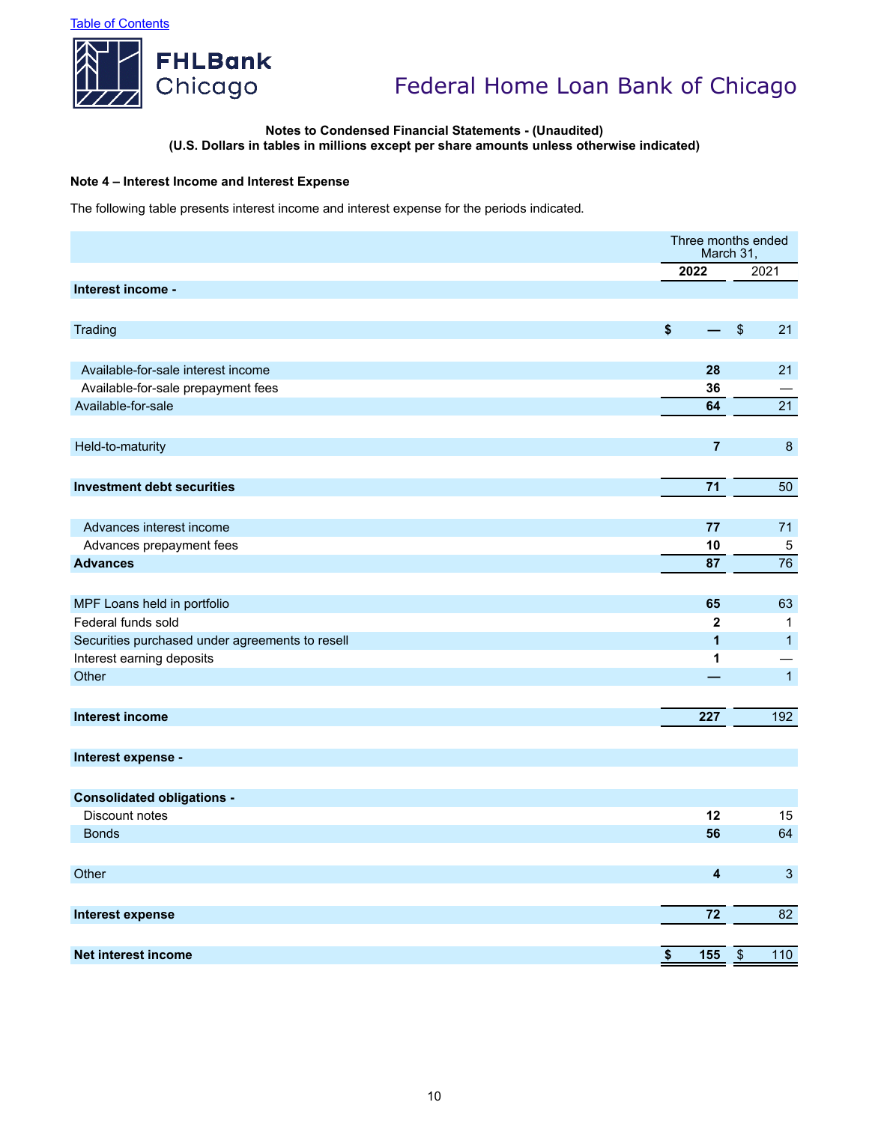

### **Notes to Condensed Financial Statements - (Unaudited) (U.S. Dollars in tables in millions except per share amounts unless otherwise indicated)**

### **Note 4 – Interest Income and Interest Expense**

The following table presents interest income and interest expense for the periods indicated.

|                                                                              | Three months ended<br>March 31, |                          |                              |
|------------------------------------------------------------------------------|---------------------------------|--------------------------|------------------------------|
|                                                                              | 2022                            |                          | 2021                         |
| Interest income -                                                            |                                 |                          |                              |
|                                                                              |                                 |                          |                              |
| Trading                                                                      | \$<br>÷,                        | $\sqrt[6]{\frac{1}{2}}$  | 21                           |
|                                                                              |                                 |                          |                              |
| Available-for-sale interest income                                           | 28                              |                          | 21                           |
| Available-for-sale prepayment fees                                           | 36                              |                          |                              |
| Available-for-sale                                                           | 64                              |                          | 21                           |
|                                                                              |                                 |                          |                              |
| Held-to-maturity                                                             | $\overline{7}$                  |                          | $\bf 8$                      |
|                                                                              |                                 |                          |                              |
| <b>Investment debt securities</b>                                            | 71                              |                          | 50                           |
|                                                                              |                                 |                          |                              |
| Advances interest income                                                     | 77                              |                          | 71                           |
| Advances prepayment fees                                                     | 10                              |                          | $\mathbf 5$                  |
| <b>Advances</b>                                                              | 87                              |                          | 76                           |
|                                                                              |                                 |                          |                              |
|                                                                              |                                 |                          |                              |
| MPF Loans held in portfolio                                                  | 65                              |                          | 63                           |
| Federal funds sold                                                           | $\mathbf{2}$<br>$\overline{1}$  |                          | $\mathbf{1}$<br>$\mathbf{1}$ |
| Securities purchased under agreements to resell<br>Interest earning deposits | 1                               |                          |                              |
| Other                                                                        |                                 |                          | $\overline{1}$               |
|                                                                              |                                 |                          |                              |
| <b>Interest income</b>                                                       | 227                             |                          | 192                          |
|                                                                              |                                 |                          |                              |
|                                                                              |                                 |                          |                              |
| Interest expense -                                                           |                                 |                          |                              |
|                                                                              |                                 |                          |                              |
| <b>Consolidated obligations -</b>                                            |                                 |                          |                              |
| Discount notes                                                               | 12                              |                          | 15                           |
| <b>Bonds</b>                                                                 | 56                              |                          | 64                           |
|                                                                              |                                 |                          |                              |
| Other                                                                        | $\overline{\mathbf{4}}$         |                          | $\mathbf{3}$                 |
|                                                                              |                                 |                          |                              |
| <b>Interest expense</b>                                                      | 72                              |                          | 82                           |
|                                                                              |                                 |                          |                              |
| <b>Net interest income</b>                                                   | \$<br>155                       | $\overline{\mathcal{S}}$ | 110                          |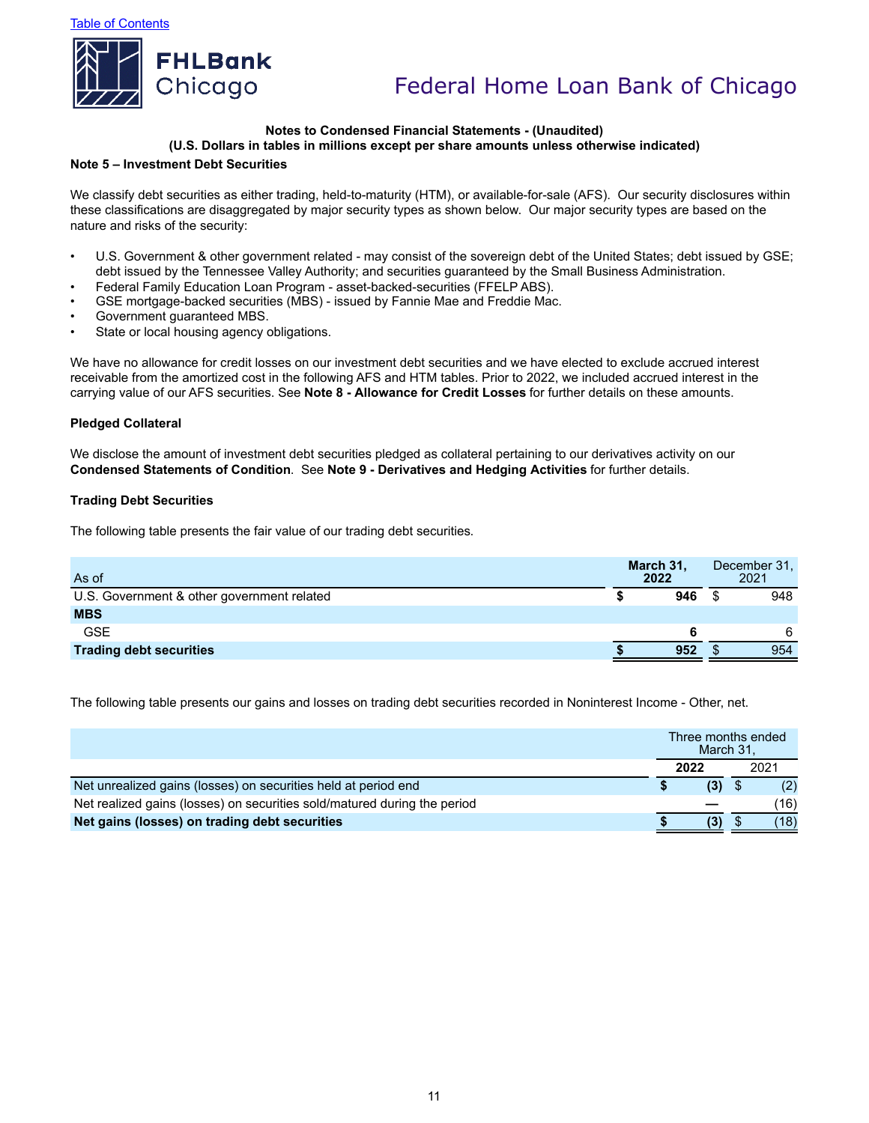

#### **Notes to Condensed Financial Statements - (Unaudited) (U.S. Dollars in tables in millions except per share amounts unless otherwise indicated)**

#### **Note 5 – Investment Debt Securities**

We classify debt securities as either trading, held-to-maturity (HTM), or available-for-sale (AFS). Our security disclosures within these classifications are disaggregated by major security types as shown below. Our major security types are based on the nature and risks of the security:

- U.S. Government & other government related may consist of the sovereign debt of the United States; debt issued by GSE; debt issued by the Tennessee Valley Authority; and securities guaranteed by the Small Business Administration.
- Federal Family Education Loan Program asset-backed-securities (FFELP ABS).
- GSE mortgage-backed securities (MBS) issued by Fannie Mae and Freddie Mac.
- Government guaranteed MBS.
- State or local housing agency obligations.

We have no allowance for credit losses on our investment debt securities and we have elected to exclude accrued interest receivable from the amortized cost in the following AFS and HTM tables. Prior to 2022, we included accrued interest in the carrying value of our AFS securities. See **Note 8 - Allowance for Credit Losses** for further details on these amounts.

#### **Pledged Collateral**

We disclose the amount of investment debt securities pledged as collateral pertaining to our derivatives activity on our **Condensed Statements of Condition**. See **Note 9 - Derivatives and Hedging Activities** for further details.

#### **Trading Debt Securities**

The following table presents the fair value of our trading debt securities.

|     |                   | December 31.<br>2021 |
|-----|-------------------|----------------------|
| 946 |                   | 948                  |
|     |                   |                      |
|     |                   | 6                    |
| 952 |                   | 954                  |
|     | March 31,<br>2022 |                      |

The following table presents our gains and losses on trading debt securities recorded in Noninterest Income - Other, net.

|                                                                          | March 31. | Three months ended |
|--------------------------------------------------------------------------|-----------|--------------------|
|                                                                          | 2022      | 2021               |
| Net unrealized gains (losses) on securities held at period end           | (3)       | (2)                |
| Net realized gains (losses) on securities sold/matured during the period |           | 16)                |
| Net gains (losses) on trading debt securities                            | (3)       | (18)               |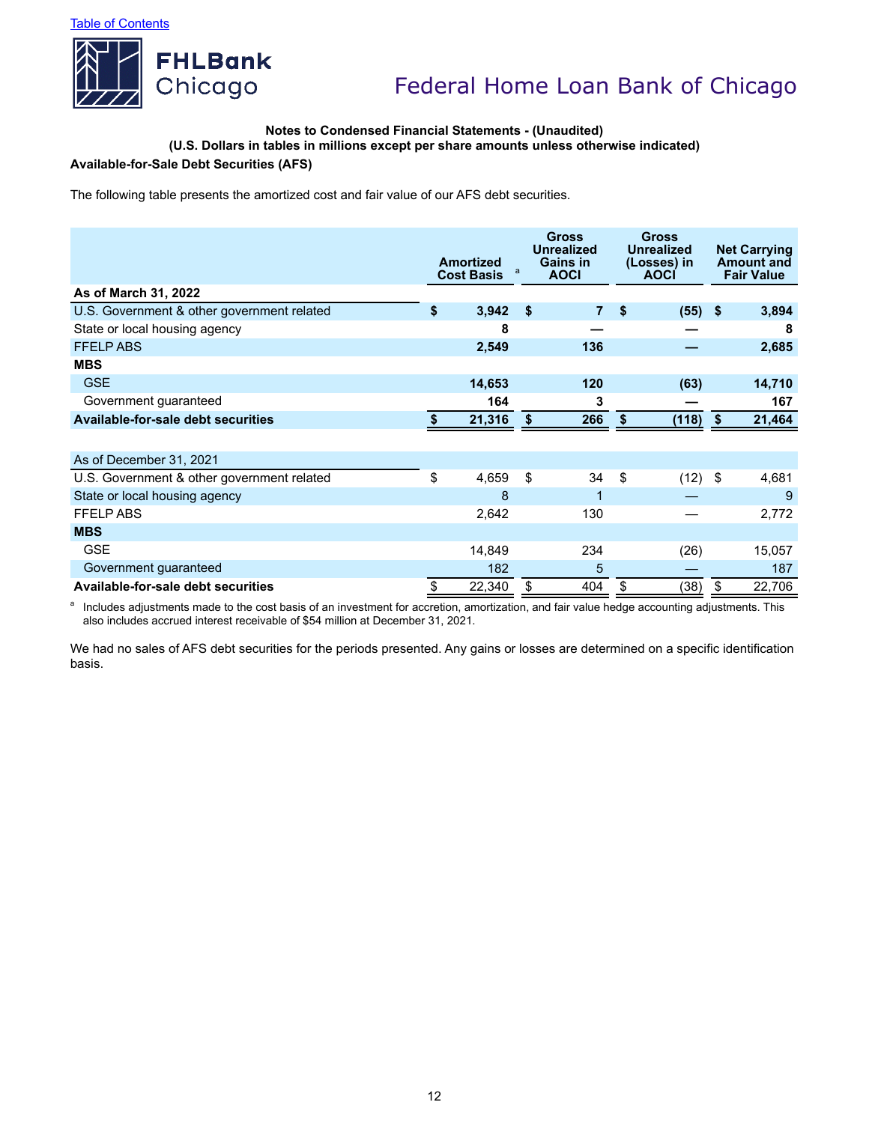

### **Notes to Condensed Financial Statements - (Unaudited)**

**(U.S. Dollars in tables in millions except per share amounts unless otherwise indicated)**

# **Available-for-Sale Debt Securities (AFS)**

The following table presents the amortized cost and fair value of our AFS debt securities.

|                                            | <b>Amortized</b><br><b>Cost Basis</b> | a  | <b>Gross</b><br><b>Unrealized</b><br>Gains in<br><b>AOCI</b> |    | <b>Gross</b><br><b>Unrealized</b><br>(Losses) in<br><b>AOCI</b> |    |        |  |  |  | <b>Net Carrying</b><br><b>Amount and</b><br><b>Fair Value</b> |
|--------------------------------------------|---------------------------------------|----|--------------------------------------------------------------|----|-----------------------------------------------------------------|----|--------|--|--|--|---------------------------------------------------------------|
| As of March 31, 2022                       |                                       |    |                                                              |    |                                                                 |    |        |  |  |  |                                                               |
| U.S. Government & other government related | \$<br>3,942                           | \$ | $\overline{7}$                                               | \$ | $(55)$ \$                                                       |    | 3,894  |  |  |  |                                                               |
| State or local housing agency              | 8                                     |    |                                                              |    |                                                                 |    | 8      |  |  |  |                                                               |
| <b>FFELPABS</b>                            | 2,549                                 |    | 136                                                          |    |                                                                 |    | 2,685  |  |  |  |                                                               |
| <b>MBS</b>                                 |                                       |    |                                                              |    |                                                                 |    |        |  |  |  |                                                               |
| <b>GSE</b>                                 | 14,653                                |    | 120                                                          |    | (63)                                                            |    | 14,710 |  |  |  |                                                               |
| Government guaranteed                      | 164                                   |    | 3                                                            |    |                                                                 |    | 167    |  |  |  |                                                               |
| <b>Available-for-sale debt securities</b>  | 21,316                                | s. | 266                                                          |    | (118)                                                           | \$ | 21,464 |  |  |  |                                                               |
|                                            |                                       |    |                                                              |    |                                                                 |    |        |  |  |  |                                                               |
| As of December 31, 2021                    |                                       |    |                                                              |    |                                                                 |    |        |  |  |  |                                                               |
| U.S. Government & other government related | \$<br>4,659                           | \$ | 34                                                           | \$ | (12)                                                            | \$ | 4,681  |  |  |  |                                                               |
| State or local housing agency              | 8                                     |    | 1                                                            |    |                                                                 |    | 9      |  |  |  |                                                               |
| <b>FFELP ABS</b>                           | 2,642                                 |    | 130                                                          |    |                                                                 |    | 2,772  |  |  |  |                                                               |
| <b>MBS</b>                                 |                                       |    |                                                              |    |                                                                 |    |        |  |  |  |                                                               |
| <b>GSE</b>                                 | 14,849                                |    | 234                                                          |    | (26)                                                            |    | 15,057 |  |  |  |                                                               |
| Government guaranteed                      | 182                                   |    | 5                                                            |    |                                                                 |    | 187    |  |  |  |                                                               |
| Available-for-sale debt securities         | \$<br>22,340                          | \$ | 404                                                          | \$ | (38)                                                            | \$ | 22,706 |  |  |  |                                                               |

<sup>a</sup> Includes adjustments made to the cost basis of an investment for accretion, amortization, and fair value hedge accounting adjustments. This also includes accrued interest receivable of \$54 million at December 31, 2021.

We had no sales of AFS debt securities for the periods presented. Any gains or losses are determined on a specific identification basis.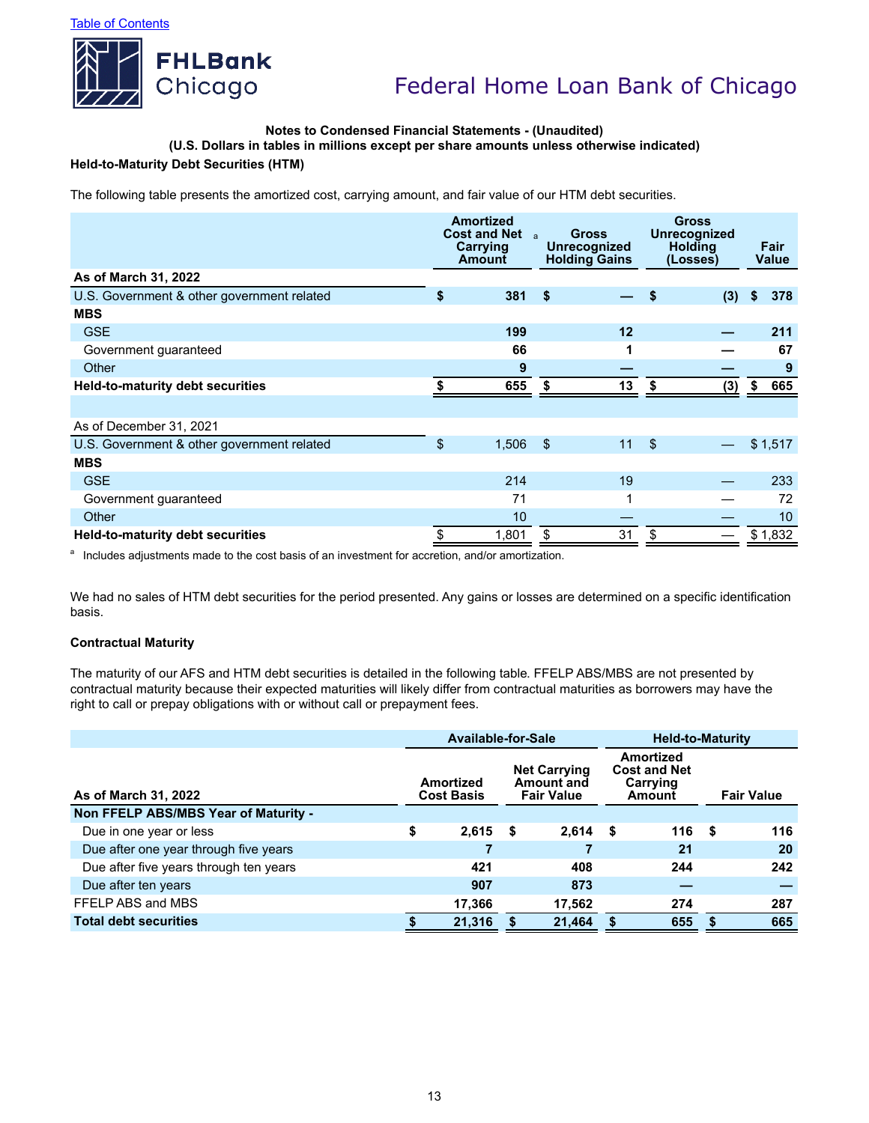

### **Notes to Condensed Financial Statements - (Unaudited)**

**(U.S. Dollars in tables in millions except per share amounts unless otherwise indicated)**

# **Held-to-Maturity Debt Securities (HTM)**

The following table presents the amortized cost, carrying amount, and fair value of our HTM debt securities.

|                                            | <b>Amortized</b><br><b>Cost and Net</b> a<br>Carrying<br><b>Amount</b> | <b>Gross</b><br>Unrecognized<br><b>Holding Gains</b> |    | <b>Gross</b><br>Unrecognized<br><b>Holding</b><br>(Losses) |     | Fair<br>Value |         |
|--------------------------------------------|------------------------------------------------------------------------|------------------------------------------------------|----|------------------------------------------------------------|-----|---------------|---------|
| As of March 31, 2022                       |                                                                        |                                                      |    |                                                            |     |               |         |
| U.S. Government & other government related | \$<br>381                                                              | \$                                                   |    | S                                                          | (3) | S             | 378     |
| <b>MBS</b>                                 |                                                                        |                                                      |    |                                                            |     |               |         |
| <b>GSE</b>                                 | 199                                                                    |                                                      | 12 |                                                            |     |               | 211     |
| Government guaranteed                      | 66                                                                     |                                                      |    |                                                            |     |               | 67      |
| Other                                      | 9                                                                      |                                                      |    |                                                            |     |               | 9       |
| <b>Held-to-maturity debt securities</b>    | 655                                                                    | S                                                    | 13 | \$                                                         | (3) | \$            | 665     |
|                                            |                                                                        |                                                      |    |                                                            |     |               |         |
| As of December 31, 2021                    |                                                                        |                                                      |    |                                                            |     |               |         |
| U.S. Government & other government related | \$<br>1,506                                                            | \$                                                   | 11 | $\sqrt[6]{\frac{1}{2}}$                                    |     |               | \$1,517 |
| <b>MBS</b>                                 |                                                                        |                                                      |    |                                                            |     |               |         |
| <b>GSE</b>                                 | 214                                                                    |                                                      | 19 |                                                            |     |               | 233     |
| Government guaranteed                      | 71                                                                     |                                                      |    |                                                            |     |               | 72      |
| Other                                      | 10                                                                     |                                                      |    |                                                            |     |               | 10      |
| <b>Held-to-maturity debt securities</b>    | \$<br>1,801                                                            | S                                                    | 31 | \$                                                         |     |               | \$1,832 |

<sup>a</sup> Includes adjustments made to the cost basis of an investment for accretion, and/or amortization.

We had no sales of HTM debt securities for the period presented. Any gains or losses are determined on a specific identification basis.

### **Contractual Maturity**

The maturity of our AFS and HTM debt securities is detailed in the following table. FFELP ABS/MBS are not presented by contractual maturity because their expected maturities will likely differ from contractual maturities as borrowers may have the right to call or prepay obligations with or without call or prepayment fees.

|                                        | <b>Available-for-Sale</b> |                                |        |                                                        | <b>Held-to-Maturity</b> |                                                               |      |                   |  |
|----------------------------------------|---------------------------|--------------------------------|--------|--------------------------------------------------------|-------------------------|---------------------------------------------------------------|------|-------------------|--|
| As of March 31, 2022                   |                           | Amortized<br><b>Cost Basis</b> |        | <b>Net Carrying</b><br>Amount and<br><b>Fair Value</b> |                         | <b>Amortized</b><br><b>Cost and Net</b><br>Carrying<br>Amount |      | <b>Fair Value</b> |  |
| Non FFELP ABS/MBS Year of Maturity -   |                           |                                |        |                                                        |                         |                                                               |      |                   |  |
| Due in one year or less                | \$                        | 2,615                          | S      | 2,614                                                  | - \$                    | 116                                                           | - \$ | 116               |  |
| Due after one year through five years  |                           |                                |        |                                                        |                         | 21                                                            |      | 20                |  |
| Due after five years through ten years |                           | 421                            |        | 408                                                    |                         | 244                                                           |      | 242               |  |
| Due after ten years                    |                           | 907                            |        | 873                                                    |                         |                                                               |      |                   |  |
| FFELP ABS and MBS                      |                           | 17,366                         |        | 17,562                                                 |                         | 274                                                           |      | 287               |  |
| <b>Total debt securities</b>           | 21,316                    |                                | 21.464 |                                                        |                         | 655                                                           | S    | 665               |  |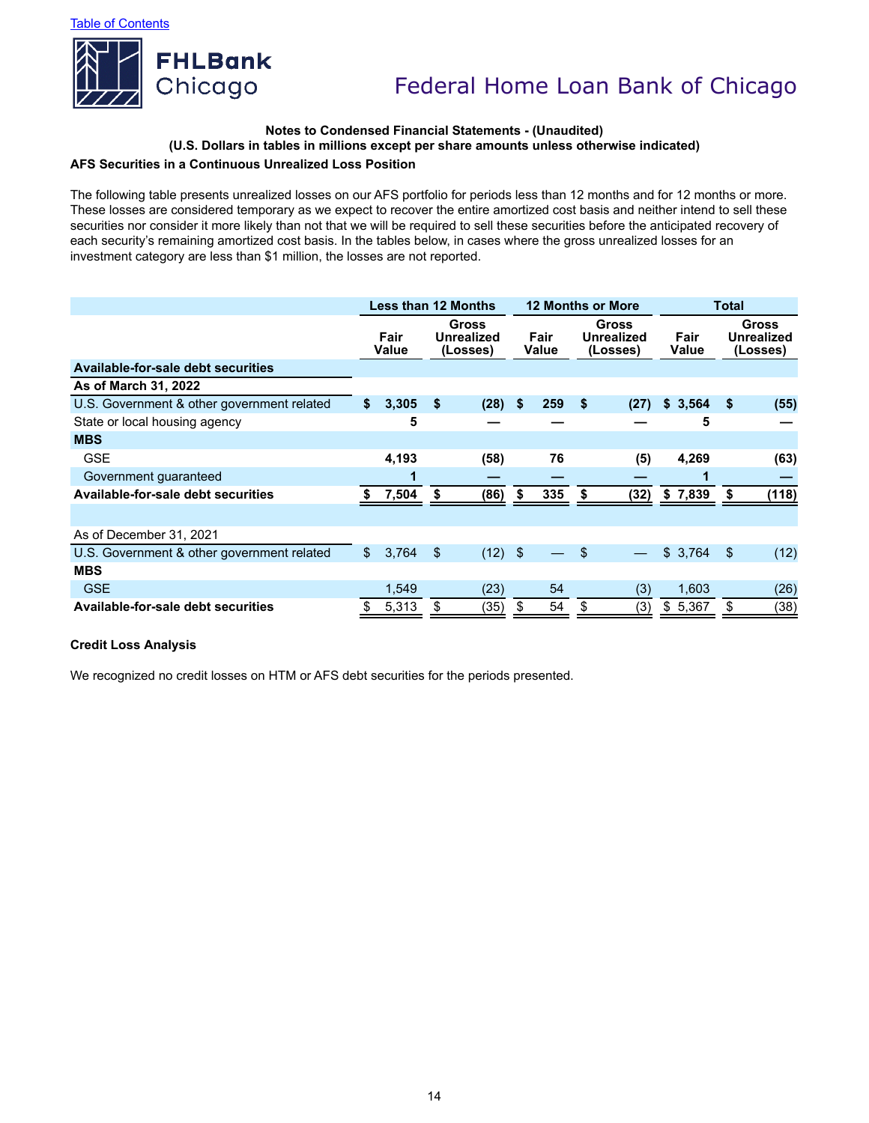

# **Notes to Condensed Financial Statements - (Unaudited) (U.S. Dollars in tables in millions except per share amounts unless otherwise indicated)**

# **AFS Securities in a Continuous Unrealized Loss Position**

The following table presents unrealized losses on our AFS portfolio for periods less than 12 months and for 12 months or more. These losses are considered temporary as we expect to recover the entire amortized cost basis and neither intend to sell these securities nor consider it more likely than not that we will be required to sell these securities before the anticipated recovery of each security's remaining amortized cost basis. In the tables below, in cases where the gross unrealized losses for an investment category are less than \$1 million, the losses are not reported.

|                                            | <b>Less than 12 Months</b> |       |                |                                        |               |     |                                        | <b>12 Months or More</b> | <b>Total</b>  |    |                                               |  |
|--------------------------------------------|----------------------------|-------|----------------|----------------------------------------|---------------|-----|----------------------------------------|--------------------------|---------------|----|-----------------------------------------------|--|
|                                            | Fair<br>Value              |       |                | Gross<br><b>Unrealized</b><br>(Losses) | Fair<br>Value |     | <b>Gross</b><br>Unrealized<br>(Losses) |                          | Fair<br>Value |    | <b>Gross</b><br><b>Unrealized</b><br>(Losses) |  |
| Available-for-sale debt securities         |                            |       |                |                                        |               |     |                                        |                          |               |    |                                               |  |
| As of March 31, 2022                       |                            |       |                |                                        |               |     |                                        |                          |               |    |                                               |  |
| U.S. Government & other government related | \$                         | 3,305 | Ŝ.             | (28)                                   | \$            | 259 | -\$                                    | (27)                     | \$3,564       | \$ | (55)                                          |  |
| State or local housing agency              |                            | 5     |                |                                        |               |     |                                        |                          | 5             |    |                                               |  |
| <b>MBS</b>                                 |                            |       |                |                                        |               |     |                                        |                          |               |    |                                               |  |
| <b>GSE</b>                                 |                            | 4,193 |                | (58)                                   |               | 76  |                                        | (5)                      | 4,269         |    | (63)                                          |  |
| Government guaranteed                      |                            | 1     |                |                                        |               |     |                                        |                          |               |    |                                               |  |
| <b>Available-for-sale debt securities</b>  | S                          | 7,504 | S              | (86)                                   | S             | 335 | \$                                     | (32)                     | \$7,839       | \$ | (118)                                         |  |
|                                            |                            |       |                |                                        |               |     |                                        |                          |               |    |                                               |  |
| As of December 31, 2021                    |                            |       |                |                                        |               |     |                                        |                          |               |    |                                               |  |
| U.S. Government & other government related | \$                         | 3,764 | $\mathfrak{L}$ | $(12)$ \$                              |               |     | -S                                     |                          | \$3,764       | \$ | (12)                                          |  |
| <b>MBS</b>                                 |                            |       |                |                                        |               |     |                                        |                          |               |    |                                               |  |
| <b>GSE</b>                                 |                            | 1,549 |                | (23)                                   |               | 54  |                                        | (3)                      | 1,603         |    | (26)                                          |  |
| Available-for-sale debt securities         | \$                         | 5,313 | \$             | (35)                                   | S             | 54  | \$                                     | (3)                      | \$5,367       | \$ | (38)                                          |  |

### **Credit Loss Analysis**

We recognized no credit losses on HTM or AFS debt securities for the periods presented.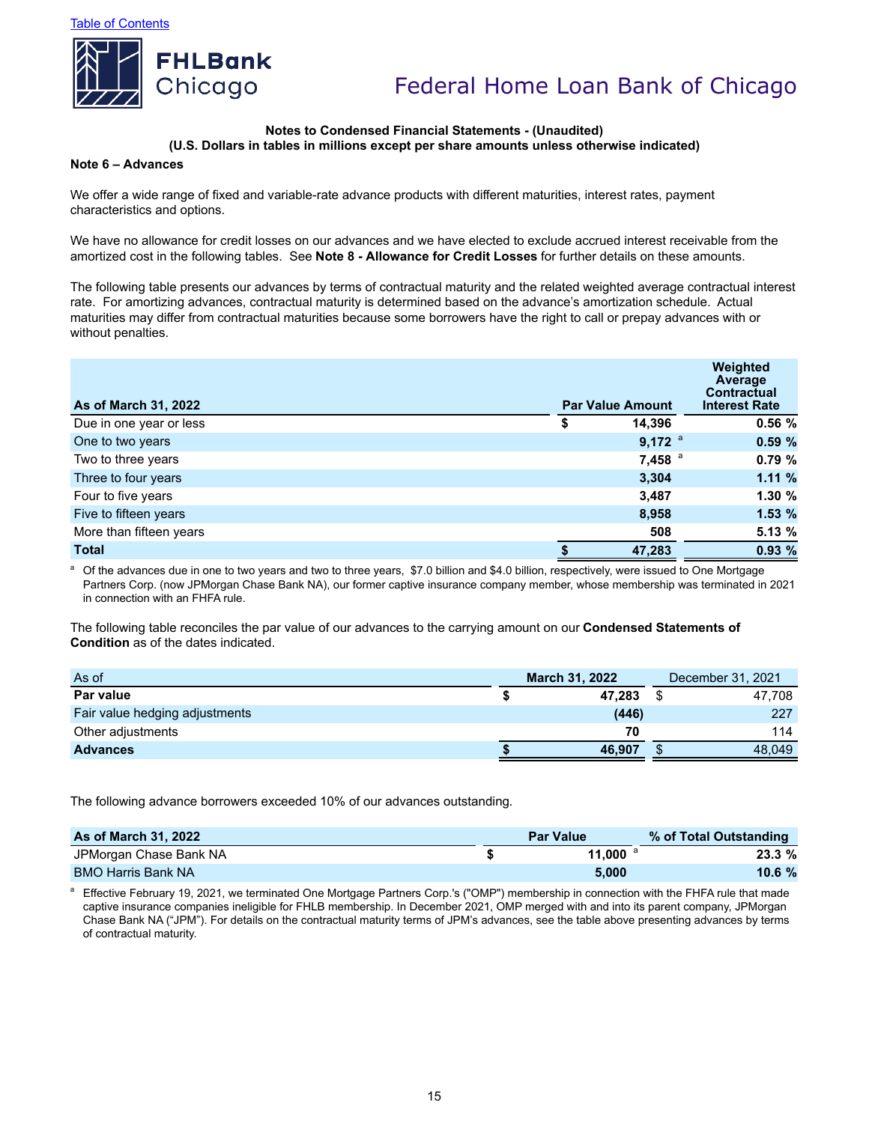

#### **Notes to Condensed Financial Statements - (Unaudited) (U.S. Dollars in tables in millions except per share amounts unless otherwise indicated)**

#### **Note 6 – Advances**

We offer a wide range of fixed and variable-rate advance products with different maturities, interest rates, payment characteristics and options.

We have no allowance for credit losses on our advances and we have elected to exclude accrued interest receivable from the amortized cost in the following tables. See **Note 8 - Allowance for Credit Losses** for further details on these amounts.

The following table presents our advances by terms of contractual maturity and the related weighted average contractual interest rate. For amortizing advances, contractual maturity is determined based on the advance's amortization schedule. Actual maturities may differ from contractual maturities because some borrowers have the right to call or prepay advances with or without penalties.

| As of March 31, 2022    | <b>Par Value Amount</b> | Weighted<br>Average<br><b>Contractual</b><br><b>Interest Rate</b> |
|-------------------------|-------------------------|-------------------------------------------------------------------|
| Due in one year or less | \$<br>14,396            | 0.56%                                                             |
| One to two years        | $9,172$ <sup>a</sup>    | 0.59%                                                             |
| Two to three years      | $7,458$ <sup>a</sup>    | 0.79%                                                             |
| Three to four years     | 3,304                   | 1.11%                                                             |
| Four to five years      | 3,487                   | 1.30%                                                             |
| Five to fifteen years   | 8,958                   | 1.53%                                                             |
| More than fifteen years | 508                     | 5.13 %                                                            |
| <b>Total</b>            | 47,283                  | 0.93%                                                             |

Of the advances due in one to two years and two to three years, \$7.0 billion and \$4.0 billion, respectively, were issued to One Mortgage Partners Corp. (now JPMorgan Chase Bank NA), our former captive insurance company member, whose membership was terminated in 2021 in connection with an FHFA rule.

The following table reconciles the par value of our advances to the carrying amount on our **Condensed Statements of Condition** as of the dates indicated.

| As of                          | <b>March 31, 2022</b> | December 31, 2021 |
|--------------------------------|-----------------------|-------------------|
| Par value                      | 47.283                | 47.708            |
| Fair value hedging adjustments | (446)                 | 227               |
| Other adjustments              | 70                    | 114               |
| <b>Advances</b>                | 46.907                | 48.049            |

The following advance borrowers exceeded 10% of our advances outstanding.

| <b>As of March 31, 2022</b> | <b>Par Value</b> | % of Total Outstanding |
|-----------------------------|------------------|------------------------|
| JPMorgan Chase Bank NA      | 11.000           | 23.3%                  |
| <b>BMO Harris Bank NA</b>   | 5.000            | 10.6%                  |

Effective February 19, 2021, we terminated One Mortgage Partners Corp.'s ("OMP") membership in connection with the FHFA rule that made captive insurance companies ineligible for FHLB membership. In December 2021, OMP merged with and into its parent company, JPMorgan Chase Bank NA ("JPM"). For details on the contractual maturity terms of JPM's advances, see the table above presenting advances by terms of contractual maturity.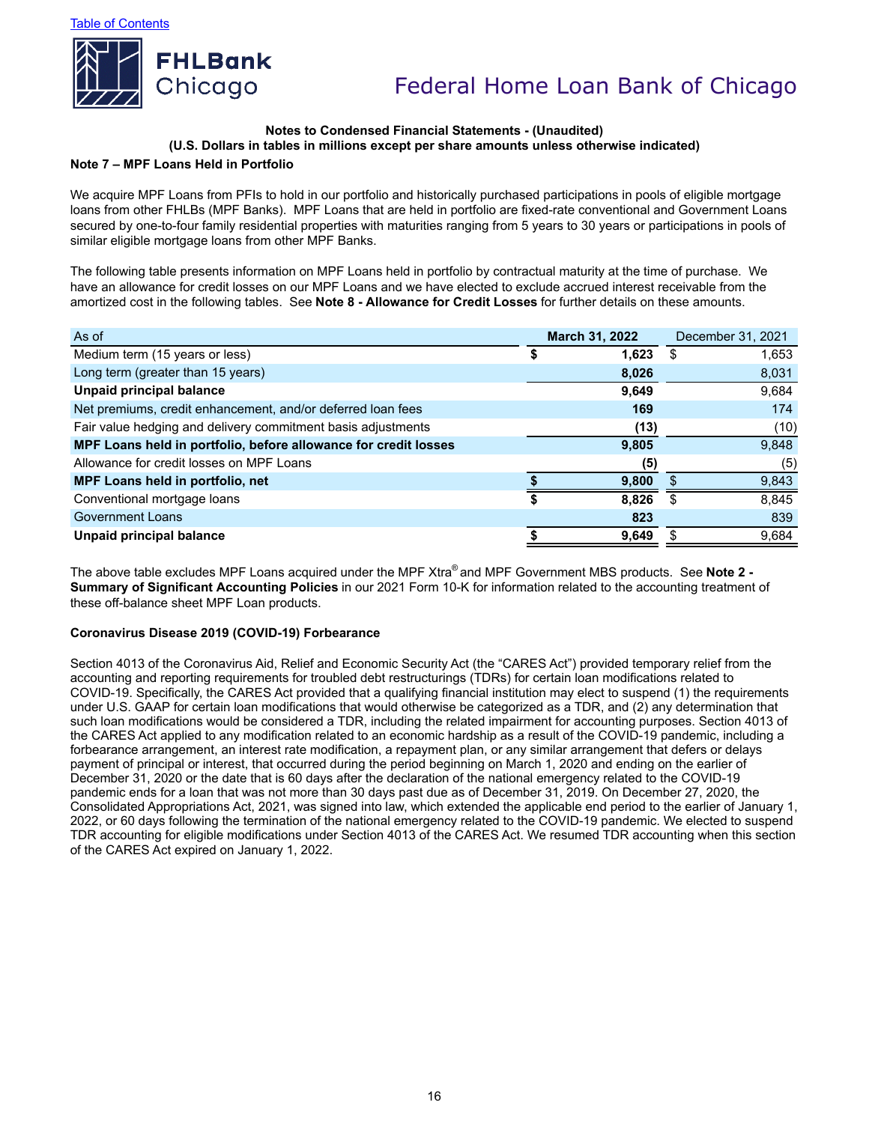

### **Notes to Condensed Financial Statements - (Unaudited) (U.S. Dollars in tables in millions except per share amounts unless otherwise indicated)**

#### **Note 7 – MPF Loans Held in Portfolio**

We acquire MPF Loans from PFIs to hold in our portfolio and historically purchased participations in pools of eligible mortgage loans from other FHLBs (MPF Banks). MPF Loans that are held in portfolio are fixed-rate conventional and Government Loans secured by one-to-four family residential properties with maturities ranging from 5 years to 30 years or participations in pools of similar eligible mortgage loans from other MPF Banks.

The following table presents information on MPF Loans held in portfolio by contractual maturity at the time of purchase. We have an allowance for credit losses on our MPF Loans and we have elected to exclude accrued interest receivable from the amortized cost in the following tables. See **Note 8 - Allowance for Credit Losses** for further details on these amounts.

| As of                                                           |   | <b>March 31, 2022</b> | December 31, 2021 |       |  |  |  |
|-----------------------------------------------------------------|---|-----------------------|-------------------|-------|--|--|--|
| Medium term (15 years or less)                                  | S | 1,623                 | \$                | 1,653 |  |  |  |
| Long term (greater than 15 years)                               |   | 8,026                 |                   | 8,031 |  |  |  |
| Unpaid principal balance                                        |   | 9,649                 |                   | 9,684 |  |  |  |
| Net premiums, credit enhancement, and/or deferred loan fees     |   | 169                   | 174               |       |  |  |  |
| Fair value hedging and delivery commitment basis adjustments    |   | (13)                  |                   | (10)  |  |  |  |
| MPF Loans held in portfolio, before allowance for credit losses |   | 9,805                 |                   | 9,848 |  |  |  |
| Allowance for credit losses on MPF Loans                        |   | (5)                   |                   | (5)   |  |  |  |
| MPF Loans held in portfolio, net                                |   | 9,800                 |                   | 9,843 |  |  |  |
| Conventional mortgage loans                                     |   | 8.826                 | £.                | 8,845 |  |  |  |
| <b>Government Loans</b>                                         |   | 823                   |                   | 839   |  |  |  |
| <b>Unpaid principal balance</b>                                 |   | 9,649                 |                   | 9,684 |  |  |  |

The above table excludes MPF Loans acquired under the MPF Xtra® and MPF Government MBS products. See **Note 2 - Summary of Significant Accounting Policies** in our 2021 Form 10-K for information related to the accounting treatment of these off-balance sheet MPF Loan products.

#### **Coronavirus Disease 2019 (COVID-19) Forbearance**

Section 4013 of the Coronavirus Aid, Relief and Economic Security Act (the "CARES Act") provided temporary relief from the accounting and reporting requirements for troubled debt restructurings (TDRs) for certain loan modifications related to COVID-19. Specifically, the CARES Act provided that a qualifying financial institution may elect to suspend (1) the requirements under U.S. GAAP for certain loan modifications that would otherwise be categorized as a TDR, and (2) any determination that such loan modifications would be considered a TDR, including the related impairment for accounting purposes. Section 4013 of the CARES Act applied to any modification related to an economic hardship as a result of the COVID-19 pandemic, including a forbearance arrangement, an interest rate modification, a repayment plan, or any similar arrangement that defers or delays payment of principal or interest, that occurred during the period beginning on March 1, 2020 and ending on the earlier of December 31, 2020 or the date that is 60 days after the declaration of the national emergency related to the COVID-19 pandemic ends for a loan that was not more than 30 days past due as of December 31, 2019. On December 27, 2020, the Consolidated Appropriations Act, 2021, was signed into law, which extended the applicable end period to the earlier of January 1, 2022, or 60 days following the termination of the national emergency related to the COVID-19 pandemic. We elected to suspend TDR accounting for eligible modifications under Section 4013 of the CARES Act. We resumed TDR accounting when this section of the CARES Act expired on January 1, 2022.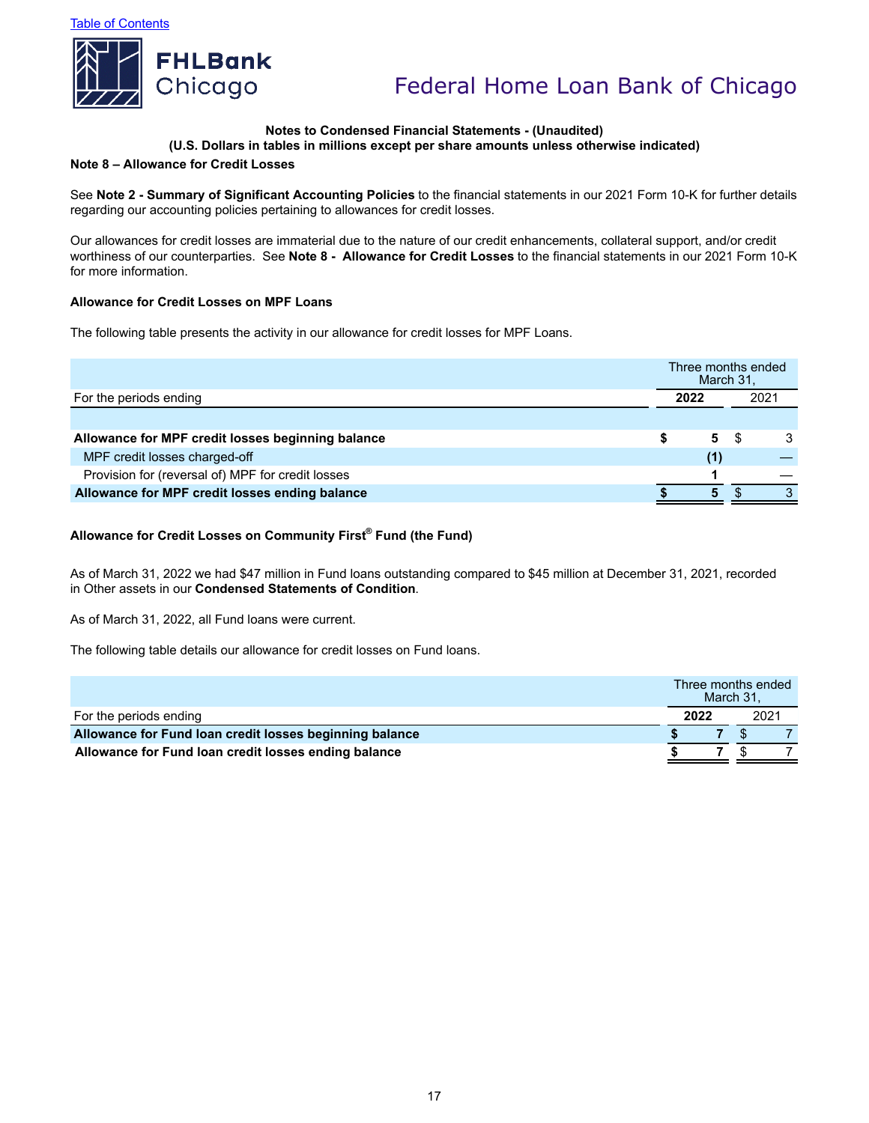

## **Notes to Condensed Financial Statements - (Unaudited)**

### **(U.S. Dollars in tables in millions except per share amounts unless otherwise indicated)**

#### **Note 8 – Allowance for Credit Losses**

See **Note 2 - Summary of Significant Accounting Policies** to the financial statements in our 2021 Form 10-K for further details regarding our accounting policies pertaining to allowances for credit losses.

Our allowances for credit losses are immaterial due to the nature of our credit enhancements, collateral support, and/or credit worthiness of our counterparties. See **Note 8 - Allowance for Credit Losses** to the financial statements in our 2021 Form 10-K for more information.

#### **Allowance for Credit Losses on MPF Loans**

The following table presents the activity in our allowance for credit losses for MPF Loans.

|                                                   |      | Three months ended<br>March 31, |  |                  |
|---------------------------------------------------|------|---------------------------------|--|------------------|
| For the periods ending                            | 2022 |                                 |  | 202 <sup>2</sup> |
|                                                   |      |                                 |  |                  |
| Allowance for MPF credit losses beginning balance |      | 5.                              |  |                  |
| MPF credit losses charged-off                     |      | (1)                             |  |                  |
| Provision for (reversal of) MPF for credit losses |      |                                 |  |                  |
| Allowance for MPF credit losses ending balance    |      | 5                               |  | ◠                |

### **Allowance for Credit Losses on Community First® Fund (the Fund)**

As of March 31, 2022 we had \$47 million in Fund loans outstanding compared to \$45 million at December 31, 2021, recorded in Other assets in our **Condensed Statements of Condition**.

As of March 31, 2022, all Fund loans were current.

The following table details our allowance for credit losses on Fund loans.

|                                                         |      | Three months ended<br>March 31. |  |  |  |
|---------------------------------------------------------|------|---------------------------------|--|--|--|
| For the periods ending                                  | 2022 | 2021                            |  |  |  |
| Allowance for Fund Ioan credit losses beginning balance |      |                                 |  |  |  |
| Allowance for Fund Ioan credit losses ending balance    |      |                                 |  |  |  |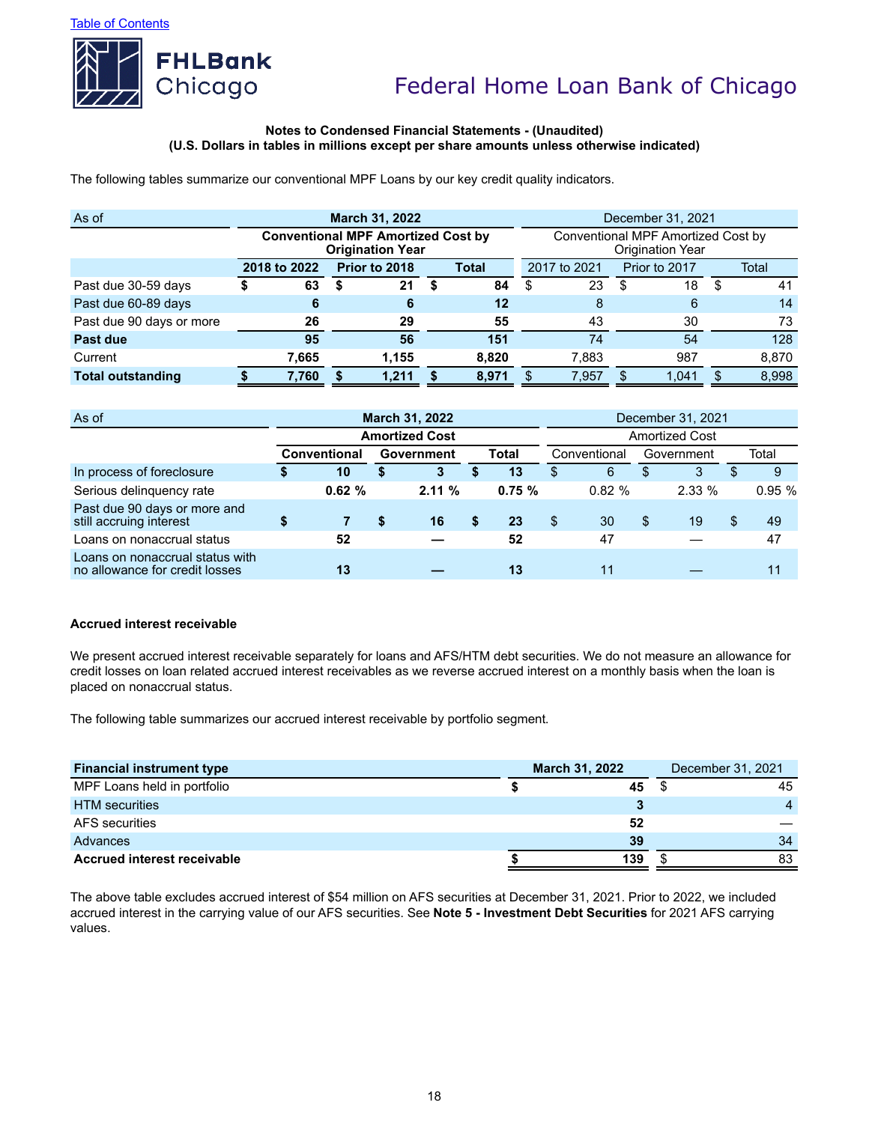

#### **Notes to Condensed Financial Statements - (Unaudited) (U.S. Dollars in tables in millions except per share amounts unless otherwise indicated)**

The following tables summarize our conventional MPF Loans by our key credit quality indicators.

| As of                    | <b>March 31, 2022</b>                     |   |                         |  |              |                                                               | December 31, 2021 |  |       |    |       |  |  |  |
|--------------------------|-------------------------------------------|---|-------------------------|--|--------------|---------------------------------------------------------------|-------------------|--|-------|----|-------|--|--|--|
|                          | <b>Conventional MPF Amortized Cost by</b> |   | <b>Origination Year</b> |  |              | Conventional MPF Amortized Cost by<br><b>Origination Year</b> |                   |  |       |    |       |  |  |  |
|                          | 2018 to 2022                              |   | Prior to 2018<br>Total  |  | 2017 to 2021 |                                                               | Prior to 2017     |  | Total |    |       |  |  |  |
| Past due 30-59 days      | 63                                        | 5 | 21                      |  | 84           | S                                                             | 23                |  | 18    | S  | 41    |  |  |  |
| Past due 60-89 days      | 6                                         |   | 6                       |  | 12           |                                                               | 8                 |  | 6     |    | 14    |  |  |  |
| Past due 90 days or more | 26                                        |   | 29                      |  | 55           |                                                               | 43                |  | 30    |    | 73    |  |  |  |
| Past due                 | 95                                        |   | 56                      |  | 151          |                                                               | 74                |  | 54    |    | 128   |  |  |  |
| Current                  | 7,665                                     |   | 1.155                   |  | 8.820        |                                                               | 7.883             |  | 987   |    | 8,870 |  |  |  |
| <b>Total outstanding</b> | 7,760                                     |   | 1,211                   |  | 8.971        |                                                               | 7,957             |  | 1.041 | \$ | 8,998 |  |  |  |
|                          |                                           |   |                         |  |              |                                                               |                   |  |       |    |       |  |  |  |

| As of                                                             |                                            |   | <b>March 31, 2022</b> |              |       | December 31, 2021     |            |              |       |    |       |
|-------------------------------------------------------------------|--------------------------------------------|---|-----------------------|--------------|-------|-----------------------|------------|--------------|-------|----|-------|
|                                                                   |                                            |   | <b>Amortized Cost</b> |              |       | <b>Amortized Cost</b> |            |              |       |    |       |
|                                                                   | <b>Total</b><br>Conventional<br>Government |   |                       | Conventional |       |                       | Government |              | Total |    |       |
| In process of foreclosure                                         | 10                                         | S | 3                     |              | 13    | \$                    | 6          | $\mathbf{E}$ | 3     |    | 9     |
| Serious delinquency rate                                          | 0.62%                                      |   | 2.11%                 |              | 0.75% |                       | 0.82%      |              | 2.33% |    | 0.95% |
| Past due 90 days or more and<br>still accruing interest           |                                            | S | 16                    | S            | 23    | S                     | 30         | \$.          | 19    | \$ | 49    |
| Loans on nonaccrual status                                        | 52                                         |   |                       |              | 52    |                       | 47         |              |       |    | 47    |
| Loans on nonaccrual status with<br>no allowance for credit losses | 13                                         |   |                       |              | 13    |                       |            |              |       |    | 11    |

### **Accrued interest receivable**

We present accrued interest receivable separately for loans and AFS/HTM debt securities. We do not measure an allowance for credit losses on loan related accrued interest receivables as we reverse accrued interest on a monthly basis when the loan is placed on nonaccrual status.

The following table summarizes our accrued interest receivable by portfolio segment.

| <b>Financial instrument type</b>   | <b>March 31, 2022</b> | December 31, 2021 |  |  |  |
|------------------------------------|-----------------------|-------------------|--|--|--|
| MPF Loans held in portfolio        | 45                    | 45                |  |  |  |
| <b>HTM</b> securities              |                       | $\mathbf{A}$      |  |  |  |
| AFS securities                     | 52                    |                   |  |  |  |
| Advances                           | 39                    | 34                |  |  |  |
| <b>Accrued interest receivable</b> | 139                   | 83                |  |  |  |

The above table excludes accrued interest of \$54 million on AFS securities at December 31, 2021. Prior to 2022, we included accrued interest in the carrying value of our AFS securities. See **Note 5 - Investment Debt Securities** for 2021 AFS carrying values.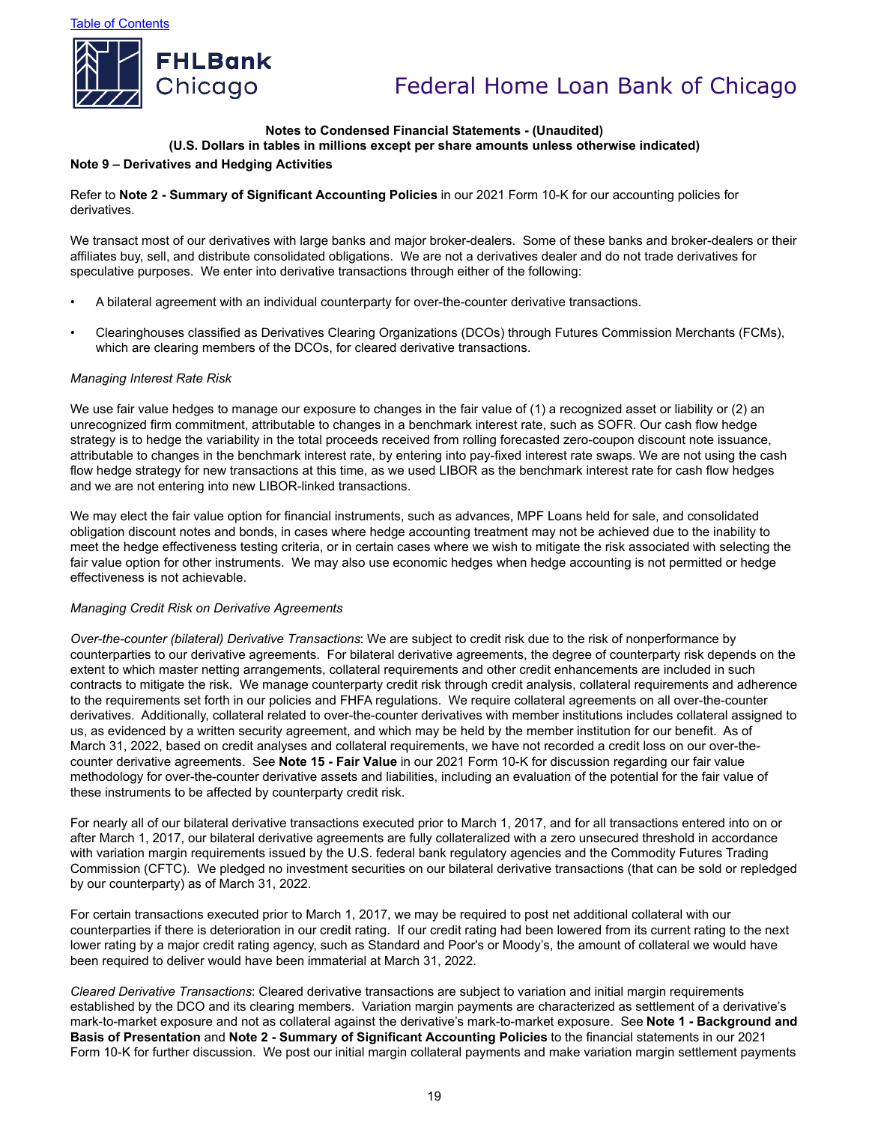

#### **Notes to Condensed Financial Statements - (Unaudited) (U.S. Dollars in tables in millions except per share amounts unless otherwise indicated)**

### **Note 9 – Derivatives and Hedging Activities**

Refer to **Note 2 - Summary of Significant Accounting Policies** in our 2021 Form 10-K for our accounting policies for derivatives.

We transact most of our derivatives with large banks and major broker-dealers. Some of these banks and broker-dealers or their affiliates buy, sell, and distribute consolidated obligations. We are not a derivatives dealer and do not trade derivatives for speculative purposes. We enter into derivative transactions through either of the following:

- A bilateral agreement with an individual counterparty for over-the-counter derivative transactions.
- Clearinghouses classified as Derivatives Clearing Organizations (DCOs) through Futures Commission Merchants (FCMs), which are clearing members of the DCOs, for cleared derivative transactions.

### *Managing Interest Rate Risk*

We use fair value hedges to manage our exposure to changes in the fair value of (1) a recognized asset or liability or (2) an unrecognized firm commitment, attributable to changes in a benchmark interest rate, such as SOFR. Our cash flow hedge strategy is to hedge the variability in the total proceeds received from rolling forecasted zero-coupon discount note issuance, attributable to changes in the benchmark interest rate, by entering into pay-fixed interest rate swaps. We are not using the cash flow hedge strategy for new transactions at this time, as we used LIBOR as the benchmark interest rate for cash flow hedges and we are not entering into new LIBOR-linked transactions.

We may elect the fair value option for financial instruments, such as advances, MPF Loans held for sale, and consolidated obligation discount notes and bonds, in cases where hedge accounting treatment may not be achieved due to the inability to meet the hedge effectiveness testing criteria, or in certain cases where we wish to mitigate the risk associated with selecting the fair value option for other instruments. We may also use economic hedges when hedge accounting is not permitted or hedge effectiveness is not achievable.

#### *Managing Credit Risk on Derivative Agreements*

*Over-the-counter (bilateral) Derivative Transactions*: We are subject to credit risk due to the risk of nonperformance by counterparties to our derivative agreements. For bilateral derivative agreements, the degree of counterparty risk depends on the extent to which master netting arrangements, collateral requirements and other credit enhancements are included in such contracts to mitigate the risk. We manage counterparty credit risk through credit analysis, collateral requirements and adherence to the requirements set forth in our policies and FHFA regulations. We require collateral agreements on all over-the-counter derivatives. Additionally, collateral related to over-the-counter derivatives with member institutions includes collateral assigned to us, as evidenced by a written security agreement, and which may be held by the member institution for our benefit. As of March 31, 2022, based on credit analyses and collateral requirements, we have not recorded a credit loss on our over-thecounter derivative agreements. See **Note 15 - Fair Value** in our 2021 Form 10-K for discussion regarding our fair value methodology for over-the-counter derivative assets and liabilities, including an evaluation of the potential for the fair value of these instruments to be affected by counterparty credit risk.

For nearly all of our bilateral derivative transactions executed prior to March 1, 2017, and for all transactions entered into on or after March 1, 2017, our bilateral derivative agreements are fully collateralized with a zero unsecured threshold in accordance with variation margin requirements issued by the U.S. federal bank regulatory agencies and the Commodity Futures Trading Commission (CFTC). We pledged no investment securities on our bilateral derivative transactions (that can be sold or repledged by our counterparty) as of March 31, 2022.

For certain transactions executed prior to March 1, 2017, we may be required to post net additional collateral with our counterparties if there is deterioration in our credit rating. If our credit rating had been lowered from its current rating to the next lower rating by a major credit rating agency, such as Standard and Poor's or Moody's, the amount of collateral we would have been required to deliver would have been immaterial at March 31, 2022.

*Cleared Derivative Transactions*: Cleared derivative transactions are subject to variation and initial margin requirements established by the DCO and its clearing members. Variation margin payments are characterized as settlement of a derivative's mark-to-market exposure and not as collateral against the derivative's mark-to-market exposure. See **Note 1 - Background and Basis of Presentation** and **Note 2 - Summary of Significant Accounting Policies** to the financial statements in our 2021 Form 10-K for further discussion. We post our initial margin collateral payments and make variation margin settlement payments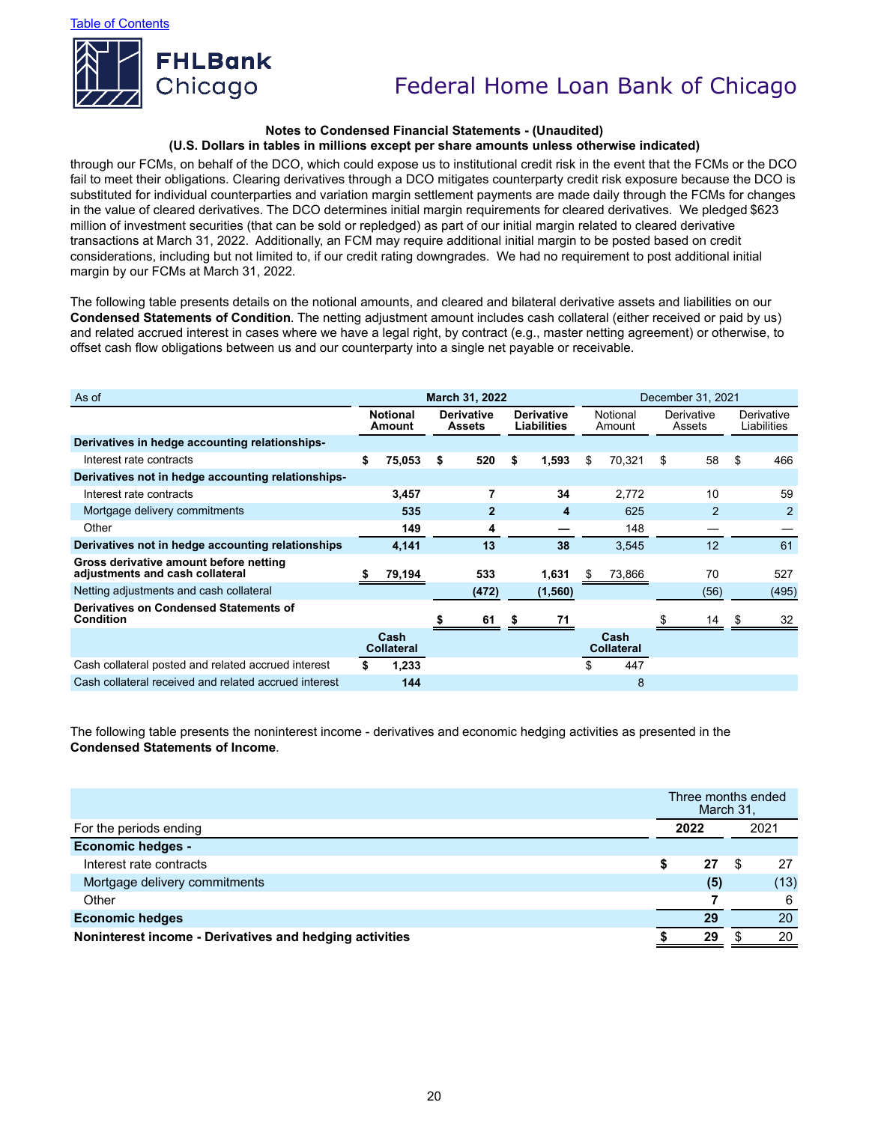

#### **Notes to Condensed Financial Statements - (Unaudited) (U.S. Dollars in tables in millions except per share amounts unless otherwise indicated)**

through our FCMs, on behalf of the DCO, which could expose us to institutional credit risk in the event that the FCMs or the DCO fail to meet their obligations. Clearing derivatives through a DCO mitigates counterparty credit risk exposure because the DCO is substituted for individual counterparties and variation margin settlement payments are made daily through the FCMs for changes in the value of cleared derivatives. The DCO determines initial margin requirements for cleared derivatives. We pledged \$623 million of investment securities (that can be sold or repledged) as part of our initial margin related to cleared derivative transactions at March 31, 2022. Additionally, an FCM may require additional initial margin to be posted based on credit considerations, including but not limited to, if our credit rating downgrades. We had no requirement to post additional initial margin by our FCMs at March 31, 2022.

The following table presents details on the notional amounts, and cleared and bilateral derivative assets and liabilities on our **Condensed Statements of Condition**. The netting adjustment amount includes cash collateral (either received or paid by us) and related accrued interest in cases where we have a legal right, by contract (e.g., master netting agreement) or otherwise, to offset cash flow obligations between us and our counterparty into a single net payable or receivable.

| As of                                                                     | March 31, 2022                                                  |                           |    |                                         |    |                    | December 31, 2021    |                           |    |                           |    |       |
|---------------------------------------------------------------------------|-----------------------------------------------------------------|---------------------------|----|-----------------------------------------|----|--------------------|----------------------|---------------------------|----|---------------------------|----|-------|
|                                                                           | <b>Notional</b><br><b>Derivative</b><br><b>Assets</b><br>Amount |                           |    | <b>Derivative</b><br><b>Liabilities</b> |    | Notional<br>Amount | Derivative<br>Assets |                           |    | Derivative<br>Liabilities |    |       |
| Derivatives in hedge accounting relationships-                            |                                                                 |                           |    |                                         |    |                    |                      |                           |    |                           |    |       |
| Interest rate contracts                                                   | \$                                                              | 75,053                    | \$ | 520                                     | \$ | 1,593              | \$                   | 70,321                    | \$ | 58                        | \$ | 466   |
| Derivatives not in hedge accounting relationships-                        |                                                                 |                           |    |                                         |    |                    |                      |                           |    |                           |    |       |
| Interest rate contracts                                                   |                                                                 | 3,457                     |    | 7                                       |    | 34                 |                      | 2,772                     |    | 10                        |    | 59    |
| Mortgage delivery commitments                                             |                                                                 | 535                       |    | $\overline{2}$                          |    | 4                  |                      | 625                       |    | $\mathfrak{p}$            |    | 2     |
| Other                                                                     |                                                                 | 149                       |    | 4                                       |    |                    |                      | 148                       |    |                           |    |       |
| Derivatives not in hedge accounting relationships                         |                                                                 | 4,141                     |    | 13                                      |    | 38                 |                      | 3,545                     |    | 12                        |    | 61    |
| Gross derivative amount before netting<br>adjustments and cash collateral |                                                                 | 79,194                    |    | 533                                     |    | 1,631              | æ.                   | 73,866                    |    | 70                        |    | 527   |
| Netting adjustments and cash collateral                                   |                                                                 |                           |    | (472)                                   |    | (1,560)            |                      |                           |    | (56)                      |    | (495) |
| Derivatives on Condensed Statements of<br>Condition                       |                                                                 |                           |    | 61                                      |    | 71                 |                      |                           |    | 14                        |    | 32    |
|                                                                           |                                                                 | Cash<br><b>Collateral</b> |    |                                         |    |                    |                      | Cash<br><b>Collateral</b> |    |                           |    |       |
| Cash collateral posted and related accrued interest                       |                                                                 | 1,233                     |    |                                         |    |                    |                      | 447                       |    |                           |    |       |
| Cash collateral received and related accrued interest                     |                                                                 | 144                       |    |                                         |    |                    |                      | 8                         |    |                           |    |       |

The following table presents the noninterest income - derivatives and economic hedging activities as presented in the **Condensed Statements of Income**.

|                                                         | Three months ended<br>March 31, |     |  |      |
|---------------------------------------------------------|---------------------------------|-----|--|------|
| For the periods ending                                  | 2022                            |     |  | 2021 |
| <b>Economic hedges -</b>                                |                                 |     |  |      |
| Interest rate contracts                                 |                                 | 27  |  | 27   |
| Mortgage delivery commitments                           |                                 | (5) |  | (13) |
| Other                                                   |                                 |     |  | 6    |
| <b>Economic hedges</b>                                  |                                 | 29  |  | 20   |
| Noninterest income - Derivatives and hedging activities |                                 | 29  |  | 20   |
|                                                         |                                 |     |  |      |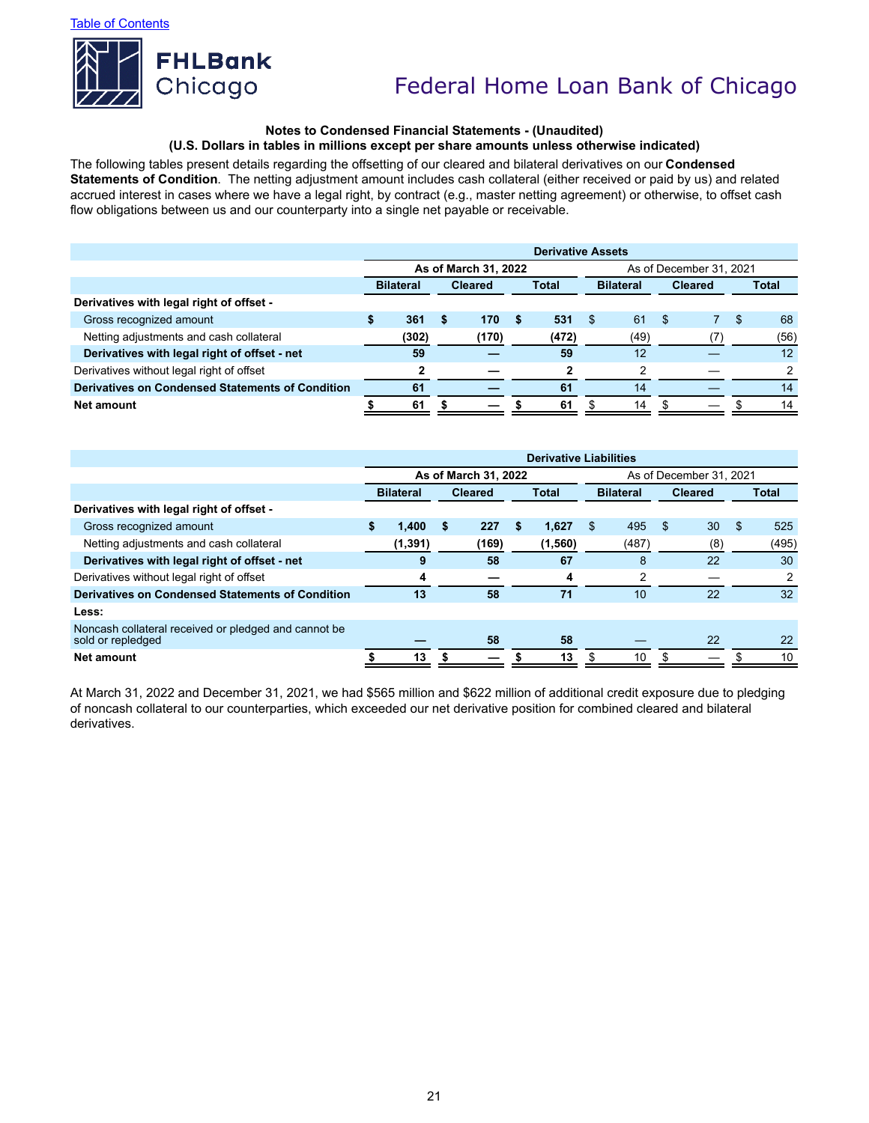

### **Notes to Condensed Financial Statements - (Unaudited) (U.S. Dollars in tables in millions except per share amounts unless otherwise indicated)**

The following tables present details regarding the offsetting of our cleared and bilateral derivatives on our **Condensed Statements of Condition**. The netting adjustment amount includes cash collateral (either received or paid by us) and related accrued interest in cases where we have a legal right, by contract (e.g., master netting agreement) or otherwise, to offset cash flow obligations between us and our counterparty into a single net payable or receivable.

|                                                  | <b>Derivative Assets</b> |       |                                |       |                  |       |                         |      |       |  |   |      |
|--------------------------------------------------|--------------------------|-------|--------------------------------|-------|------------------|-------|-------------------------|------|-------|--|---|------|
|                                                  | As of March 31, 2022     |       |                                |       |                  |       | As of December 31, 2021 |      |       |  |   |      |
|                                                  | <b>Bilateral</b>         |       | <b>Total</b><br><b>Cleared</b> |       | <b>Bilateral</b> |       | <b>Cleared</b>          |      | Total |  |   |      |
| Derivatives with legal right of offset -         |                          |       |                                |       |                  |       |                         |      |       |  |   |      |
| Gross recognized amount                          |                          | 361   | -5                             | 170   | S                | 531   | -S                      | 61   | -S    |  | S | 68   |
| Netting adjustments and cash collateral          |                          | (302) |                                | (170) |                  | (472) |                         | (49) |       |  |   | (56) |
| Derivatives with legal right of offset - net     |                          | 59    |                                |       |                  | 59    |                         | 12   |       |  |   | 12   |
| Derivatives without legal right of offset        |                          |       |                                |       |                  | າ     |                         | っ    |       |  |   |      |
| Derivatives on Condensed Statements of Condition |                          | 61    |                                |       |                  | 61    |                         | 14   |       |  |   | 14   |
| Net amount                                       |                          | 61    |                                |       |                  | 61    |                         | 14   |       |  |   | 14   |

|                                                                           | <b>Derivative Liabilities</b> |          |                      |                         |              |         |                  |                |                |     |     |              |
|---------------------------------------------------------------------------|-------------------------------|----------|----------------------|-------------------------|--------------|---------|------------------|----------------|----------------|-----|-----|--------------|
|                                                                           |                               |          | As of March 31, 2022 | As of December 31, 2021 |              |         |                  |                |                |     |     |              |
|                                                                           | <b>Bilateral</b>              |          | <b>Cleared</b>       |                         | <b>Total</b> |         | <b>Bilateral</b> |                | <b>Cleared</b> |     |     | <b>Total</b> |
| Derivatives with legal right of offset -                                  |                               |          |                      |                         |              |         |                  |                |                |     |     |              |
| Gross recognized amount                                                   | S                             | 1.400    | S                    | 227                     | S            | 1,627   | \$.              | 495            | \$.            | 30  | \$. | 525          |
| Netting adjustments and cash collateral                                   |                               | (1, 391) |                      | (169)                   |              | (1,560) |                  | (487)          |                | (8) |     | (495)        |
| Derivatives with legal right of offset - net                              |                               | 9        |                      | 58                      |              | 67      |                  | 8              |                | 22  |     | 30           |
| Derivatives without legal right of offset                                 |                               | 4        |                      |                         |              | 4       |                  | $\overline{2}$ |                |     |     |              |
| Derivatives on Condensed Statements of Condition                          |                               | 13       |                      | 58                      |              | 71      |                  | 10             |                | 22  |     | 32           |
| Less:                                                                     |                               |          |                      |                         |              |         |                  |                |                |     |     |              |
| Noncash collateral received or pledged and cannot be<br>sold or repledged |                               |          |                      | 58                      |              | 58      |                  |                |                | 22  |     | 22           |
| Net amount                                                                |                               | 13       |                      |                         |              | 13      |                  | 10             |                |     |     | 10           |

At March 31, 2022 and December 31, 2021, we had \$565 million and \$622 million of additional credit exposure due to pledging of noncash collateral to our counterparties, which exceeded our net derivative position for combined cleared and bilateral derivatives.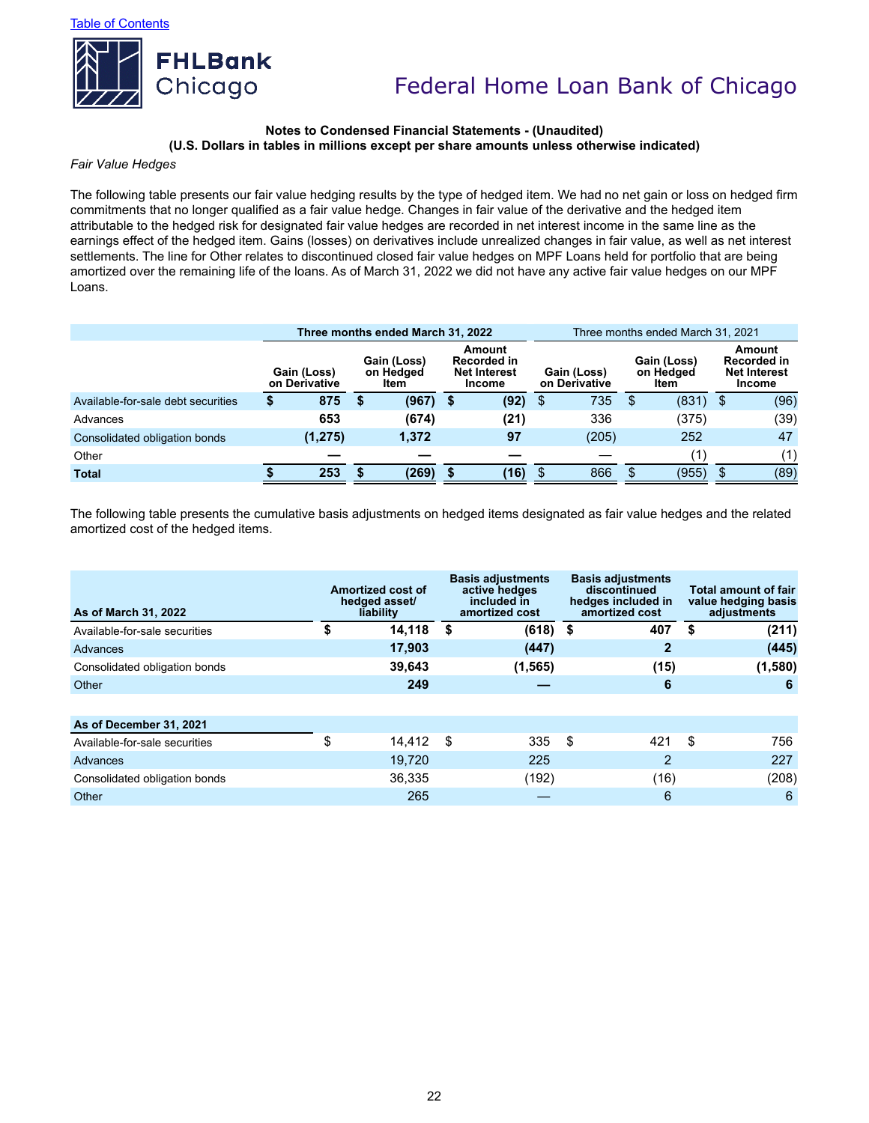

#### **Notes to Condensed Financial Statements - (Unaudited) (U.S. Dollars in tables in millions except per share amounts unless otherwise indicated)**

#### *Fair Value Hedges*

The following table presents our fair value hedging results by the type of hedged item. We had no net gain or loss on hedged firm commitments that no longer qualified as a fair value hedge. Changes in fair value of the derivative and the hedged item attributable to the hedged risk for designated fair value hedges are recorded in net interest income in the same line as the earnings effect of the hedged item. Gains (losses) on derivatives include unrealized changes in fair value, as well as net interest settlements. The line for Other relates to discontinued closed fair value hedges on MPF Loans held for portfolio that are being amortized over the remaining life of the loans. As of March 31, 2022 we did not have any active fair value hedges on our MPF Loans.

|                                    |   |                              |                                  | Three months ended March 31, 2022 |                                                               |      | Three months ended March 31, 2021 |       |                                  |       |     |                                                               |  |  |
|------------------------------------|---|------------------------------|----------------------------------|-----------------------------------|---------------------------------------------------------------|------|-----------------------------------|-------|----------------------------------|-------|-----|---------------------------------------------------------------|--|--|
|                                    |   | Gain (Loss)<br>on Derivative | Gain (Loss)<br>on Hedged<br>Item |                                   | Amount<br>Recorded in<br><b>Net Interest</b><br><b>Income</b> |      | Gain (Loss)<br>on Derivative      |       | Gain (Loss)<br>on Hedged<br>Item |       |     | Amount<br>Recorded in<br><b>Net Interest</b><br><b>Income</b> |  |  |
| Available-for-sale debt securities | S | 875                          | S                                | (967)                             | 5                                                             | (92) | \$                                | 735   | S                                | (831) | -\$ | (96)                                                          |  |  |
| Advances                           |   | 653                          |                                  | (674)                             |                                                               | (21) |                                   | 336   |                                  | (375) |     | (39)                                                          |  |  |
| Consolidated obligation bonds      |   | (1, 275)                     |                                  | 1,372                             |                                                               | 97   |                                   | (205) |                                  | 252   |     | 47                                                            |  |  |
| Other                              |   |                              |                                  |                                   |                                                               |      |                                   |       |                                  | (1)   |     | (1)                                                           |  |  |
| <b>Total</b>                       |   | 253                          |                                  | (269)                             |                                                               | (16) | S                                 | 866   | S                                | (955) | \$  | (89)                                                          |  |  |

The following table presents the cumulative basis adjustments on hedged items designated as fair value hedges and the related amortized cost of the hedged items.

| As of March 31, 2022          | Amortized cost of<br>hedged asset/<br>liability |        |      | <b>Basis adjustments</b><br>active hedges<br>included in<br>amortized cost |     | <b>Basis adjustments</b><br>discontinued<br>hedges included in<br>amortized cost | Total amount of fair<br>value hedging basis<br>adjustments |         |  |
|-------------------------------|-------------------------------------------------|--------|------|----------------------------------------------------------------------------|-----|----------------------------------------------------------------------------------|------------------------------------------------------------|---------|--|
| Available-for-sale securities |                                                 | 14,118 | - \$ | $(618)$ \$                                                                 |     | 407                                                                              | S                                                          | (211)   |  |
| Advances                      |                                                 | 17.903 |      | (447)                                                                      |     | $\mathbf{2}$                                                                     |                                                            | (445)   |  |
| Consolidated obligation bonds |                                                 | 39,643 |      | (1, 565)                                                                   |     | (15)                                                                             |                                                            | (1,580) |  |
| Other                         |                                                 | 249    |      |                                                                            |     | 6                                                                                |                                                            | 6       |  |
|                               |                                                 |        |      |                                                                            |     |                                                                                  |                                                            |         |  |
| As of December 31, 2021       |                                                 |        |      |                                                                            |     |                                                                                  |                                                            |         |  |
| Available-for-sale securities | \$                                              | 14.412 | - \$ | 335                                                                        | -\$ | 421                                                                              | \$                                                         | 756     |  |
| Advances                      |                                                 | 19,720 |      | 225                                                                        |     | 2                                                                                |                                                            | 227     |  |
| Consolidated obligation bonds |                                                 | 36,335 |      | (192)                                                                      |     | (16)                                                                             |                                                            | (208)   |  |
| Other                         |                                                 | 265    |      |                                                                            |     | 6                                                                                |                                                            | 6       |  |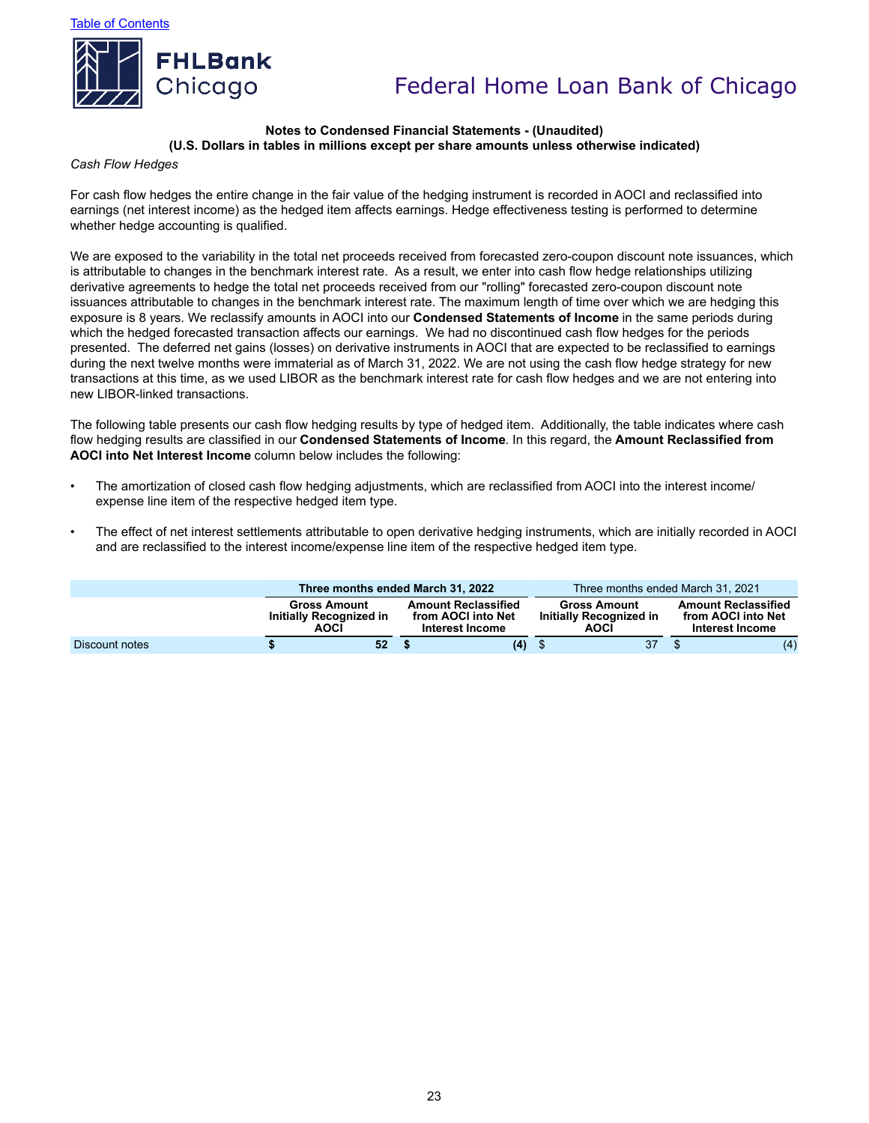Table of Contents



# Federal Home Loan Bank of Chicago

#### **Notes to Condensed Financial Statements - (Unaudited) (U.S. Dollars in tables in millions except per share amounts unless otherwise indicated)**

#### *Cash Flow Hedges*

For cash flow hedges the entire change in the fair value of the hedging instrument is recorded in AOCI and reclassified into earnings (net interest income) as the hedged item affects earnings. Hedge effectiveness testing is performed to determine whether hedge accounting is qualified.

We are exposed to the variability in the total net proceeds received from forecasted zero-coupon discount note issuances, which is attributable to changes in the benchmark interest rate. As a result, we enter into cash flow hedge relationships utilizing derivative agreements to hedge the total net proceeds received from our "rolling" forecasted zero-coupon discount note issuances attributable to changes in the benchmark interest rate. The maximum length of time over which we are hedging this exposure is 8 years. We reclassify amounts in AOCI into our **Condensed Statements of Income** in the same periods during which the hedged forecasted transaction affects our earnings. We had no discontinued cash flow hedges for the periods presented. The deferred net gains (losses) on derivative instruments in AOCI that are expected to be reclassified to earnings during the next twelve months were immaterial as of March 31, 2022. We are not using the cash flow hedge strategy for new transactions at this time, as we used LIBOR as the benchmark interest rate for cash flow hedges and we are not entering into new LIBOR-linked transactions.

The following table presents our cash flow hedging results by type of hedged item. Additionally, the table indicates where cash flow hedging results are classified in our **Condensed Statements of Income**. In this regard, the **Amount Reclassified from AOCI into Net Interest Income** column below includes the following:

- The amortization of closed cash flow hedging adjustments, which are reclassified from AOCI into the interest income/ expense line item of the respective hedged item type.
- The effect of net interest settlements attributable to open derivative hedging instruments, which are initially recorded in AOCI and are reclassified to the interest income/expense line item of the respective hedged item type.

|                |                                                        | Three months ended March 31, 2022                                   |     |                                                               | Three months ended March 31, 2021 |                                                                     |  |  |
|----------------|--------------------------------------------------------|---------------------------------------------------------------------|-----|---------------------------------------------------------------|-----------------------------------|---------------------------------------------------------------------|--|--|
|                | <b>Gross Amount</b><br>Initially Recognized in<br>AOCÍ | <b>Amount Reclassified</b><br>from AOCI into Net<br>Interest Income |     | <b>Gross Amount</b><br>Initially Recognized in<br><b>AOCI</b> |                                   | <b>Amount Reclassified</b><br>from AOCI into Net<br>Interest Income |  |  |
| Discount notes | 52                                                     |                                                                     | (4) | 37                                                            |                                   | (4)                                                                 |  |  |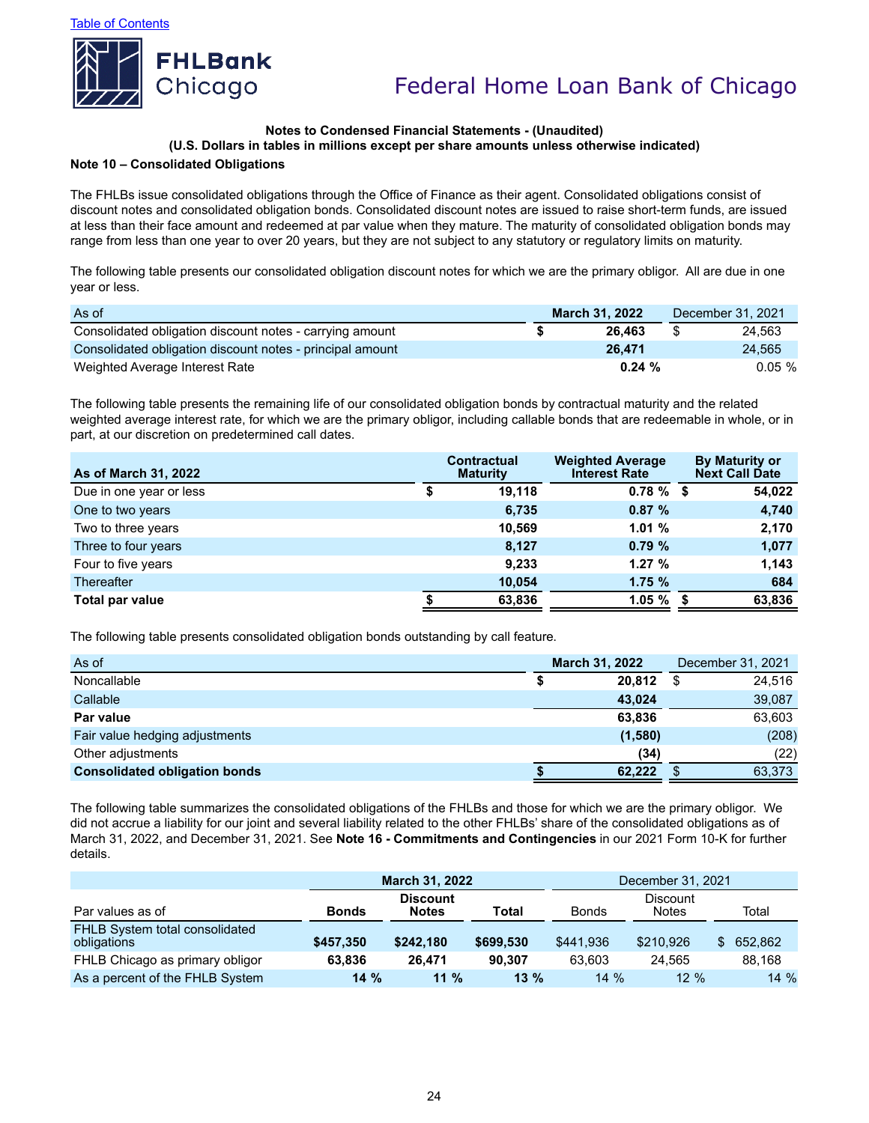

# **Notes to Condensed Financial Statements - (Unaudited)**

## **(U.S. Dollars in tables in millions except per share amounts unless otherwise indicated)**

### **Note 10 – Consolidated Obligations**

The FHLBs issue consolidated obligations through the Office of Finance as their agent. Consolidated obligations consist of discount notes and consolidated obligation bonds. Consolidated discount notes are issued to raise short-term funds, are issued at less than their face amount and redeemed at par value when they mature. The maturity of consolidated obligation bonds may range from less than one year to over 20 years, but they are not subject to any statutory or regulatory limits on maturity.

The following table presents our consolidated obligation discount notes for which we are the primary obligor. All are due in one year or less.

| As of                                                     |  | <b>March 31, 2022</b> | December 31, 2021 |           |  |
|-----------------------------------------------------------|--|-----------------------|-------------------|-----------|--|
| Consolidated obligation discount notes - carrying amount  |  | 26.463                | \$                | 24.563    |  |
| Consolidated obligation discount notes - principal amount |  | 26.471                |                   | 24.565    |  |
| Weighted Average Interest Rate                            |  | 0.24%                 |                   | $0.05 \%$ |  |

The following table presents the remaining life of our consolidated obligation bonds by contractual maturity and the related weighted average interest rate, for which we are the primary obligor, including callable bonds that are redeemable in whole, or in part, at our discretion on predetermined call dates.

| <b>As of March 31, 2022</b> | <b>Contractual</b><br><b>Maturity</b> | <b>Weighted Average</b><br><b>Interest Rate</b> | <b>By Maturity or</b><br><b>Next Call Date</b> |
|-----------------------------|---------------------------------------|-------------------------------------------------|------------------------------------------------|
| Due in one year or less     | 19.118                                | $0.78 \%$ \$                                    | 54,022                                         |
| One to two years            | 6,735                                 | 0.87%                                           | 4,740                                          |
| Two to three years          | 10.569                                | 1.01%                                           | 2,170                                          |
| Three to four years         | 8.127                                 | 0.79%                                           | 1,077                                          |
| Four to five years          | 9.233                                 | 1.27%                                           | 1.143                                          |
| <b>Thereafter</b>           | 10,054                                | 1.75%                                           | 684                                            |
| Total par value             | 63,836                                | 1.05%                                           | 63,836                                         |

The following table presents consolidated obligation bonds outstanding by call feature.

| As of                                | <b>March 31, 2022</b> |         | December 31, 2021 |        |
|--------------------------------------|-----------------------|---------|-------------------|--------|
| Noncallable                          |                       | 20.812  |                   | 24,516 |
| Callable                             |                       | 43.024  |                   | 39,087 |
| Par value                            |                       | 63,836  |                   | 63,603 |
| Fair value hedging adjustments       |                       | (1,580) |                   | (208)  |
| Other adjustments                    |                       | (34)    |                   | (22)   |
| <b>Consolidated obligation bonds</b> |                       | 62.222  |                   | 63,373 |

The following table summarizes the consolidated obligations of the FHLBs and those for which we are the primary obligor. We did not accrue a liability for our joint and several liability related to the other FHLBs' share of the consolidated obligations as of March 31, 2022, and December 31, 2021. See **Note 16 - Commitments and Contingencies** in our 2021 Form 10-K for further details.

|                                               |              | <b>March 31, 2022</b>                                                                       |           | December 31, 2021 |           |         |  |  |  |
|-----------------------------------------------|--------------|---------------------------------------------------------------------------------------------|-----------|-------------------|-----------|---------|--|--|--|
| Par values as of                              | <b>Bonds</b> | <b>Discount</b><br><b>Discount</b><br>Total<br><b>Bonds</b><br><b>Notes</b><br><b>Notes</b> |           |                   |           |         |  |  |  |
| FHLB System total consolidated<br>obligations | \$457,350    | \$242.180                                                                                   | \$699.530 | \$441.936         | \$210,926 | 652.862 |  |  |  |
| FHLB Chicago as primary obligor               | 63.836       | 26.471                                                                                      | 90.307    | 63.603            | 24.565    | 88.168  |  |  |  |
| As a percent of the FHLB System               | 14%          | $11\%$                                                                                      | $13 \%$   | $14\%$            | $12 \%$   | $14\%$  |  |  |  |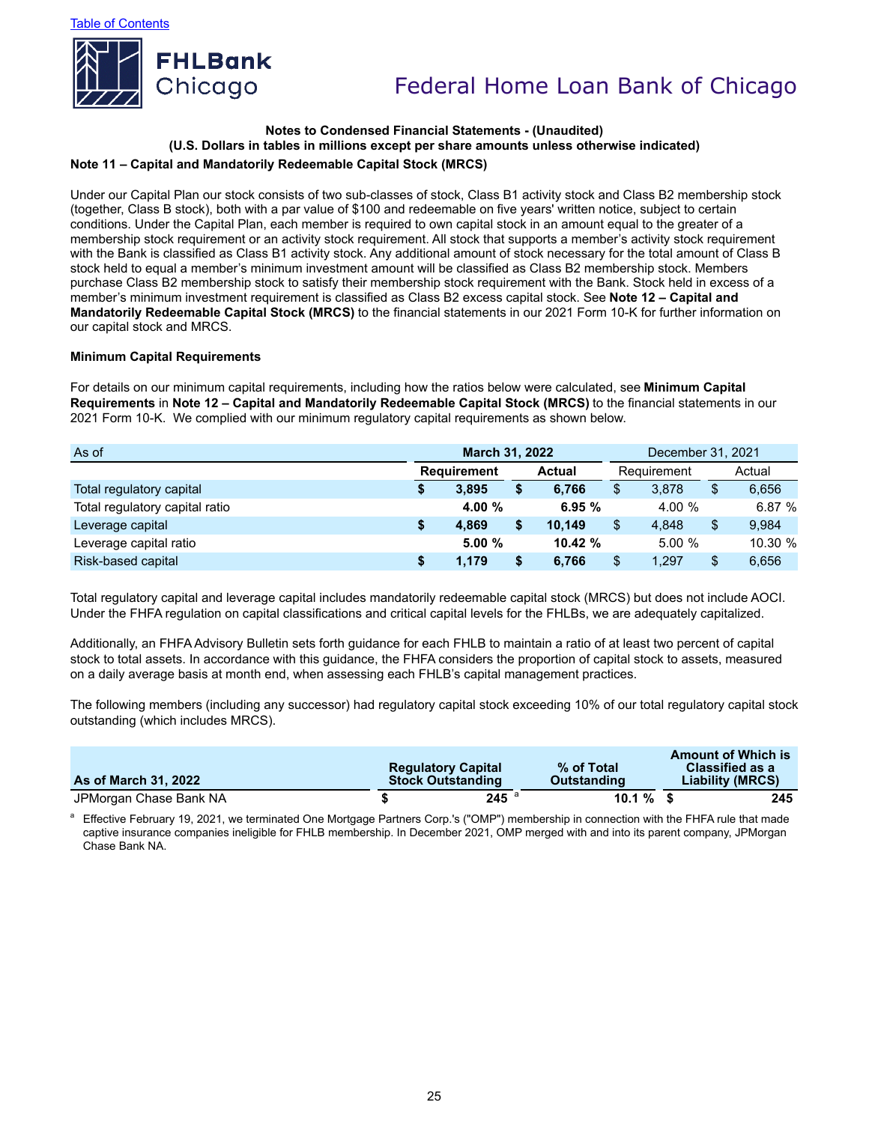

### **Note 11 – Capital and Mandatorily Redeemable Capital Stock (MRCS) Notes to Condensed Financial Statements - (Unaudited) (U.S. Dollars in tables in millions except per share amounts unless otherwise indicated)**

Under our Capital Plan our stock consists of two sub-classes of stock, Class B1 activity stock and Class B2 membership stock (together, Class B stock), both with a par value of \$100 and redeemable on five years' written notice, subject to certain conditions. Under the Capital Plan, each member is required to own capital stock in an amount equal to the greater of a membership stock requirement or an activity stock requirement. All stock that supports a member's activity stock requirement with the Bank is classified as Class B1 activity stock. Any additional amount of stock necessary for the total amount of Class B stock held to equal a member's minimum investment amount will be classified as Class B2 membership stock. Members purchase Class B2 membership stock to satisfy their membership stock requirement with the Bank. Stock held in excess of a member's minimum investment requirement is classified as Class B2 excess capital stock. See **Note 12 – Capital and Mandatorily Redeemable Capital Stock (MRCS)** to the financial statements in our 2021 Form 10-K for further information on our capital stock and MRCS.

#### **Minimum Capital Requirements**

For details on our minimum capital requirements, including how the ratios below were calculated, see **Minimum Capital Requirements** in **Note 12 – Capital and Mandatorily Redeemable Capital Stock (MRCS)** to the financial statements in our 2021 Form 10-K. We complied with our minimum regulatory capital requirements as shown below.

| As of                          |    | <b>March 31, 2022</b>               |     |        |                | December 31, 2021 |    |         |  |
|--------------------------------|----|-------------------------------------|-----|--------|----------------|-------------------|----|---------|--|
|                                |    | <b>Requirement</b><br><b>Actual</b> |     |        | Requirement    |                   |    | Actual  |  |
| Total regulatory capital       | S  | 3.895                               | \$  | 6.766  | \$             | 3.878             | \$ | 6,656   |  |
| Total regulatory capital ratio |    | 4.00 %                              |     | 6.95%  |                | 4.00 %            |    | 6.87%   |  |
| Leverage capital               | S. | 4.869                               | \$  | 10.149 | $\mathfrak{L}$ | 4.848             | \$ | 9.984   |  |
| Leverage capital ratio         |    | 5.00%                               |     | 10.42% |                | 5.00%             |    | 10.30 % |  |
| Risk-based capital             | S  | 1.179                               | \$. | 6.766  | \$             | 1.297             | \$ | 6,656   |  |

Total regulatory capital and leverage capital includes mandatorily redeemable capital stock (MRCS) but does not include AOCI. Under the FHFA regulation on capital classifications and critical capital levels for the FHLBs, we are adequately capitalized.

Additionally, an FHFA Advisory Bulletin sets forth guidance for each FHLB to maintain a ratio of at least two percent of capital stock to total assets. In accordance with this guidance, the FHFA considers the proportion of capital stock to assets, measured on a daily average basis at month end, when assessing each FHLB's capital management practices.

The following members (including any successor) had regulatory capital stock exceeding 10% of our total regulatory capital stock outstanding (which includes MRCS).

| <b>As of March 31, 2022</b> | <b>Regulatory Capital</b><br><b>Stock Outstanding</b> | % of Total<br><b>Outstanding</b> | <b>Amount of Which is</b><br><b>Classified as a</b><br>Liability (MRCS) |
|-----------------------------|-------------------------------------------------------|----------------------------------|-------------------------------------------------------------------------|
| JPMorgan Chase Bank NA      | 245                                                   | $10.1 \%$ \$                     | 245                                                                     |

Effective February 19, 2021, we terminated One Mortgage Partners Corp.'s ("OMP") membership in connection with the FHFA rule that made captive insurance companies ineligible for FHLB membership. In December 2021, OMP merged with and into its parent company, JPMorgan Chase Bank NA.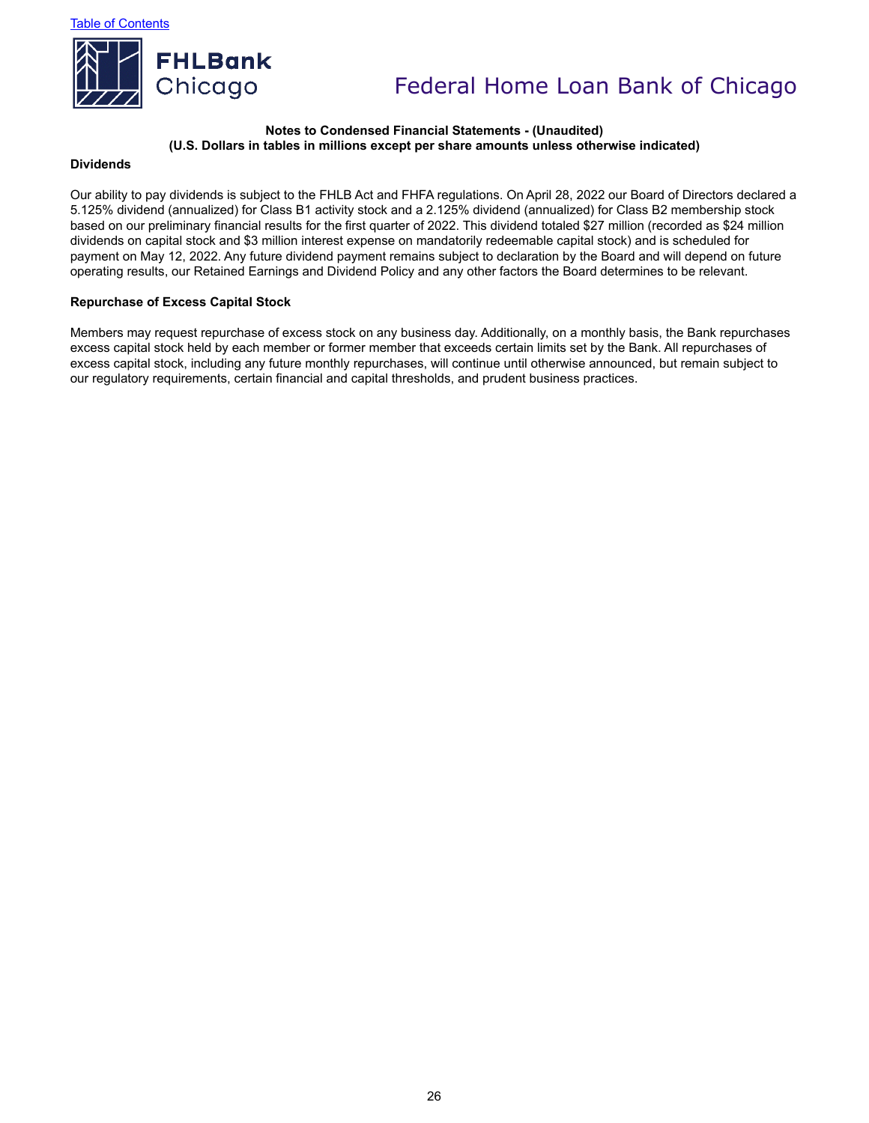

### **Notes to Condensed Financial Statements - (Unaudited) (U.S. Dollars in tables in millions except per share amounts unless otherwise indicated)**

#### **Dividends**

Our ability to pay dividends is subject to the FHLB Act and FHFA regulations. On April 28, 2022 our Board of Directors declared a 5.125% dividend (annualized) for Class B1 activity stock and a 2.125% dividend (annualized) for Class B2 membership stock based on our preliminary financial results for the first quarter of 2022. This dividend totaled \$27 million (recorded as \$24 million dividends on capital stock and \$3 million interest expense on mandatorily redeemable capital stock) and is scheduled for payment on May 12, 2022. Any future dividend payment remains subject to declaration by the Board and will depend on future operating results, our Retained Earnings and Dividend Policy and any other factors the Board determines to be relevant.

#### **Repurchase of Excess Capital Stock**

Members may request repurchase of excess stock on any business day. Additionally, on a monthly basis, the Bank repurchases excess capital stock held by each member or former member that exceeds certain limits set by the Bank. All repurchases of excess capital stock, including any future monthly repurchases, will continue until otherwise announced, but remain subject to our regulatory requirements, certain financial and capital thresholds, and prudent business practices.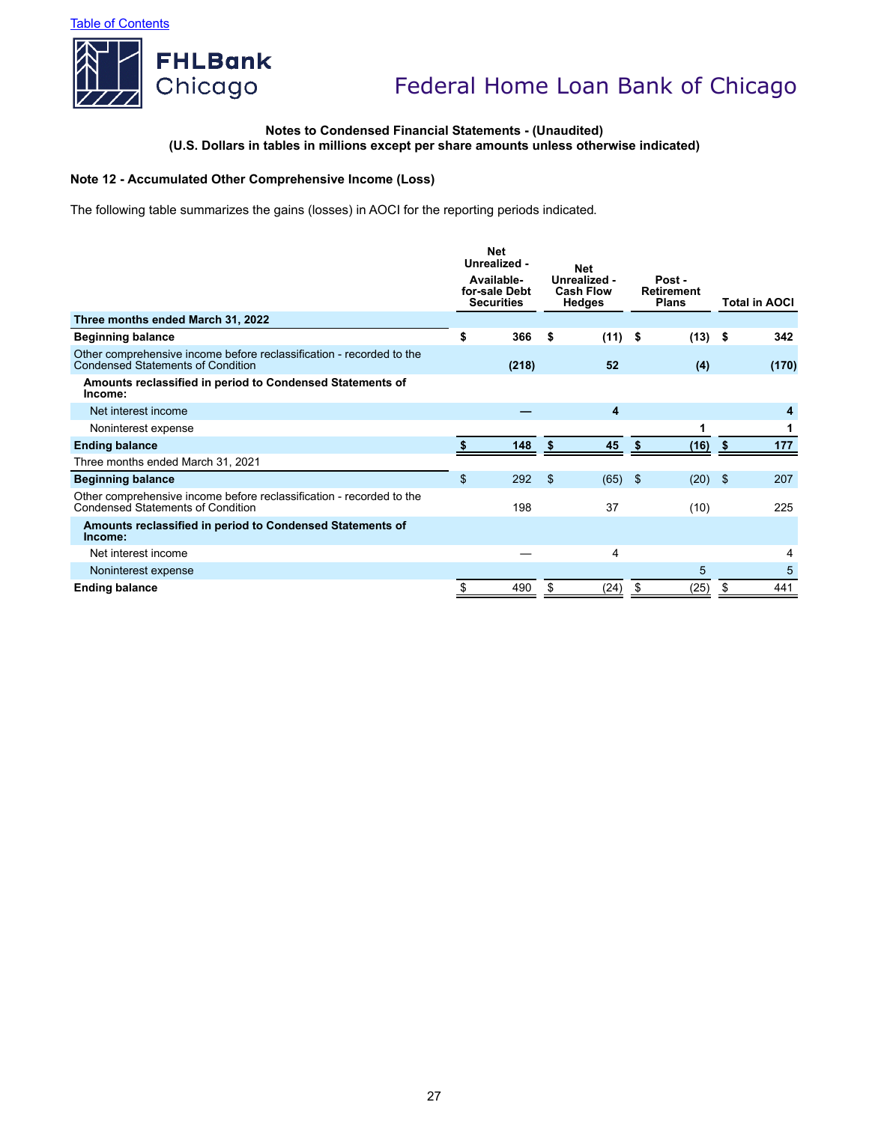

### **Notes to Condensed Financial Statements - (Unaudited) (U.S. Dollars in tables in millions except per share amounts unless otherwise indicated)**

### **Note 12 - Accumulated Other Comprehensive Income (Loss)**

The following table summarizes the gains (losses) in AOCI for the reporting periods indicated.

|                                                                                                                  | <b>Net</b><br>Unrealized -<br>Available-<br>for-sale Debt<br><b>Securities</b> |       |    | <b>Net</b><br>Unrealized -<br><b>Cash Flow</b> |    | <b>Hedges</b> |      | Post -<br><b>Retirement</b><br><b>Plans</b> |  | <b>Total in AOCI</b> |
|------------------------------------------------------------------------------------------------------------------|--------------------------------------------------------------------------------|-------|----|------------------------------------------------|----|---------------|------|---------------------------------------------|--|----------------------|
| Three months ended March 31, 2022                                                                                |                                                                                |       |    |                                                |    |               |      |                                             |  |                      |
| <b>Beginning balance</b>                                                                                         | \$                                                                             | 366   | \$ | $(11)$ \$                                      |    | $(13)$ \$     |      | 342                                         |  |                      |
| Other comprehensive income before reclassification - recorded to the<br><b>Condensed Statements of Condition</b> |                                                                                | (218) |    | 52                                             |    | (4)           |      | (170)                                       |  |                      |
| Amounts reclassified in period to Condensed Statements of<br>Income:                                             |                                                                                |       |    |                                                |    |               |      |                                             |  |                      |
| Net interest income                                                                                              |                                                                                |       |    | 4                                              |    |               |      | 4                                           |  |                      |
| Noninterest expense                                                                                              |                                                                                |       |    |                                                |    |               |      |                                             |  |                      |
| <b>Ending balance</b>                                                                                            |                                                                                | 148   | \$ | 45                                             | S  | (16)          | - \$ | 177                                         |  |                      |
| Three months ended March 31, 2021                                                                                |                                                                                |       |    |                                                |    |               |      |                                             |  |                      |
| <b>Beginning balance</b>                                                                                         | $\mathfrak{S}$                                                                 | 292   | \$ | $(65)$ \$                                      |    | $(20)$ \$     |      | 207                                         |  |                      |
| Other comprehensive income before reclassification - recorded to the<br>Condensed Statements of Condition        |                                                                                | 198   |    | 37                                             |    | (10)          |      | 225                                         |  |                      |
| Amounts reclassified in period to Condensed Statements of<br>Income:                                             |                                                                                |       |    |                                                |    |               |      |                                             |  |                      |
| Net interest income                                                                                              |                                                                                |       |    | 4                                              |    |               |      | 4                                           |  |                      |
| Noninterest expense                                                                                              |                                                                                |       |    |                                                |    | 5             |      | 5                                           |  |                      |
| <b>Ending balance</b>                                                                                            | \$                                                                             | 490   | \$ | (24)                                           | \$ | (25)          | \$   | 441                                         |  |                      |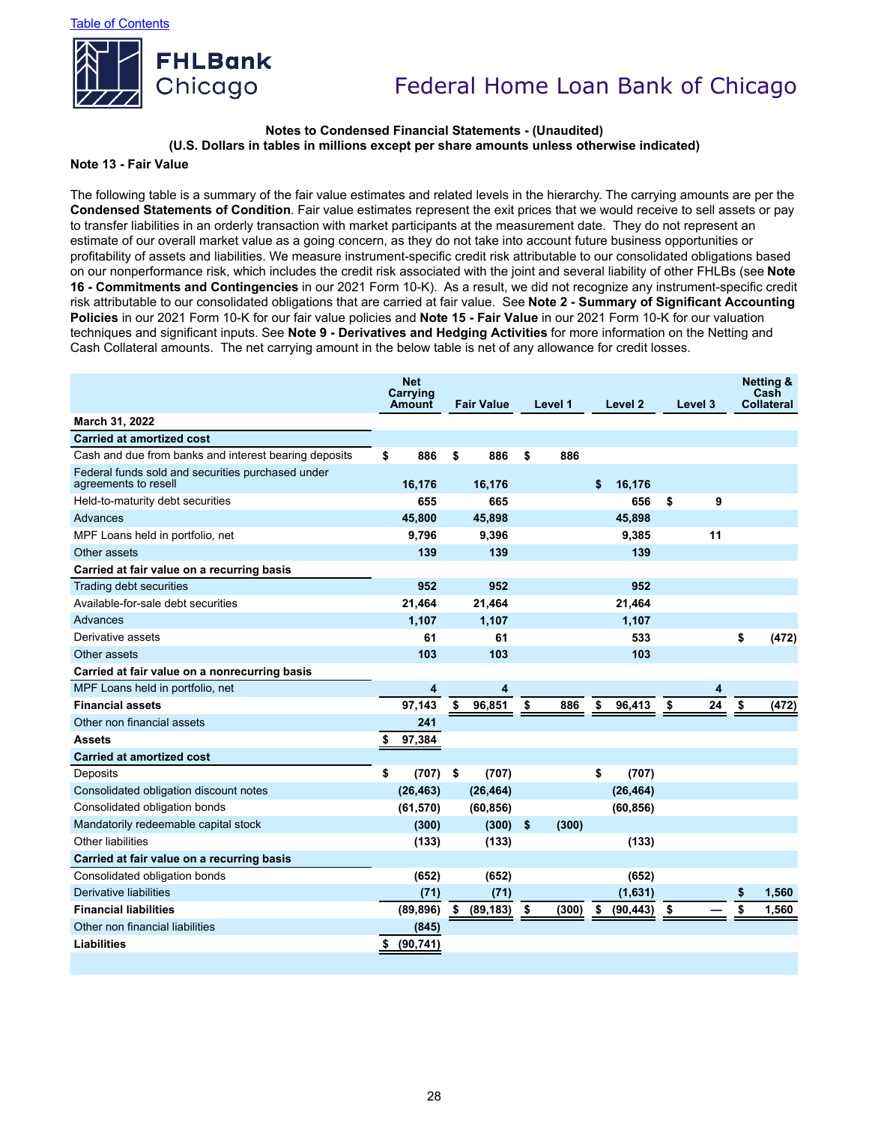

#### **Notes to Condensed Financial Statements - (Unaudited) (U.S. Dollars in tables in millions except per share amounts unless otherwise indicated)**

#### **Note 13 - Fair Value**

The following table is a summary of the fair value estimates and related levels in the hierarchy. The carrying amounts are per the **Condensed Statements of Condition**. Fair value estimates represent the exit prices that we would receive to sell assets or pay to transfer liabilities in an orderly transaction with market participants at the measurement date. They do not represent an estimate of our overall market value as a going concern, as they do not take into account future business opportunities or profitability of assets and liabilities. We measure instrument-specific credit risk attributable to our consolidated obligations based on our nonperformance risk, which includes the credit risk associated with the joint and several liability of other FHLBs (see **Note 16 - Commitments and Contingencies** in our 2021 Form 10-K). As a result, we did not recognize any instrument-specific credit risk attributable to our consolidated obligations that are carried at fair value. See **Note 2 - Summary of Significant Accounting Policies** in our 2021 Form 10-K for our fair value policies and **Note 15 - Fair Value** in our 2021 Form 10-K for our valuation techniques and significant inputs. See **Note 9 - Derivatives and Hedging Activities** for more information on the Netting and Cash Collateral amounts. The net carrying amount in the below table is net of any allowance for credit losses.

|                                                                           | <b>Net</b><br>Carrying<br><b>Amount</b> |    | <b>Fair Value</b> |    | Level 1 |    | Level 2   |    | Level 3 |    | <b>Netting &amp;</b><br>Cash<br><b>Collateral</b> |
|---------------------------------------------------------------------------|-----------------------------------------|----|-------------------|----|---------|----|-----------|----|---------|----|---------------------------------------------------|
| March 31, 2022                                                            |                                         |    |                   |    |         |    |           |    |         |    |                                                   |
| <b>Carried at amortized cost</b>                                          |                                         |    |                   |    |         |    |           |    |         |    |                                                   |
| Cash and due from banks and interest bearing deposits                     | \$<br>886                               | \$ | 886               | \$ | 886     |    |           |    |         |    |                                                   |
| Federal funds sold and securities purchased under<br>agreements to resell | 16,176                                  |    | 16,176            |    |         | \$ | 16,176    |    |         |    |                                                   |
| Held-to-maturity debt securities                                          | 655                                     |    | 665               |    |         |    | 656       | \$ | 9       |    |                                                   |
| Advances                                                                  | 45.800                                  |    | 45,898            |    |         |    | 45,898    |    |         |    |                                                   |
| MPF Loans held in portfolio, net                                          | 9,796                                   |    | 9,396             |    |         |    | 9,385     |    | 11      |    |                                                   |
| Other assets                                                              | 139                                     |    | 139               |    |         |    | 139       |    |         |    |                                                   |
| Carried at fair value on a recurring basis                                |                                         |    |                   |    |         |    |           |    |         |    |                                                   |
| Trading debt securities                                                   | 952                                     |    | 952               |    |         |    | 952       |    |         |    |                                                   |
| Available-for-sale debt securities                                        | 21,464                                  |    | 21,464            |    |         |    | 21,464    |    |         |    |                                                   |
| Advances                                                                  | 1,107                                   |    | 1,107             |    |         |    | 1,107     |    |         |    |                                                   |
| Derivative assets                                                         | 61                                      |    | 61                |    |         |    | 533       |    |         | \$ | (472)                                             |
| Other assets                                                              | 103                                     |    | 103               |    |         |    | 103       |    |         |    |                                                   |
| Carried at fair value on a nonrecurring basis                             |                                         |    |                   |    |         |    |           |    |         |    |                                                   |
| MPF Loans held in portfolio, net                                          | 4                                       |    | 4                 |    |         |    |           |    | 4       |    |                                                   |
| <b>Financial assets</b>                                                   | 97,143                                  | \$ | 96,851            | \$ | 886     | \$ | 96,413    | \$ | 24      | \$ | (472)                                             |
| Other non financial assets                                                | 241                                     |    |                   |    |         |    |           |    |         |    |                                                   |
| <b>Assets</b>                                                             | 97,384                                  |    |                   |    |         |    |           |    |         |    |                                                   |
| <b>Carried at amortized cost</b>                                          |                                         |    |                   |    |         |    |           |    |         |    |                                                   |
| Deposits                                                                  | \$<br>(707)                             | \$ | (707)             |    |         | \$ | (707)     |    |         |    |                                                   |
| Consolidated obligation discount notes                                    | (26, 463)                               |    | (26, 464)         |    |         |    | (26, 464) |    |         |    |                                                   |
| Consolidated obligation bonds                                             | (61, 570)                               |    | (60, 856)         |    |         |    | (60, 856) |    |         |    |                                                   |
| Mandatorily redeemable capital stock                                      | (300)                                   |    | $(300)$ \$        |    | (300)   |    |           |    |         |    |                                                   |
| Other liabilities                                                         | (133)                                   |    | (133)             |    |         |    | (133)     |    |         |    |                                                   |
| Carried at fair value on a recurring basis                                |                                         |    |                   |    |         |    |           |    |         |    |                                                   |
| Consolidated obligation bonds                                             | (652)                                   |    | (652)             |    |         |    | (652)     |    |         |    |                                                   |
| Derivative liabilities                                                    | (71)                                    |    | (71)              |    |         |    | (1,631)   |    |         | \$ | 1,560                                             |
| <b>Financial liabilities</b>                                              | (89, 896)                               | \$ | (89, 183)         | S. | (300)   | S. | (90, 443) | \$ |         | \$ | 1,560                                             |
| Other non financial liabilities                                           | (845)                                   |    |                   |    |         |    |           |    |         |    |                                                   |
| Liabilities                                                               | (90, 741)                               |    |                   |    |         |    |           |    |         |    |                                                   |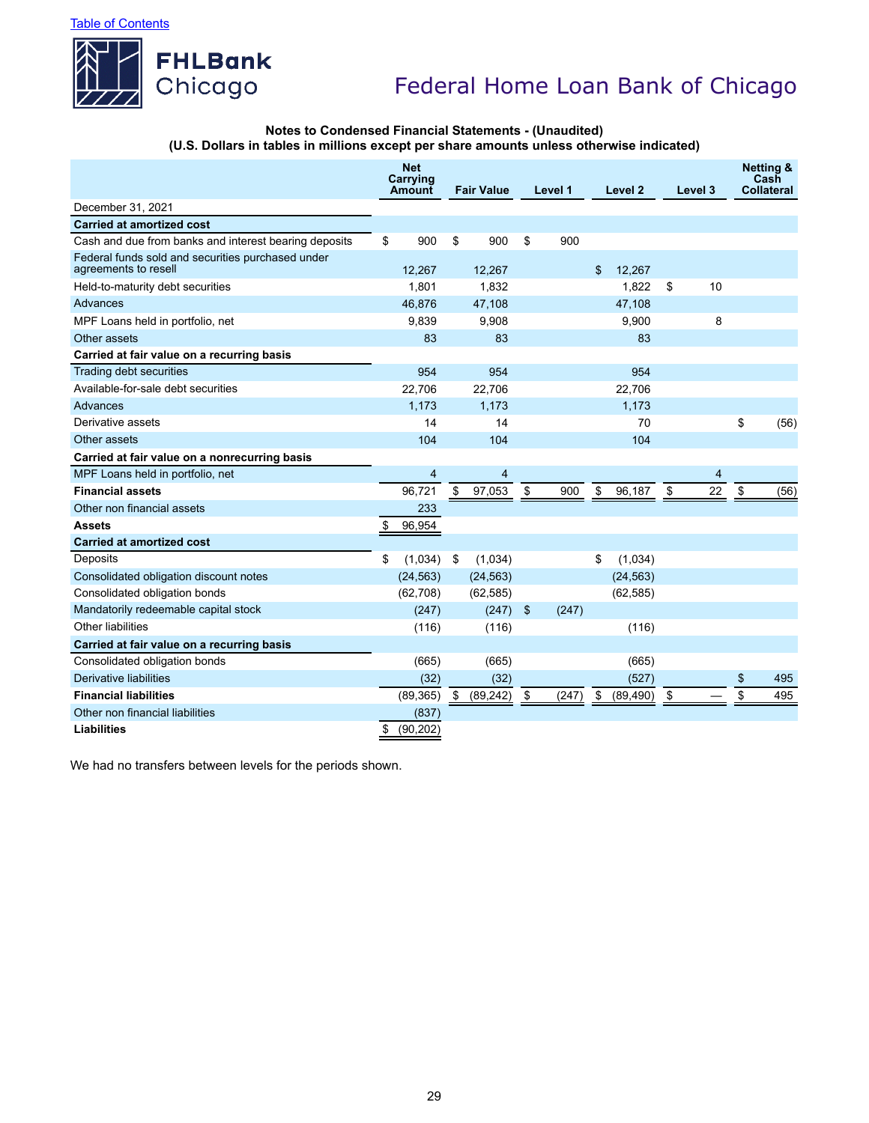

#### **Notes to Condensed Financial Statements - (Unaudited) (U.S. Dollars in tables in millions except per share amounts unless otherwise indicated)**

|                                                                           | <b>Net</b><br>Carrying<br><b>Amount</b> |                | <b>Fair Value</b> |                | Level 1 |       | Level <sub>2</sub> |           | Level 3        | <b>Netting &amp;</b><br>Cash<br>Collateral |
|---------------------------------------------------------------------------|-----------------------------------------|----------------|-------------------|----------------|---------|-------|--------------------|-----------|----------------|--------------------------------------------|
| December 31, 2021                                                         |                                         |                |                   |                |         |       |                    |           |                |                                            |
| <b>Carried at amortized cost</b>                                          |                                         |                |                   |                |         |       |                    |           |                |                                            |
| Cash and due from banks and interest bearing deposits                     | \$                                      | 900            | \$                | 900            | \$      | 900   |                    |           |                |                                            |
| Federal funds sold and securities purchased under<br>agreements to resell |                                         | 12,267         |                   | 12,267         |         |       | \$                 | 12,267    |                |                                            |
| Held-to-maturity debt securities                                          |                                         | 1,801          |                   | 1,832          |         |       |                    | 1,822     | \$<br>10       |                                            |
| Advances                                                                  |                                         | 46,876         |                   | 47,108         |         |       |                    | 47,108    |                |                                            |
| MPF Loans held in portfolio, net                                          |                                         | 9.839          |                   | 9,908          |         |       |                    | 9.900     | 8              |                                            |
| Other assets                                                              |                                         | 83             |                   | 83             |         |       |                    | 83        |                |                                            |
| Carried at fair value on a recurring basis                                |                                         |                |                   |                |         |       |                    |           |                |                                            |
| Trading debt securities                                                   |                                         | 954            |                   | 954            |         |       |                    | 954       |                |                                            |
| Available-for-sale debt securities                                        |                                         | 22,706         |                   | 22,706         |         |       |                    | 22,706    |                |                                            |
| Advances                                                                  |                                         | 1,173          |                   | 1,173          |         |       |                    | 1,173     |                |                                            |
| Derivative assets                                                         |                                         | 14             |                   | 14             |         |       |                    | 70        |                | \$<br>(56)                                 |
| Other assets                                                              |                                         | 104            |                   | 104            |         |       |                    | 104       |                |                                            |
| Carried at fair value on a nonrecurring basis                             |                                         |                |                   |                |         |       |                    |           |                |                                            |
| MPF Loans held in portfolio, net                                          |                                         | $\overline{4}$ |                   | $\overline{4}$ |         |       |                    |           | $\overline{4}$ |                                            |
| <b>Financial assets</b>                                                   |                                         | 96,721         | \$                | 97,053         | \$      | 900   | \$                 | 96,187    | \$<br>22       | \$<br>(56)                                 |
| Other non financial assets                                                |                                         | 233            |                   |                |         |       |                    |           |                |                                            |
| <b>Assets</b>                                                             |                                         | 96,954         |                   |                |         |       |                    |           |                |                                            |
| <b>Carried at amortized cost</b>                                          |                                         |                |                   |                |         |       |                    |           |                |                                            |
| Deposits                                                                  | \$                                      | (1,034)        | \$                | (1,034)        |         |       | \$                 | (1,034)   |                |                                            |
| Consolidated obligation discount notes                                    |                                         | (24, 563)      |                   | (24, 563)      |         |       |                    | (24, 563) |                |                                            |
| Consolidated obligation bonds                                             |                                         | (62, 708)      |                   | (62, 585)      |         |       |                    | (62, 585) |                |                                            |
| Mandatorily redeemable capital stock                                      |                                         | (247)          |                   | $(247)$ \$     |         | (247) |                    |           |                |                                            |
| Other liabilities                                                         |                                         | (116)          |                   | (116)          |         |       |                    | (116)     |                |                                            |
| Carried at fair value on a recurring basis                                |                                         |                |                   |                |         |       |                    |           |                |                                            |
| Consolidated obligation bonds                                             |                                         | (665)          |                   | (665)          |         |       |                    | (665)     |                |                                            |
| Derivative liabilities                                                    |                                         | (32)           |                   | (32)           |         |       |                    | (527)     |                | \$<br>495                                  |
| <b>Financial liabilities</b>                                              |                                         | (89, 365)      | \$                | (89, 242)      | \$      | (247) | $\frac{1}{2}$      | (89, 490) | \$             | \$<br>495                                  |
| Other non financial liabilities                                           |                                         | (837)          |                   |                |         |       |                    |           |                |                                            |
| <b>Liabilities</b>                                                        | \$                                      | (90, 202)      |                   |                |         |       |                    |           |                |                                            |

We had no transfers between levels for the periods shown.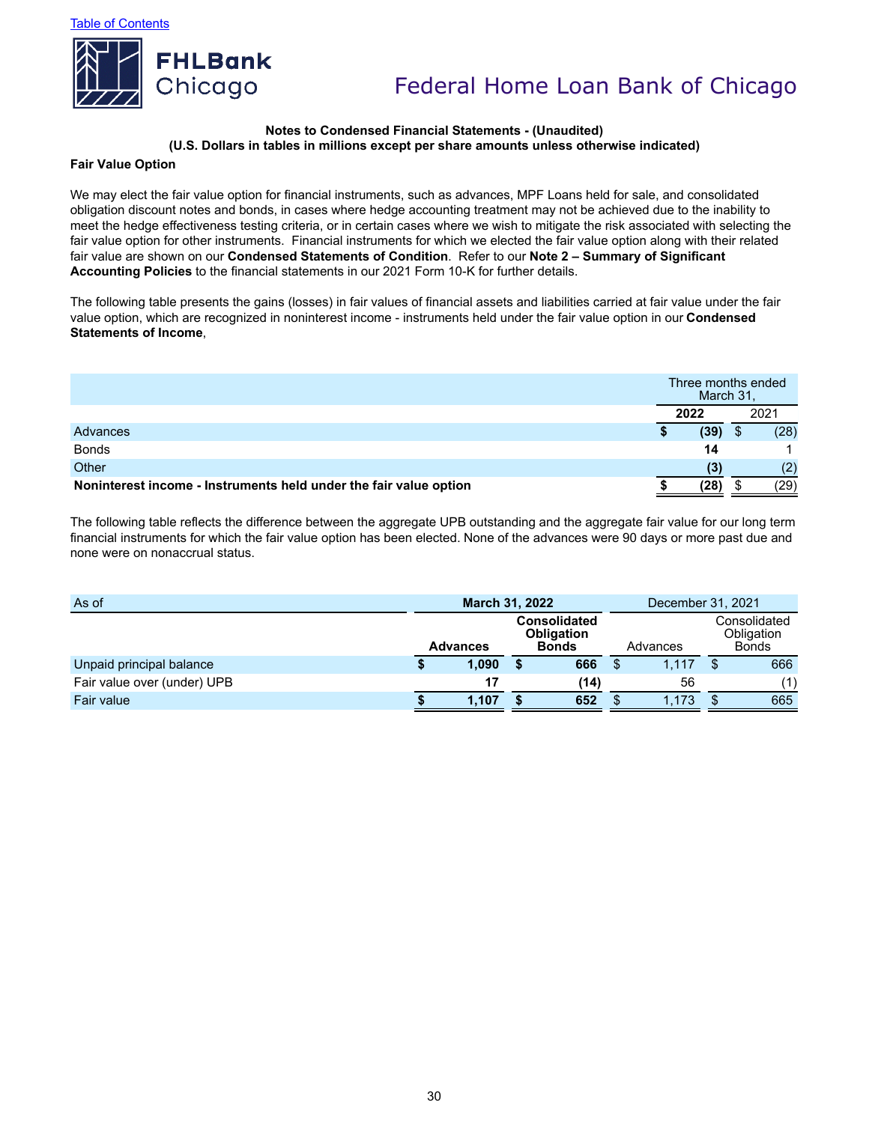

#### **Notes to Condensed Financial Statements - (Unaudited) (U.S. Dollars in tables in millions except per share amounts unless otherwise indicated)**

#### **Fair Value Option**

We may elect the fair value option for financial instruments, such as advances, MPF Loans held for sale, and consolidated obligation discount notes and bonds, in cases where hedge accounting treatment may not be achieved due to the inability to meet the hedge effectiveness testing criteria, or in certain cases where we wish to mitigate the risk associated with selecting the fair value option for other instruments. Financial instruments for which we elected the fair value option along with their related fair value are shown on our **Condensed Statements of Condition**. Refer to our **Note 2 – Summary of Significant Accounting Policies** to the financial statements in our 2021 Form 10-K for further details.

The following table presents the gains (losses) in fair values of financial assets and liabilities carried at fair value under the fair value option, which are recognized in noninterest income - instruments held under the fair value option in our **Condensed Statements of Income**,

|                                                                   | Three months ended<br>March 31, |      |
|-------------------------------------------------------------------|---------------------------------|------|
|                                                                   | 2022                            | 2021 |
| Advances                                                          | (39)                            | (28) |
| <b>Bonds</b>                                                      | 14                              |      |
| Other                                                             | (3)                             | (2)  |
| Noninterest income - Instruments held under the fair value option | (28)                            | (29  |

The following table reflects the difference between the aggregate UPB outstanding and the aggregate fair value for our long term financial instruments for which the fair value option has been elected. None of the advances were 90 days or more past due and none were on nonaccrual status.

| As of                       | <b>March 31, 2022</b> |  |                                                          | December 31, 2021 |          |                                            |     |  |
|-----------------------------|-----------------------|--|----------------------------------------------------------|-------------------|----------|--------------------------------------------|-----|--|
|                             | <b>Advances</b>       |  | <b>Consolidated</b><br><b>Obligation</b><br><b>Bonds</b> |                   | Advances | Consolidated<br>Obligation<br><b>Bonds</b> |     |  |
| Unpaid principal balance    | 1,090                 |  | 666                                                      |                   | 1.117    |                                            | 666 |  |
| Fair value over (under) UPB | 17                    |  | (14)                                                     |                   | 56       |                                            | (1) |  |
| Fair value                  | 1,107                 |  | 652                                                      |                   | 1,173    |                                            | 665 |  |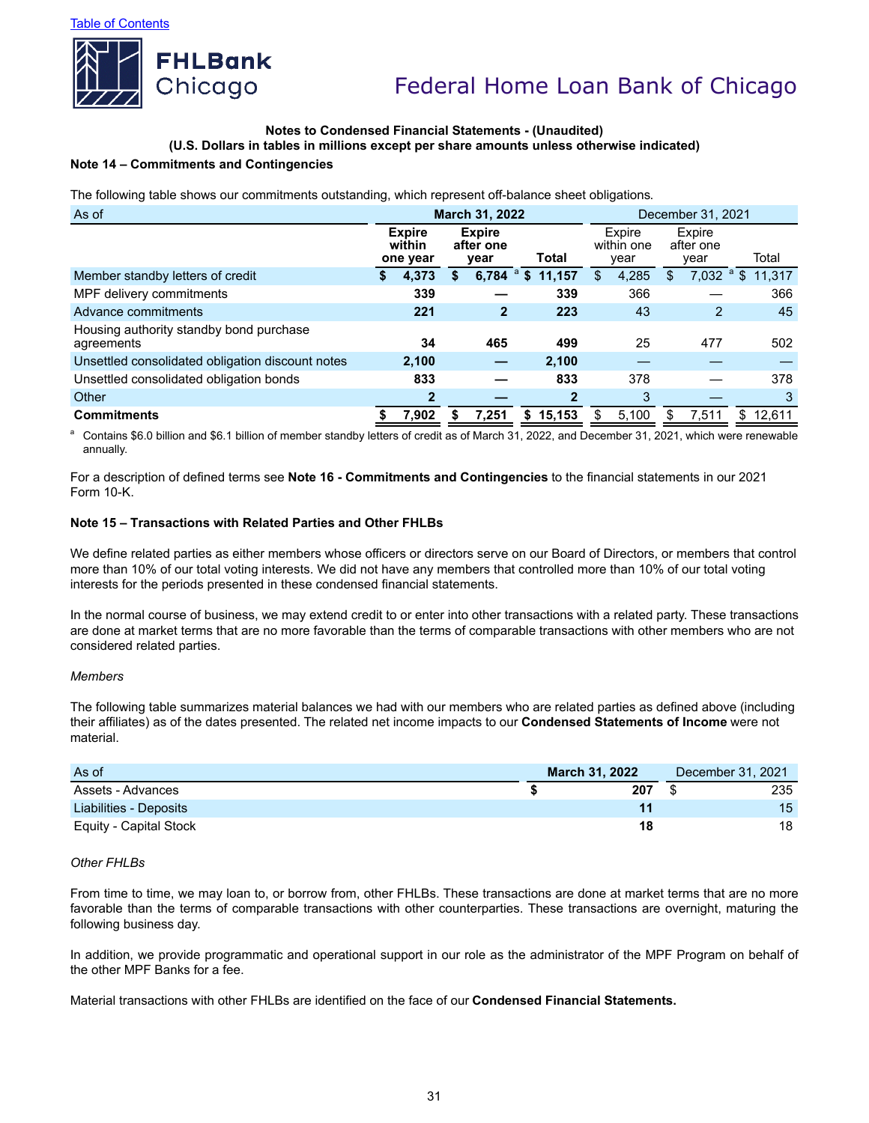

### **Notes to Condensed Financial Statements - (Unaudited)**

**(U.S. Dollars in tables in millions except per share amounts unless otherwise indicated)**

### **Note 14 – Commitments and Contingencies**

The following table shows our commitments outstanding, which represent off-balance sheet obligations.

| As of                                                 |                                     | March 31, 2022 |                                    | December 31, 2021 |        |                              |       |                             |                |         |        |
|-------------------------------------------------------|-------------------------------------|----------------|------------------------------------|-------------------|--------|------------------------------|-------|-----------------------------|----------------|---------|--------|
|                                                       | <b>Expire</b><br>within<br>one year |                | <b>Expire</b><br>after one<br>year | Total             |        | Expire<br>within one<br>year |       | Expire<br>after one<br>year |                |         | Total  |
| Member standby letters of credit                      | 4,373                               | S              | 6,784 $^{\circ}$ \$                |                   | 11,157 | \$                           | 4,285 | \$                          | 7,032          | $a_{s}$ | 11,317 |
| MPF delivery commitments                              | 339                                 |                |                                    |                   | 339    |                              | 366   |                             |                |         | 366    |
| Advance commitments                                   | 221                                 |                | $\mathbf{2}$                       |                   | 223    |                              | 43    |                             | $\overline{2}$ |         | 45     |
| Housing authority standby bond purchase<br>agreements | 34                                  |                | 465                                |                   | 499    |                              | 25    |                             | 477            |         | 502    |
| Unsettled consolidated obligation discount notes      | 2,100                               |                |                                    |                   | 2.100  |                              |       |                             |                |         |        |
| Unsettled consolidated obligation bonds               | 833                                 |                |                                    |                   | 833    |                              | 378   |                             |                |         | 378    |
| Other                                                 | $\mathbf{2}$                        |                |                                    |                   | 2      |                              | 3     |                             |                |         | 3      |
| <b>Commitments</b>                                    | 7,902                               |                | 7.251                              | S.                | 15,153 | S                            | 5,100 |                             | 7.511          | \$.     | 12,611 |

<sup>a</sup> Contains \$6.0 billion and \$6.1 billion of member standby letters of credit as of March 31, 2022, and December 31, 2021, which were renewable annually.

For a description of defined terms see **Note 16 - Commitments and Contingencies** to the financial statements in our 2021 Form 10-K.

### **Note 15 – Transactions with Related Parties and Other FHLBs**

We define related parties as either members whose officers or directors serve on our Board of Directors, or members that control more than 10% of our total voting interests. We did not have any members that controlled more than 10% of our total voting interests for the periods presented in these condensed financial statements.

In the normal course of business, we may extend credit to or enter into other transactions with a related party. These transactions are done at market terms that are no more favorable than the terms of comparable transactions with other members who are not considered related parties.

#### *Members*

The following table summarizes material balances we had with our members who are related parties as defined above (including their affiliates) as of the dates presented. The related net income impacts to our **Condensed Statements of Income** were not material.

| As of                  | <b>March 31, 2022</b> | December 31, 2021 |
|------------------------|-----------------------|-------------------|
| Assets - Advances      | 207                   | 235               |
| Liabilities - Deposits |                       | 15                |
| Equity - Capital Stock | 18                    | 18                |

#### *Other FHLBs*

From time to time, we may loan to, or borrow from, other FHLBs. These transactions are done at market terms that are no more favorable than the terms of comparable transactions with other counterparties. These transactions are overnight, maturing the following business day.

In addition, we provide programmatic and operational support in our role as the administrator of the MPF Program on behalf of the other MPF Banks for a fee.

Material transactions with other FHLBs are identified on the face of our **Condensed Financial Statements.**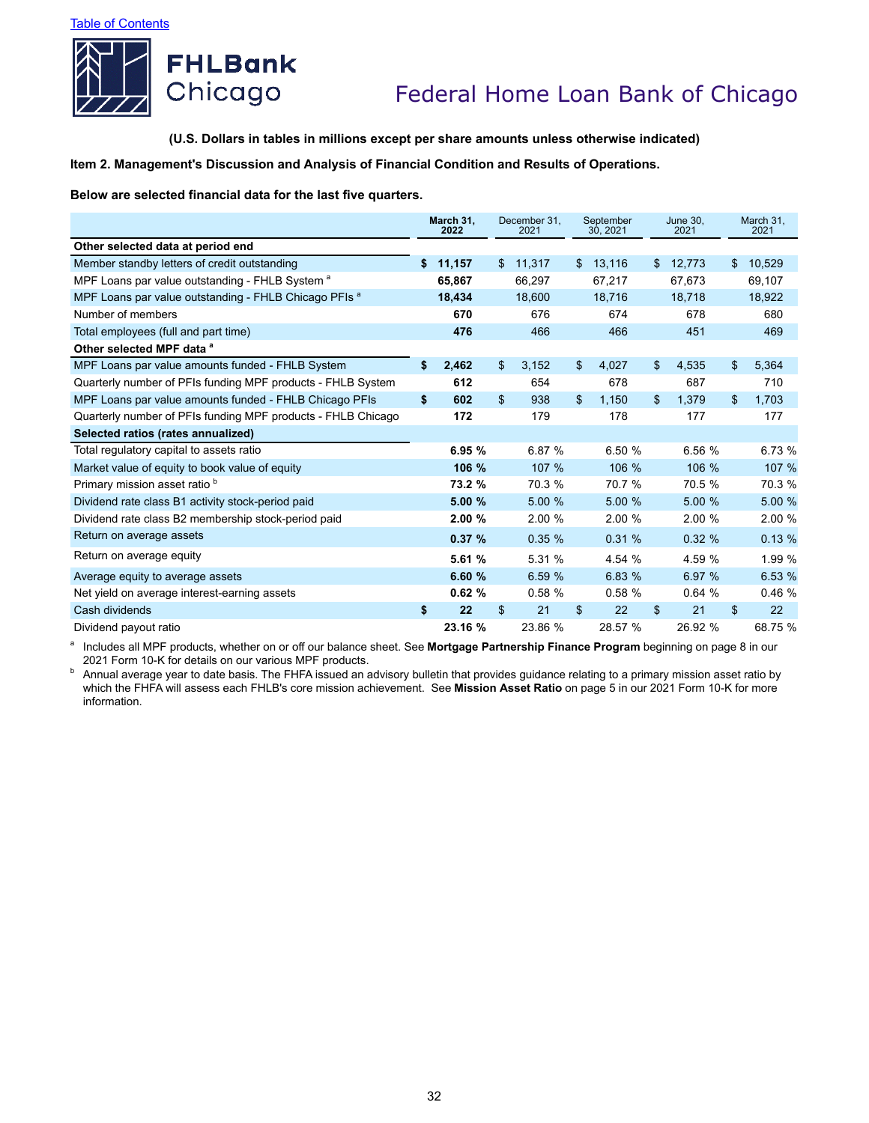

**(U.S. Dollars in tables in millions except per share amounts unless otherwise indicated)**

**Item 2. Management's Discussion and Analysis of Financial Condition and Results of Operations.**

**Below are selected financial data for the last five quarters.**

|                                                                  | March 31.<br>2022 | December 31.<br>2021 |         | September<br>30, 2021 |         | <b>June 30.</b><br>2021 |    | March 31,<br>2021 |
|------------------------------------------------------------------|-------------------|----------------------|---------|-----------------------|---------|-------------------------|----|-------------------|
| Other selected data at period end                                |                   |                      |         |                       |         |                         |    |                   |
| Member standby letters of credit outstanding                     | \$<br>11,157      | \$                   | 11,317  | \$                    | 13,116  | \$<br>12,773            | \$ | 10,529            |
| MPF Loans par value outstanding - FHLB System <sup>a</sup>       | 65,867            |                      | 66,297  |                       | 67,217  | 67,673                  |    | 69,107            |
| MPF Loans par value outstanding - FHLB Chicago PFIs <sup>a</sup> | 18,434            |                      | 18,600  |                       | 18,716  | 18,718                  |    | 18,922            |
| Number of members                                                | 670               |                      | 676     |                       | 674     | 678                     |    | 680               |
| Total employees (full and part time)                             | 476               |                      | 466     |                       | 466     | 451                     |    | 469               |
| Other selected MPF data a                                        |                   |                      |         |                       |         |                         |    |                   |
| MPF Loans par value amounts funded - FHLB System                 | \$<br>2,462       | \$                   | 3,152   | \$                    | 4,027   | \$<br>4,535             | \$ | 5,364             |
| Quarterly number of PFIs funding MPF products - FHLB System      | 612               |                      | 654     |                       | 678     | 687                     |    | 710               |
| MPF Loans par value amounts funded - FHLB Chicago PFIs           | \$<br>602         | \$                   | 938     | \$                    | 1,150   | \$<br>1,379             | \$ | 1.703             |
| Quarterly number of PFIs funding MPF products - FHLB Chicago     | 172               |                      | 179     |                       | 178     | 177                     |    | 177               |
| Selected ratios (rates annualized)                               |                   |                      |         |                       |         |                         |    |                   |
| Total regulatory capital to assets ratio                         | 6.95 %            |                      | 6.87 %  |                       | 6.50 %  | 6.56 %                  |    | 6.73 %            |
| Market value of equity to book value of equity                   | 106 %             |                      | 107 %   |                       | 106 %   | 106 %                   |    | 107 %             |
| Primary mission asset ratio b                                    | 73.2 %            |                      | 70.3 %  |                       | 70.7 %  | 70.5 %                  |    | 70.3 %            |
| Dividend rate class B1 activity stock-period paid                | 5.00 %            |                      | 5.00 %  |                       | 5.00 %  | 5.00 %                  |    | 5.00 %            |
| Dividend rate class B2 membership stock-period paid              | 2.00%             |                      | 2.00%   |                       | 2.00%   | 2.00 %                  |    | 2.00 %            |
| Return on average assets                                         | 0.37%             |                      | 0.35%   |                       | 0.31%   | 0.32%                   |    | 0.13%             |
| Return on average equity                                         | 5.61 %            |                      | 5.31 %  |                       | 4.54 %  | 4.59 %                  |    | 1.99 %            |
| Average equity to average assets                                 | 6.60%             |                      | 6.59 %  |                       | 6.83 %  | 6.97 %                  |    | 6.53%             |
| Net yield on average interest-earning assets                     | 0.62%             |                      | 0.58%   |                       | 0.58%   | 0.64%                   |    | 0.46%             |
| Cash dividends                                                   | \$<br>22          | \$                   | 21      | \$                    | 22      | \$<br>21                | \$ | 22                |
| Dividend payout ratio                                            | 23.16 %           |                      | 23.86 % |                       | 28.57 % | 26.92 %                 |    | 68.75 %           |

<sup>a</sup> Includes all MPF products, whether on or off our balance sheet. See Mortgage Partnership Finance Program beginning on page 8 in our 2021 Form 10-K for details on our various MPF products.

back is the first verified and the state of the FHFA issued an advisory bulletin that provides guidance relating to a primary mission asset ratio by being the state of the FHFA issued an advisory bulletin that provides gui which the FHFA will assess each FHLB's core mission achievement. See **Mission Asset Ratio** on page 5 in our 2021 Form 10-K for more information.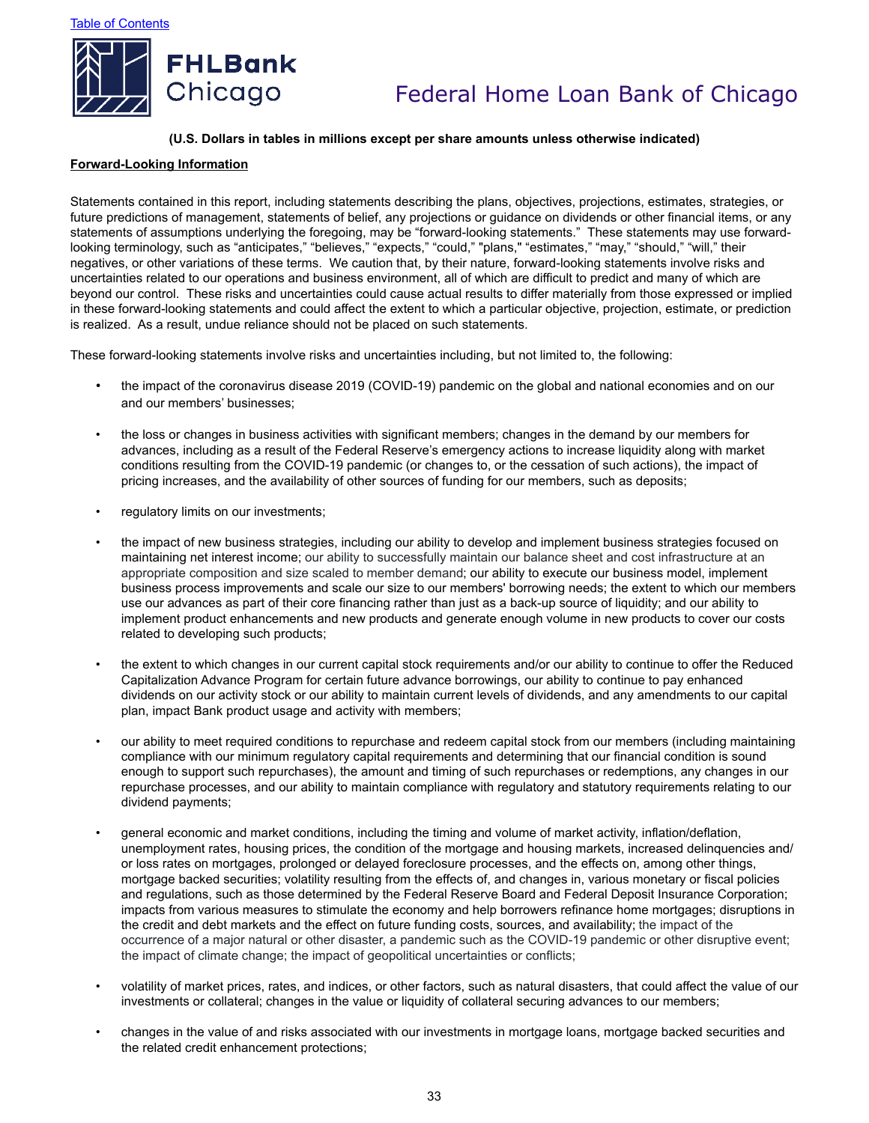

### **(U.S. Dollars in tables in millions except per share amounts unless otherwise indicated)**

#### **Forward-Looking Information**

Statements contained in this report, including statements describing the plans, objectives, projections, estimates, strategies, or future predictions of management, statements of belief, any projections or guidance on dividends or other financial items, or any statements of assumptions underlying the foregoing, may be "forward-looking statements." These statements may use forwardlooking terminology, such as "anticipates," "believes," "expects," "could," "plans," "estimates," "may," "should," "will," their negatives, or other variations of these terms. We caution that, by their nature, forward-looking statements involve risks and uncertainties related to our operations and business environment, all of which are difficult to predict and many of which are beyond our control. These risks and uncertainties could cause actual results to differ materially from those expressed or implied in these forward-looking statements and could affect the extent to which a particular objective, projection, estimate, or prediction is realized. As a result, undue reliance should not be placed on such statements.

These forward-looking statements involve risks and uncertainties including, but not limited to, the following:

- the impact of the coronavirus disease 2019 (COVID-19) pandemic on the global and national economies and on our and our members' businesses;
- the loss or changes in business activities with significant members; changes in the demand by our members for advances, including as a result of the Federal Reserve's emergency actions to increase liquidity along with market conditions resulting from the COVID-19 pandemic (or changes to, or the cessation of such actions), the impact of pricing increases, and the availability of other sources of funding for our members, such as deposits;
- regulatory limits on our investments;
- the impact of new business strategies, including our ability to develop and implement business strategies focused on maintaining net interest income; our ability to successfully maintain our balance sheet and cost infrastructure at an appropriate composition and size scaled to member demand; our ability to execute our business model, implement business process improvements and scale our size to our members' borrowing needs; the extent to which our members use our advances as part of their core financing rather than just as a back-up source of liquidity; and our ability to implement product enhancements and new products and generate enough volume in new products to cover our costs related to developing such products;
- the extent to which changes in our current capital stock requirements and/or our ability to continue to offer the Reduced Capitalization Advance Program for certain future advance borrowings, our ability to continue to pay enhanced dividends on our activity stock or our ability to maintain current levels of dividends, and any amendments to our capital plan, impact Bank product usage and activity with members;
- our ability to meet required conditions to repurchase and redeem capital stock from our members (including maintaining compliance with our minimum regulatory capital requirements and determining that our financial condition is sound enough to support such repurchases), the amount and timing of such repurchases or redemptions, any changes in our repurchase processes, and our ability to maintain compliance with regulatory and statutory requirements relating to our dividend payments;
- general economic and market conditions, including the timing and volume of market activity, inflation/deflation, unemployment rates, housing prices, the condition of the mortgage and housing markets, increased delinquencies and/ or loss rates on mortgages, prolonged or delayed foreclosure processes, and the effects on, among other things, mortgage backed securities; volatility resulting from the effects of, and changes in, various monetary or fiscal policies and regulations, such as those determined by the Federal Reserve Board and Federal Deposit Insurance Corporation; impacts from various measures to stimulate the economy and help borrowers refinance home mortgages; disruptions in the credit and debt markets and the effect on future funding costs, sources, and availability; the impact of the occurrence of a major natural or other disaster, a pandemic such as the COVID-19 pandemic or other disruptive event; the impact of climate change; the impact of geopolitical uncertainties or conflicts;
- volatility of market prices, rates, and indices, or other factors, such as natural disasters, that could affect the value of our investments or collateral; changes in the value or liquidity of collateral securing advances to our members;
- changes in the value of and risks associated with our investments in mortgage loans, mortgage backed securities and the related credit enhancement protections;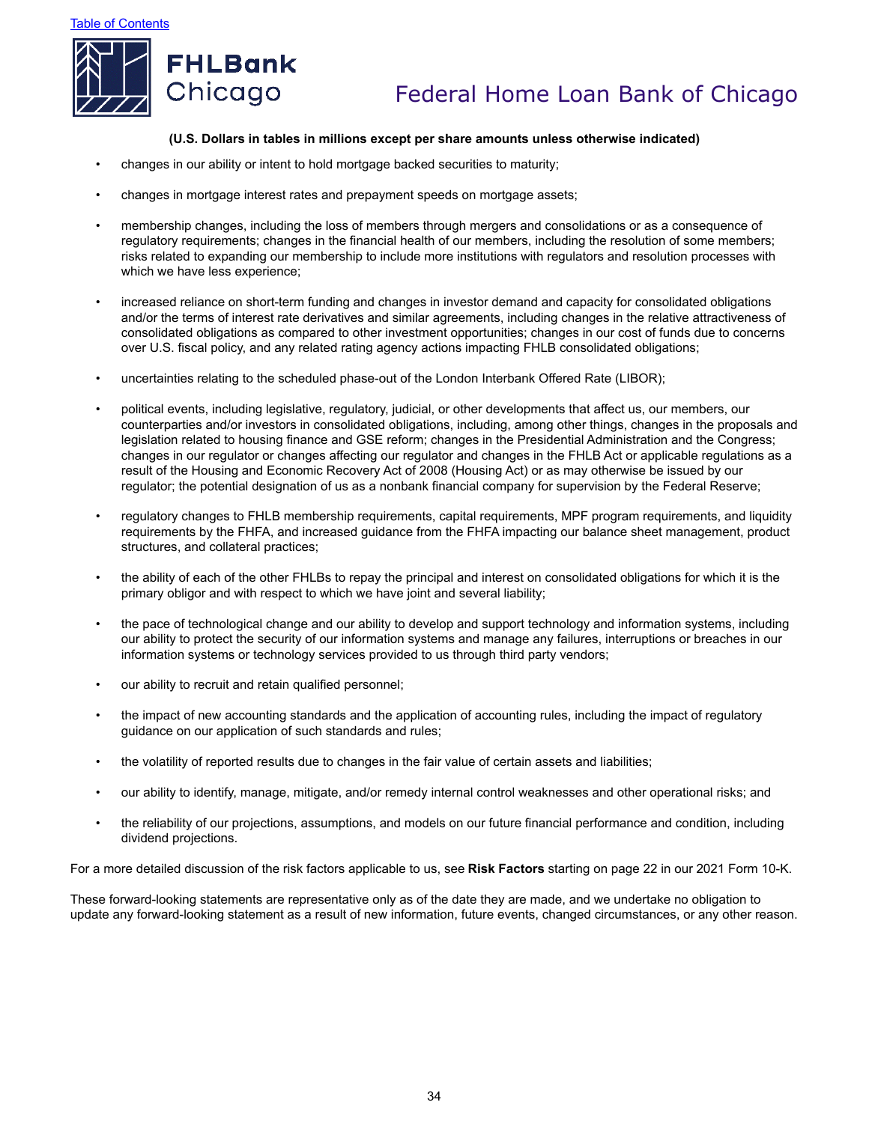



#### **(U.S. Dollars in tables in millions except per share amounts unless otherwise indicated)**

- changes in our ability or intent to hold mortgage backed securities to maturity;
- changes in mortgage interest rates and prepayment speeds on mortgage assets;
- membership changes, including the loss of members through mergers and consolidations or as a consequence of regulatory requirements; changes in the financial health of our members, including the resolution of some members; risks related to expanding our membership to include more institutions with regulators and resolution processes with which we have less experience;
- increased reliance on short-term funding and changes in investor demand and capacity for consolidated obligations and/or the terms of interest rate derivatives and similar agreements, including changes in the relative attractiveness of consolidated obligations as compared to other investment opportunities; changes in our cost of funds due to concerns over U.S. fiscal policy, and any related rating agency actions impacting FHLB consolidated obligations;
- uncertainties relating to the scheduled phase-out of the London Interbank Offered Rate (LIBOR);
- political events, including legislative, regulatory, judicial, or other developments that affect us, our members, our counterparties and/or investors in consolidated obligations, including, among other things, changes in the proposals and legislation related to housing finance and GSE reform; changes in the Presidential Administration and the Congress; changes in our regulator or changes affecting our regulator and changes in the FHLB Act or applicable regulations as a result of the Housing and Economic Recovery Act of 2008 (Housing Act) or as may otherwise be issued by our regulator; the potential designation of us as a nonbank financial company for supervision by the Federal Reserve;
- regulatory changes to FHLB membership requirements, capital requirements, MPF program requirements, and liquidity requirements by the FHFA, and increased guidance from the FHFA impacting our balance sheet management, product structures, and collateral practices;
- the ability of each of the other FHLBs to repay the principal and interest on consolidated obligations for which it is the primary obligor and with respect to which we have joint and several liability;
- the pace of technological change and our ability to develop and support technology and information systems, including our ability to protect the security of our information systems and manage any failures, interruptions or breaches in our information systems or technology services provided to us through third party vendors;
- our ability to recruit and retain qualified personnel;
- the impact of new accounting standards and the application of accounting rules, including the impact of regulatory guidance on our application of such standards and rules;
- the volatility of reported results due to changes in the fair value of certain assets and liabilities;
- our ability to identify, manage, mitigate, and/or remedy internal control weaknesses and other operational risks; and
- the reliability of our projections, assumptions, and models on our future financial performance and condition, including dividend projections.

For a more detailed discussion of the risk factors applicable to us, see **Risk Factors** starting on page 22 in our 2021 Form 10-K.

These forward-looking statements are representative only as of the date they are made, and we undertake no obligation to update any forward-looking statement as a result of new information, future events, changed circumstances, or any other reason.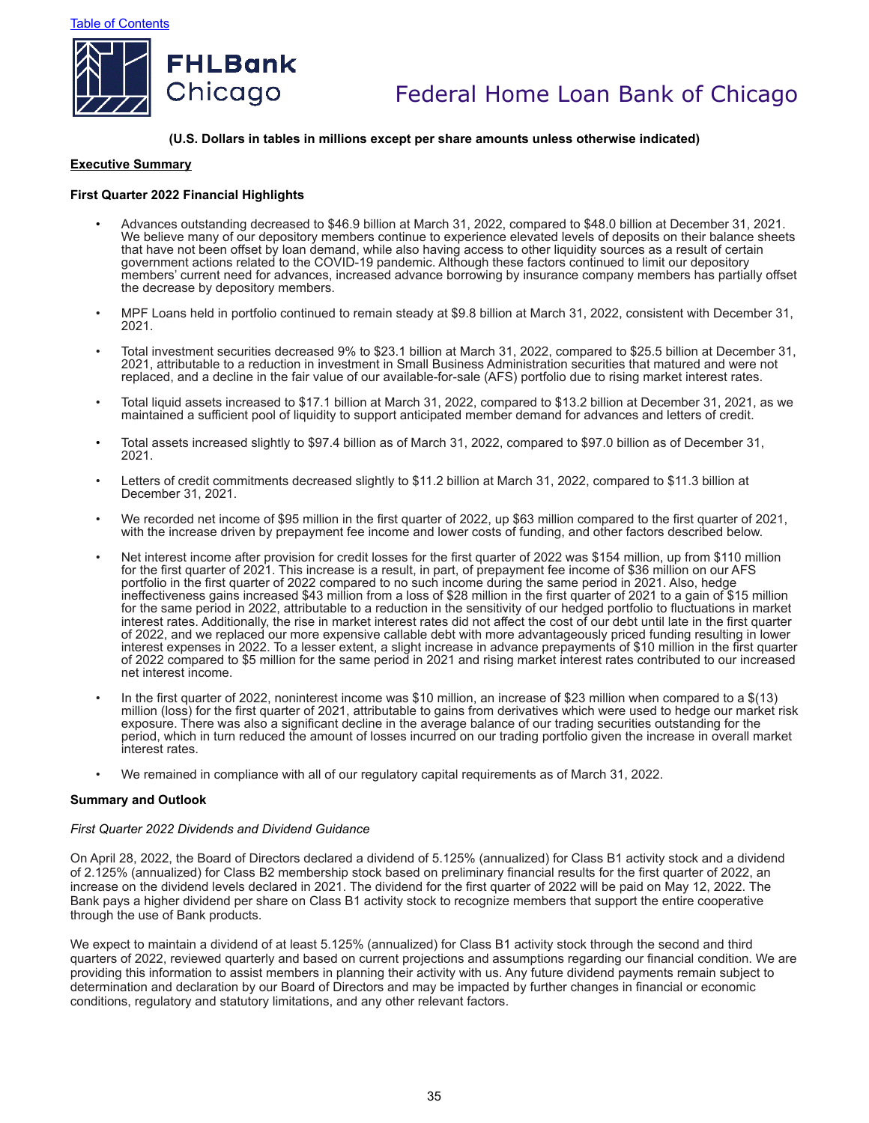

#### **(U.S. Dollars in tables in millions except per share amounts unless otherwise indicated)**

#### **Executive Summary**

### **First Quarter 2022 Financial Highlights**

- Advances outstanding decreased to \$46.9 billion at March 31, 2022, compared to \$48.0 billion at December 31, 2021. We believe many of our depository members continue to experience elevated levels of deposits on their balance sheets that have not been offset by loan demand, while also having access to other liquidity sources as a result of certain government actions related to the COVID-19 pandemic. Although these factors continued to limit our depository members' current need for advances, increased advance borrowing by insurance company members has partially offset the decrease by depository members.
- MPF Loans held in portfolio continued to remain steady at \$9.8 billion at March 31, 2022, consistent with December 31, 2021.
- Total investment securities decreased 9% to \$23.1 billion at March 31, 2022, compared to \$25.5 billion at December 31, 2021, attributable to a reduction in investment in Small Business Administration securities that matured and were not replaced, and a decline in the fair value of our available-for-sale (AFS) portfolio due to rising market interest rates.
- Total liquid assets increased to \$17.1 billion at March 31, 2022, compared to \$13.2 billion at December 31, 2021, as we maintained a sufficient pool of liquidity to support anticipated member demand for advances and letters of credit.
- Total assets increased slightly to \$97.4 billion as of March 31, 2022, compared to \$97.0 billion as of December 31, 2021.
- Letters of credit commitments decreased slightly to \$11.2 billion at March 31, 2022, compared to \$11.3 billion at December 31, 2021.
- We recorded net income of \$95 million in the first quarter of 2022, up \$63 million compared to the first quarter of 2021, with the increase driven by prepayment fee income and lower costs of funding, and other factors described below.
- Net interest income after provision for credit losses for the first quarter of 2022 was \$154 million, up from \$110 million for the first quarter of 2021. This increase is a result, in part, of prepayment fee income of \$36 million on our AFS portfolio in the first quarter of 2022 compared to no such income during the same period in 2021. Also, hedge ineffectiveness gains increased \$43 million from a loss of \$28 million in the first quarter of 2021 to a gain of \$15 million for the same period in 2022, attributable to a reduction in the sensitivity of our hedged portfolio to fluctuations in market interest rates. Additionally, the rise in market interest rates did not affect the cost of our debt until late in the first quarter of 2022, and we replaced our more expensive callable debt with more advantageously priced funding resulting in lower interest expenses in 2022. To a lesser extent, a slight increase in advance prepayments of \$10 million in the first quarter of 2022 compared to \$5 million for the same period in 2021 and rising market interest rates contributed to our increased net interest income.
- In the first quarter of 2022, noninterest income was \$10 million, an increase of \$23 million when compared to a \$(13) million (loss) for the first quarter of 2021, attributable to gains from derivatives which were used to hedge our market risk exposure. There was also a significant decline in the average balance of our trading securities outstanding for the period, which in turn reduced the amount of losses incurred on our trading portfolio given the increase in overall market interest rates.
- We remained in compliance with all of our regulatory capital requirements as of March 31, 2022.

#### **Summary and Outlook**

#### *First Quarter 2022 Dividends and Dividend Guidance*

On April 28, 2022, the Board of Directors declared a dividend of 5.125% (annualized) for Class B1 activity stock and a dividend of 2.125% (annualized) for Class B2 membership stock based on preliminary financial results for the first quarter of 2022, an increase on the dividend levels declared in 2021. The dividend for the first quarter of 2022 will be paid on May 12, 2022. The Bank pays a higher dividend per share on Class B1 activity stock to recognize members that support the entire cooperative through the use of Bank products.

We expect to maintain a dividend of at least 5.125% (annualized) for Class B1 activity stock through the second and third quarters of 2022, reviewed quarterly and based on current projections and assumptions regarding our financial condition. We are providing this information to assist members in planning their activity with us. Any future dividend payments remain subject to determination and declaration by our Board of Directors and may be impacted by further changes in financial or economic conditions, regulatory and statutory limitations, and any other relevant factors.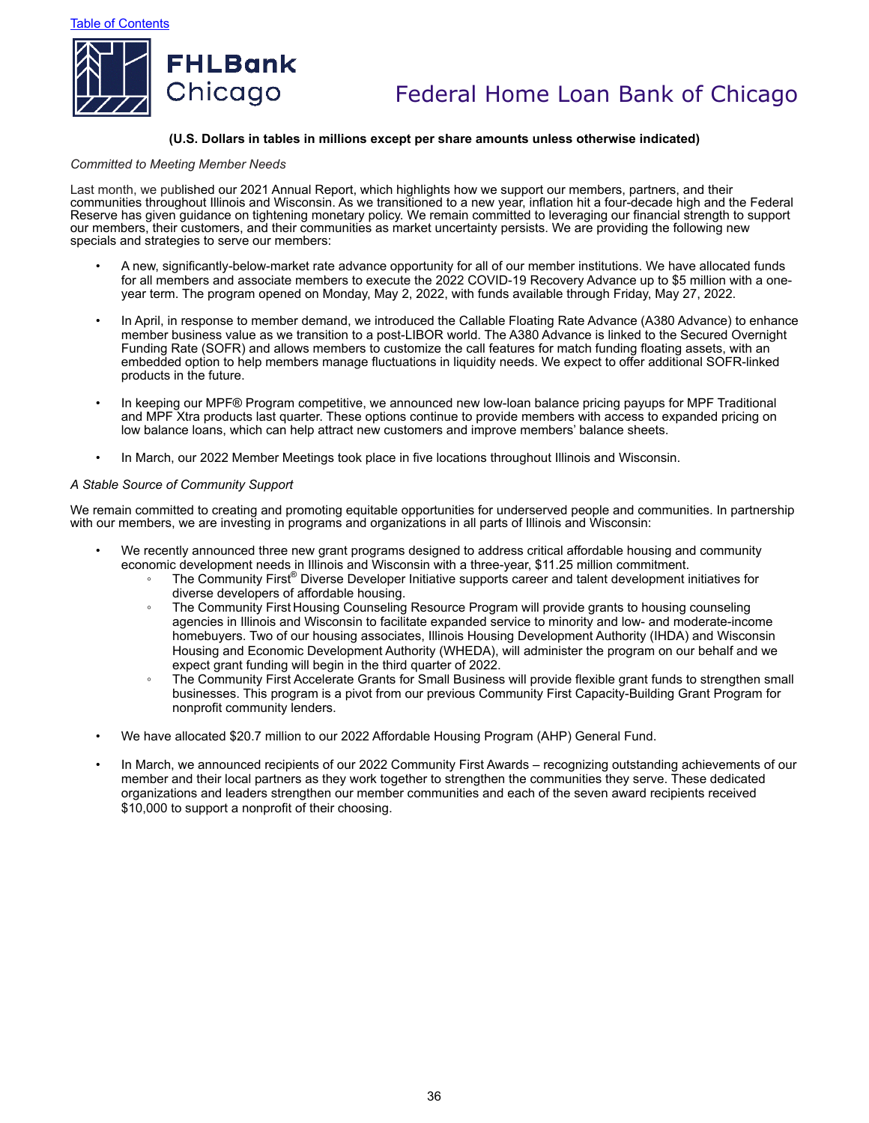

### **(U.S. Dollars in tables in millions except per share amounts unless otherwise indicated)**

#### *Committed to Meeting Member Needs*

Last month, we published our 2021 Annual Report, which highlights how we support our members, partners, and their communities throughout Illinois and Wisconsin. As we transitioned to a new year, inflation hit a four-decade high and the Federal Reserve has given guidance on tightening monetary policy. We remain committed to leveraging our financial strength to support our members, their customers, and their communities as market uncertainty persists. We are providing the following new specials and strategies to serve our members:

- A new, significantly-below-market rate advance opportunity for all of our member institutions. We have allocated funds for all members and associate members to execute the 2022 COVID-19 Recovery Advance up to \$5 million with a oneyear term. The program opened on Monday, May 2, 2022, with funds available through Friday, May 27, 2022.
- In April, in response to member demand, we introduced the Callable Floating Rate Advance (A380 Advance) to enhance member business value as we transition to a post-LIBOR world. The A380 Advance is linked to the Secured Overnight Funding Rate (SOFR) and allows members to customize the call features for match funding floating assets, with an embedded option to help members manage fluctuations in liquidity needs. We expect to offer additional SOFR-linked products in the future.
- In keeping our MPF® Program competitive, we announced new low-loan balance pricing payups for MPF Traditional and MPF Xtra products last quarter. These options continue to provide members with access to expanded pricing on low balance loans, which can help attract new customers and improve members' balance sheets.
- In March, our 2022 Member Meetings took place in five locations throughout Illinois and Wisconsin.

#### *A Stable Source of Community Support*

We remain committed to creating and promoting equitable opportunities for underserved people and communities. In partnership with our members, we are investing in programs and organizations in all parts of Illinois and Wisconsin:

- We recently announced three new grant programs designed to address critical affordable housing and community economic development needs in Illinois and Wisconsin with a three-year, \$11.25 million commitment.
	- The Community First® Diverse Developer Initiative supports career and talent development initiatives for diverse developers of affordable housing.
	- The Community First Housing Counseling Resource Program will provide grants to housing counseling agencies in Illinois and Wisconsin to facilitate expanded service to minority and low- and moderate-income homebuyers. Two of our housing associates, Illinois Housing Development Authority (IHDA) and Wisconsin Housing and Economic Development Authority (WHEDA), will administer the program on our behalf and we expect grant funding will begin in the third quarter of 2022.
	- The Community First Accelerate Grants for Small Business will provide flexible grant funds to strengthen small businesses. This program is a pivot from our previous Community First Capacity-Building Grant Program for nonprofit community lenders.
- We have allocated \$20.7 million to our 2022 Affordable Housing Program (AHP) General Fund.
- In March, we announced recipients of our 2022 Community First Awards recognizing outstanding achievements of our member and their local partners as they work together to strengthen the communities they serve. These dedicated organizations and leaders strengthen our member communities and each of the seven award recipients received \$10,000 to support a nonprofit of their choosing.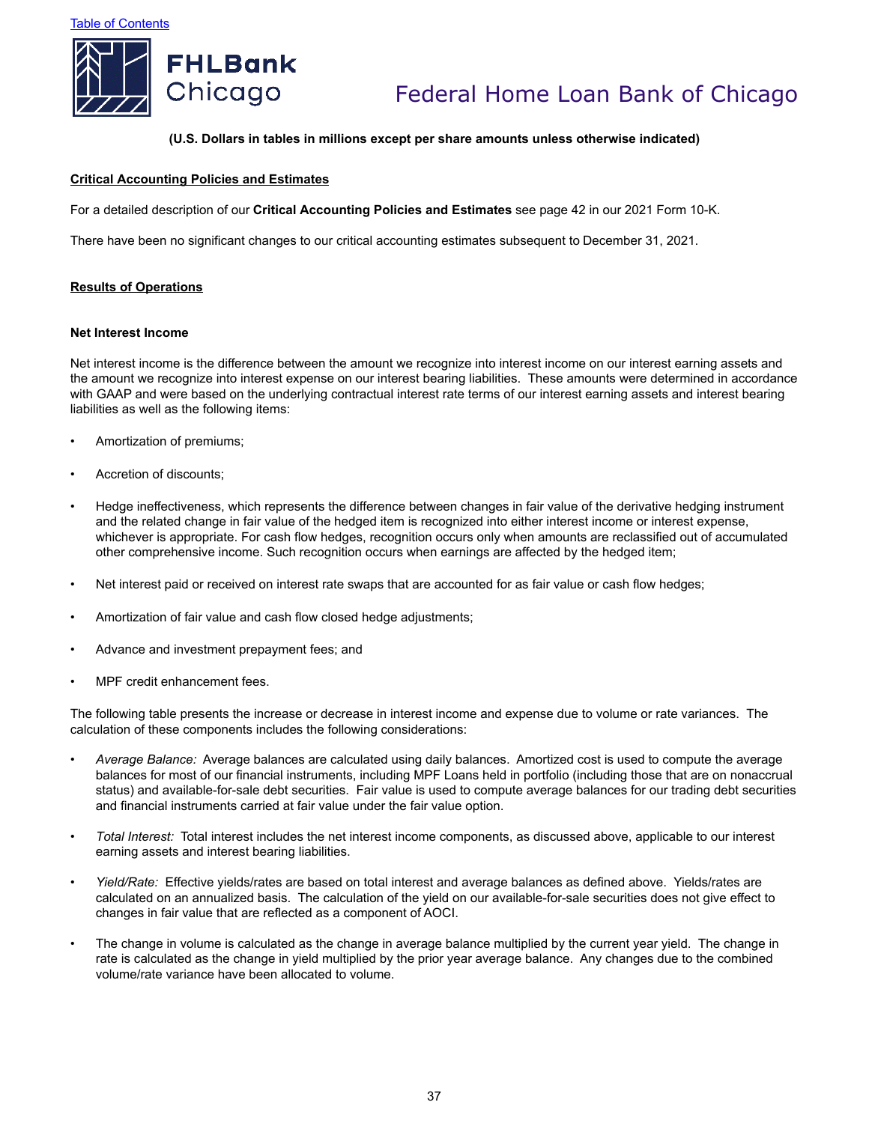

#### **(U.S. Dollars in tables in millions except per share amounts unless otherwise indicated)**

### **Critical Accounting Policies and Estimates**

For a detailed description of our **Critical Accounting Policies and Estimates** see page 42 in our 2021 Form 10-K.

There have been no significant changes to our critical accounting estimates subsequent to December 31, 2021.

#### **Results of Operations**

#### **Net Interest Income**

Net interest income is the difference between the amount we recognize into interest income on our interest earning assets and the amount we recognize into interest expense on our interest bearing liabilities. These amounts were determined in accordance with GAAP and were based on the underlying contractual interest rate terms of our interest earning assets and interest bearing liabilities as well as the following items:

- Amortization of premiums;
- Accretion of discounts;
- Hedge ineffectiveness, which represents the difference between changes in fair value of the derivative hedging instrument and the related change in fair value of the hedged item is recognized into either interest income or interest expense, whichever is appropriate. For cash flow hedges, recognition occurs only when amounts are reclassified out of accumulated other comprehensive income. Such recognition occurs when earnings are affected by the hedged item;
- Net interest paid or received on interest rate swaps that are accounted for as fair value or cash flow hedges;
- Amortization of fair value and cash flow closed hedge adjustments;
- Advance and investment prepayment fees; and
- MPF credit enhancement fees.

The following table presents the increase or decrease in interest income and expense due to volume or rate variances. The calculation of these components includes the following considerations:

- *Average Balance:* Average balances are calculated using daily balances. Amortized cost is used to compute the average balances for most of our financial instruments, including MPF Loans held in portfolio (including those that are on nonaccrual status) and available-for-sale debt securities. Fair value is used to compute average balances for our trading debt securities and financial instruments carried at fair value under the fair value option.
- *Total Interest:* Total interest includes the net interest income components, as discussed above, applicable to our interest earning assets and interest bearing liabilities.
- *Yield/Rate:* Effective yields/rates are based on total interest and average balances as defined above. Yields/rates are calculated on an annualized basis. The calculation of the yield on our available-for-sale securities does not give effect to changes in fair value that are reflected as a component of AOCI.
- The change in volume is calculated as the change in average balance multiplied by the current year yield. The change in rate is calculated as the change in yield multiplied by the prior year average balance. Any changes due to the combined volume/rate variance have been allocated to volume.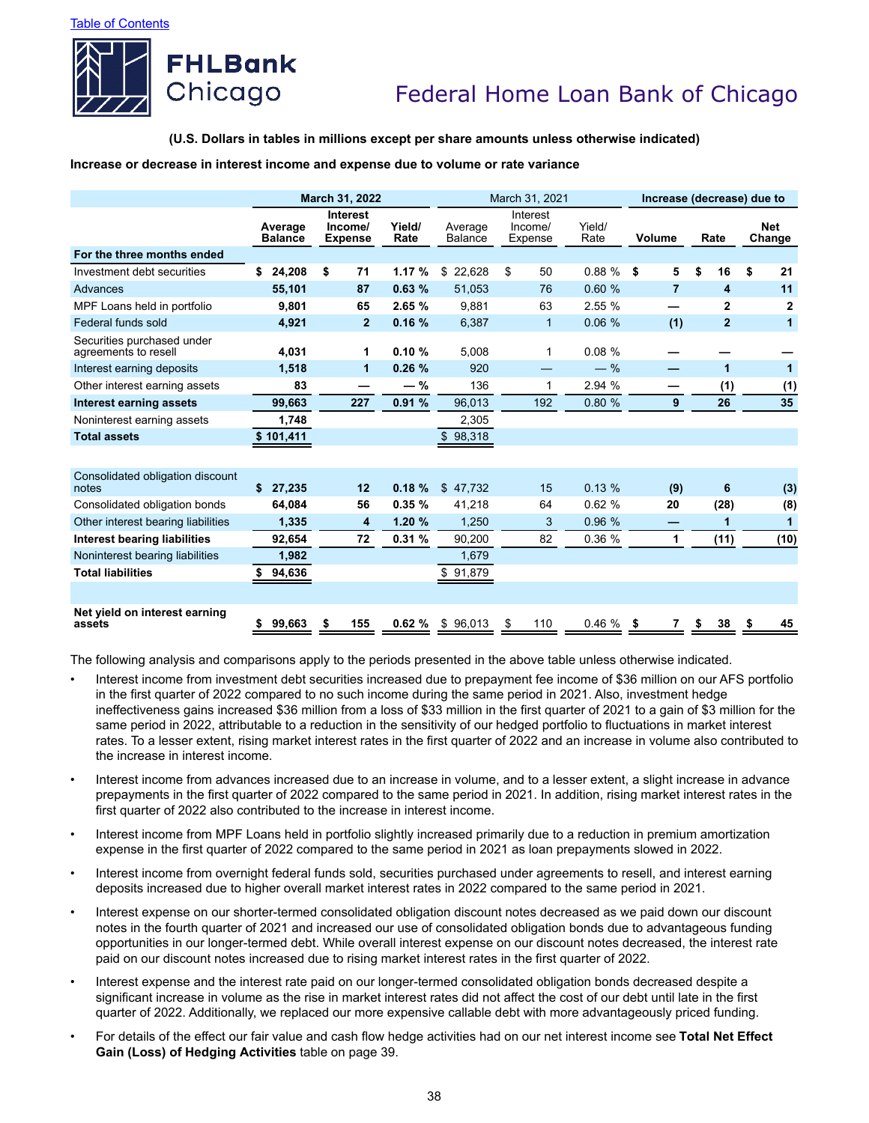

#### **(U.S. Dollars in tables in millions except per share amounts unless otherwise indicated)**

### **Increase or decrease in interest income and expense due to volume or rate variance**

|                                                    |                           | March 31, 2022                               |                |                           | March 31, 2021                                   |        | Increase (decrease) due to |                 |                      |  |  |  |  |
|----------------------------------------------------|---------------------------|----------------------------------------------|----------------|---------------------------|--------------------------------------------------|--------|----------------------------|-----------------|----------------------|--|--|--|--|
|                                                    | Average<br><b>Balance</b> | <b>Interest</b><br>Income/<br><b>Expense</b> | Yield/<br>Rate | Average<br><b>Balance</b> | Interest<br>Yield/<br>Income/<br>Rate<br>Expense |        | Volume                     | Rate            | <b>Net</b><br>Change |  |  |  |  |
| For the three months ended                         |                           |                                              |                |                           |                                                  |        |                            |                 |                      |  |  |  |  |
| Investment debt securities                         | 24.208<br>\$              | \$<br>71                                     | 1.17%          | \$<br>22.628              | \$<br>50                                         | 0.88%  | \$<br>5                    | \$<br>16        | \$<br>21             |  |  |  |  |
| Advances                                           | 55,101                    | 87                                           | 0.63%          | 51,053                    | 76                                               | 0.60%  | $\overline{7}$             | 4               | 11                   |  |  |  |  |
| MPF Loans held in portfolio                        | 9.801                     | 65                                           | 2.65 %         | 9.881                     | 63                                               | 2.55%  |                            | $\mathbf{2}$    | $\mathbf{2}$         |  |  |  |  |
| Federal funds sold                                 | 4,921                     | $\overline{2}$                               | 0.16%          | 6,387                     | 1                                                | 0.06%  | (1)                        | $\overline{2}$  | 1                    |  |  |  |  |
| Securities purchased under<br>agreements to resell | 4.031                     | 1                                            | 0.10%          | 5,008                     | 1                                                | 0.08%  |                            |                 |                      |  |  |  |  |
| Interest earning deposits                          | 1,518                     | 1                                            | 0.26%          | 920                       |                                                  | $-$ %  |                            | 1               | $\blacktriangleleft$ |  |  |  |  |
| Other interest earning assets                      | 83                        |                                              | $-$ %          | 136                       | 1                                                | 2.94 % |                            | (1)             | (1)                  |  |  |  |  |
| <b>Interest earning assets</b>                     | 99.663                    | 227                                          | 0.91%          | 96,013                    | 192                                              | 0.80%  | 9                          | 26              | 35                   |  |  |  |  |
| Noninterest earning assets                         | 1,748                     |                                              |                | 2,305                     |                                                  |        |                            |                 |                      |  |  |  |  |
| <b>Total assets</b>                                | \$101,411                 |                                              |                | \$98,318                  |                                                  |        |                            |                 |                      |  |  |  |  |
|                                                    |                           |                                              |                |                           |                                                  |        |                            |                 |                      |  |  |  |  |
| Consolidated obligation discount<br>notes          | \$<br>27,235              | 12                                           | 0.18%          | \$47,732                  | 15                                               | 0.13%  | (9)                        | $6\phantom{1}6$ | (3)                  |  |  |  |  |
| Consolidated obligation bonds                      | 64.084                    | 56                                           | 0.35%          | 41,218                    | 64                                               | 0.62%  | 20                         | (28)            | (8)                  |  |  |  |  |
| Other interest bearing liabilities                 | 1,335                     | 4                                            | 1.20%          | 1,250                     | 3                                                | 0.96 % | –                          | 1               | 1                    |  |  |  |  |
| Interest bearing liabilities                       | 92.654                    | 72                                           | 0.31%          | 90,200                    | 82                                               | 0.36%  | 1                          | (11)            | (10)                 |  |  |  |  |
| Noninterest bearing liabilities                    | 1,982                     |                                              |                | 1,679                     |                                                  |        |                            |                 |                      |  |  |  |  |
| <b>Total liabilities</b>                           | 94,636<br>S               |                                              |                | \$91,879                  |                                                  |        |                            |                 |                      |  |  |  |  |
|                                                    |                           |                                              |                |                           |                                                  |        |                            |                 |                      |  |  |  |  |
| Net yield on interest earning<br>assets            | 99,663<br>S               | 155<br>\$                                    | 0.62%          | \$96,013                  | 110<br>\$                                        | 0.46%  | S                          | 38              | 45                   |  |  |  |  |

The following analysis and comparisons apply to the periods presented in the above table unless otherwise indicated.

- Interest income from investment debt securities increased due to prepayment fee income of \$36 million on our AFS portfolio in the first quarter of 2022 compared to no such income during the same period in 2021. Also, investment hedge ineffectiveness gains increased \$36 million from a loss of \$33 million in the first quarter of 2021 to a gain of \$3 million for the same period in 2022, attributable to a reduction in the sensitivity of our hedged portfolio to fluctuations in market interest rates. To a lesser extent, rising market interest rates in the first quarter of 2022 and an increase in volume also contributed to the increase in interest income.
- Interest income from advances increased due to an increase in volume, and to a lesser extent, a slight increase in advance prepayments in the first quarter of 2022 compared to the same period in 2021. In addition, rising market interest rates in the first quarter of 2022 also contributed to the increase in interest income.
- Interest income from MPF Loans held in portfolio slightly increased primarily due to a reduction in premium amortization expense in the first quarter of 2022 compared to the same period in 2021 as loan prepayments slowed in 2022.
- Interest income from overnight federal funds sold, securities purchased under agreements to resell, and interest earning deposits increased due to higher overall market interest rates in 2022 compared to the same period in 2021.
- Interest expense on our shorter-termed consolidated obligation discount notes decreased as we paid down our discount notes in the fourth quarter of 2021 and increased our use of consolidated obligation bonds due to advantageous funding opportunities in our longer-termed debt. While overall interest expense on our discount notes decreased, the interest rate paid on our discount notes increased due to rising market interest rates in the first quarter of 2022.
- Interest expense and the interest rate paid on our longer-termed consolidated obligation bonds decreased despite a significant increase in volume as the rise in market interest rates did not affect the cost of our debt until late in the first quarter of 2022. Additionally, we replaced our more expensive callable debt with more advantageously priced funding.
- For details of the effect our fair value and cash flow hedge activities had on our net interest income see **Total Net Effect Gain (Loss) of Hedging Activities** table on page 39.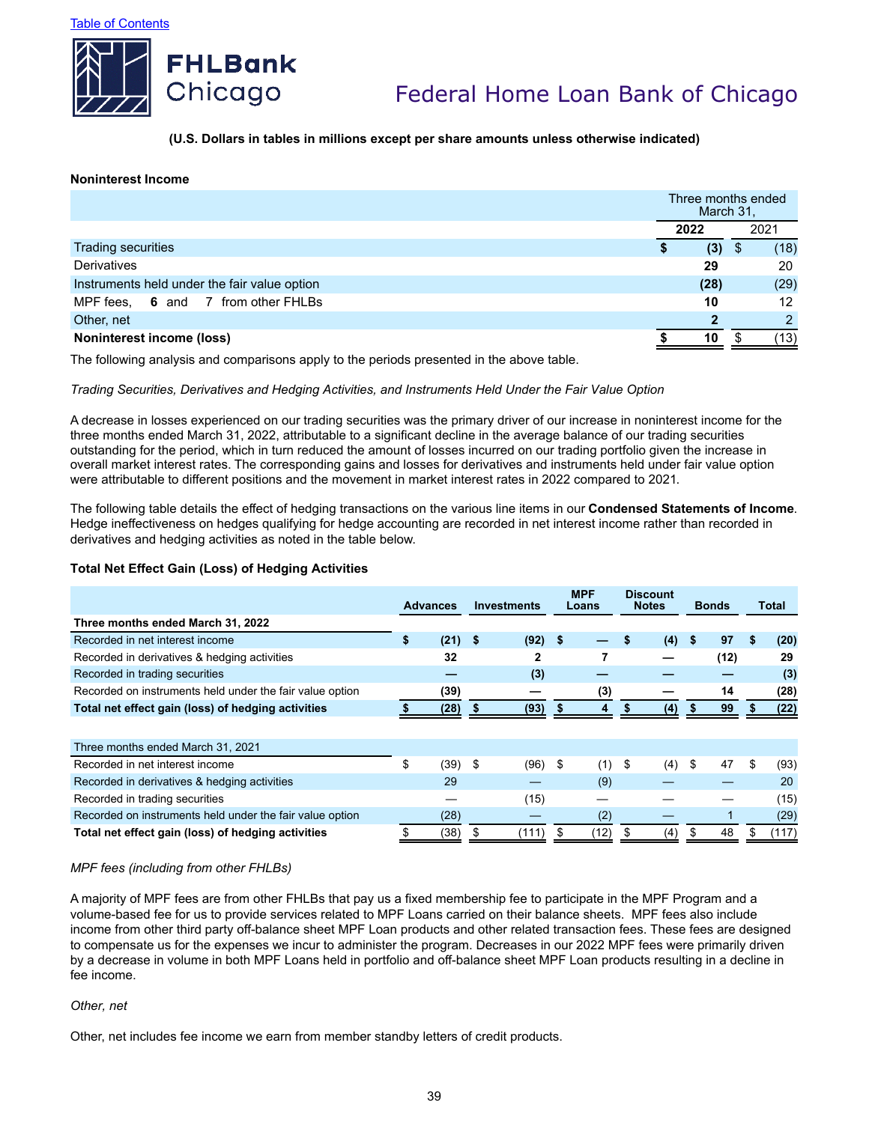



**(U.S. Dollars in tables in millions except per share amounts unless otherwise indicated)**

### **Noninterest Income**

|                                              | March 31. | Three months ended |
|----------------------------------------------|-----------|--------------------|
|                                              | 2022      | 2021               |
| Trading securities                           | (3)       | (18)<br>\$         |
| Derivatives                                  | 29        | 20                 |
| Instruments held under the fair value option | (28)      | (29)               |
| MPF fees, 6 and 7 from other FHLBs           | 10        | 12                 |
| Other, net                                   | າ         | $\mathcal{D}$      |
| Noninterest income (loss)                    | 10        | (13)               |

The following analysis and comparisons apply to the periods presented in the above table.

### *Trading Securities, Derivatives and Hedging Activities, and Instruments Held Under the Fair Value Option*

A decrease in losses experienced on our trading securities was the primary driver of our increase in noninterest income for the three months ended March 31, 2022, attributable to a significant decline in the average balance of our trading securities outstanding for the period, which in turn reduced the amount of losses incurred on our trading portfolio given the increase in overall market interest rates. The corresponding gains and losses for derivatives and instruments held under fair value option were attributable to different positions and the movement in market interest rates in 2022 compared to 2021.

The following table details the effect of hedging transactions on the various line items in our **Condensed Statements of Income**. Hedge ineffectiveness on hedges qualifying for hedge accounting are recorded in net interest income rather than recorded in derivatives and hedging activities as noted in the table below.

### **Total Net Effect Gain (Loss) of Hedging Activities**

|                                                          | <b>Advances</b> |      | <b>Investments</b> |       | <b>MPF</b><br>Loans |      | <b>Discount</b><br><b>Notes</b> |      | <b>Bonds</b> |    | Total |
|----------------------------------------------------------|-----------------|------|--------------------|-------|---------------------|------|---------------------------------|------|--------------|----|-------|
| Three months ended March 31, 2022                        |                 |      |                    |       |                     |      |                                 |      |              |    |       |
| Recorded in net interest income                          | \$              | (21) | -\$                | (92)  | \$                  |      | (4)                             | - \$ | 97           | \$ | (20)  |
| Recorded in derivatives & hedging activities             |                 | 32   |                    | 2     |                     |      |                                 |      | (12)         |    | 29    |
| Recorded in trading securities                           |                 |      |                    | (3)   |                     |      |                                 |      |              |    | (3)   |
| Recorded on instruments held under the fair value option |                 | (39) |                    |       |                     | (3)  |                                 |      | 14           |    | (28)  |
| Total net effect gain (loss) of hedging activities       |                 | (28) |                    | (93)  |                     | 4    | (4)                             |      | 99           |    | (22)  |
|                                                          |                 |      |                    |       |                     |      |                                 |      |              |    |       |
| Three months ended March 31, 2021                        |                 |      |                    |       |                     |      |                                 |      |              |    |       |
| Recorded in net interest income                          | \$              | (39) | -\$                | (96)  | \$                  | (1)  | \$<br>(4)                       | S    | 47           | \$ | (93)  |
| Recorded in derivatives & hedging activities             |                 | 29   |                    |       |                     | (9)  |                                 |      |              |    | 20    |
| Recorded in trading securities                           |                 |      |                    | (15)  |                     |      |                                 |      |              |    | (15)  |
| Recorded on instruments held under the fair value option |                 | (28) |                    |       |                     | (2)  |                                 |      |              |    | (29)  |
| Total net effect gain (loss) of hedging activities       | \$              | (38) | S                  | (111) | \$                  | (12) | (4)                             |      | 48           |    | (117) |

### *MPF fees (including from other FHLBs)*

A majority of MPF fees are from other FHLBs that pay us a fixed membership fee to participate in the MPF Program and a volume-based fee for us to provide services related to MPF Loans carried on their balance sheets. MPF fees also include income from other third party off-balance sheet MPF Loan products and other related transaction fees. These fees are designed to compensate us for the expenses we incur to administer the program. Decreases in our 2022 MPF fees were primarily driven by a decrease in volume in both MPF Loans held in portfolio and off-balance sheet MPF Loan products resulting in a decline in fee income.

### *Other, net*

Other, net includes fee income we earn from member standby letters of credit products.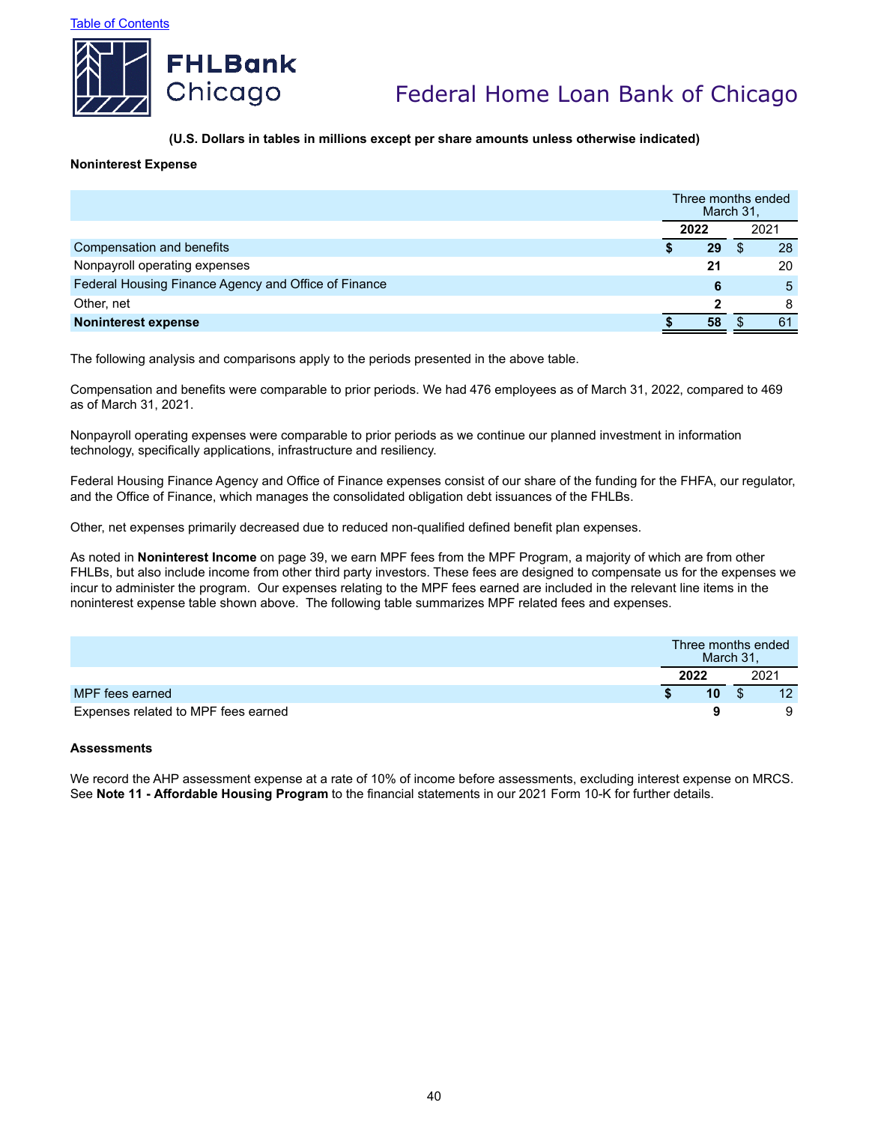

## **(U.S. Dollars in tables in millions except per share amounts unless otherwise indicated)**

### **Noninterest Expense**

|                                                      |      |    | Three months ended<br>March 31, |      |  |
|------------------------------------------------------|------|----|---------------------------------|------|--|
|                                                      | 2022 |    |                                 | 2021 |  |
| Compensation and benefits                            |      | 29 |                                 | 28   |  |
| Nonpayroll operating expenses                        |      | 21 |                                 | 20   |  |
| Federal Housing Finance Agency and Office of Finance |      | 6  |                                 | 5    |  |
| Other, net                                           |      |    |                                 | 8    |  |
| <b>Noninterest expense</b>                           |      | 58 |                                 | 61   |  |

The following analysis and comparisons apply to the periods presented in the above table.

Compensation and benefits were comparable to prior periods. We had 476 employees as of March 31, 2022, compared to 469 as of March 31, 2021.

Nonpayroll operating expenses were comparable to prior periods as we continue our planned investment in information technology, specifically applications, infrastructure and resiliency.

Federal Housing Finance Agency and Office of Finance expenses consist of our share of the funding for the FHFA, our regulator, and the Office of Finance, which manages the consolidated obligation debt issuances of the FHLBs.

Other, net expenses primarily decreased due to reduced non-qualified defined benefit plan expenses.

As noted in **Noninterest Income** on page 39, we earn MPF fees from the MPF Program, a majority of which are from other FHLBs, but also include income from other third party investors. These fees are designed to compensate us for the expenses we incur to administer the program. Our expenses relating to the MPF fees earned are included in the relevant line items in the noninterest expense table shown above. The following table summarizes MPF related fees and expenses.

|                                     | Three months ended | March 31, |      |    |
|-------------------------------------|--------------------|-----------|------|----|
|                                     | 2022               |           | 2021 |    |
| MPF fees earned                     | 10                 |           |      | 12 |
| Expenses related to MPF fees earned |                    |           |      | 9  |

### **Assessments**

We record the AHP assessment expense at a rate of 10% of income before assessments, excluding interest expense on MRCS. See **Note 11 - Affordable Housing Program** to the financial statements in our 2021 Form 10-K for further details.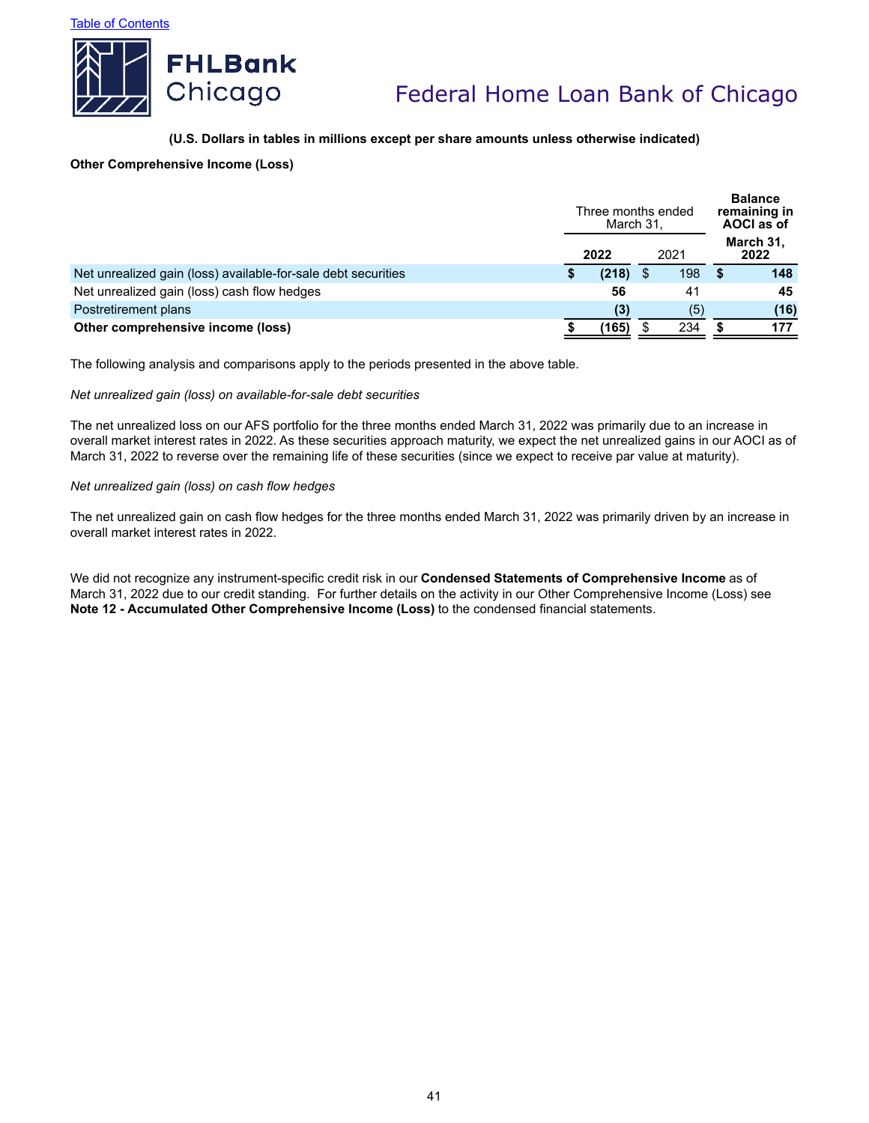

### **(U.S. Dollars in tables in millions except per share amounts unless otherwise indicated)**

### **Other Comprehensive Income (Loss)**

|                                                               | Three months ended<br>March 31, |       |  |     |                   | <b>Balance</b><br>remaining in<br>AOCI as of |  |  |
|---------------------------------------------------------------|---------------------------------|-------|--|-----|-------------------|----------------------------------------------|--|--|
|                                                               | 2022<br>2021                    |       |  |     | March 31,<br>2022 |                                              |  |  |
| Net unrealized gain (loss) available-for-sale debt securities |                                 | (218) |  | 198 |                   | 148                                          |  |  |
| Net unrealized gain (loss) cash flow hedges                   |                                 | 56    |  | 41  |                   | 45                                           |  |  |
| Postretirement plans                                          |                                 | (3)   |  | (5) |                   | (16)                                         |  |  |
| Other comprehensive income (loss)                             |                                 | (165) |  | 234 |                   | 177                                          |  |  |

The following analysis and comparisons apply to the periods presented in the above table.

#### *Net unrealized gain (loss) on available-for-sale debt securities*

The net unrealized loss on our AFS portfolio for the three months ended March 31, 2022 was primarily due to an increase in overall market interest rates in 2022. As these securities approach maturity, we expect the net unrealized gains in our AOCI as of March 31, 2022 to reverse over the remaining life of these securities (since we expect to receive par value at maturity).

#### *Net unrealized gain (loss) on cash flow hedges*

The net unrealized gain on cash flow hedges for the three months ended March 31, 2022 was primarily driven by an increase in overall market interest rates in 2022.

We did not recognize any instrument-specific credit risk in our **Condensed Statements of Comprehensive Income** as of March 31, 2022 due to our credit standing. For further details on the activity in our Other Comprehensive Income (Loss) see **Note 12 - Accumulated Other Comprehensive Income (Loss)** to the condensed financial statements.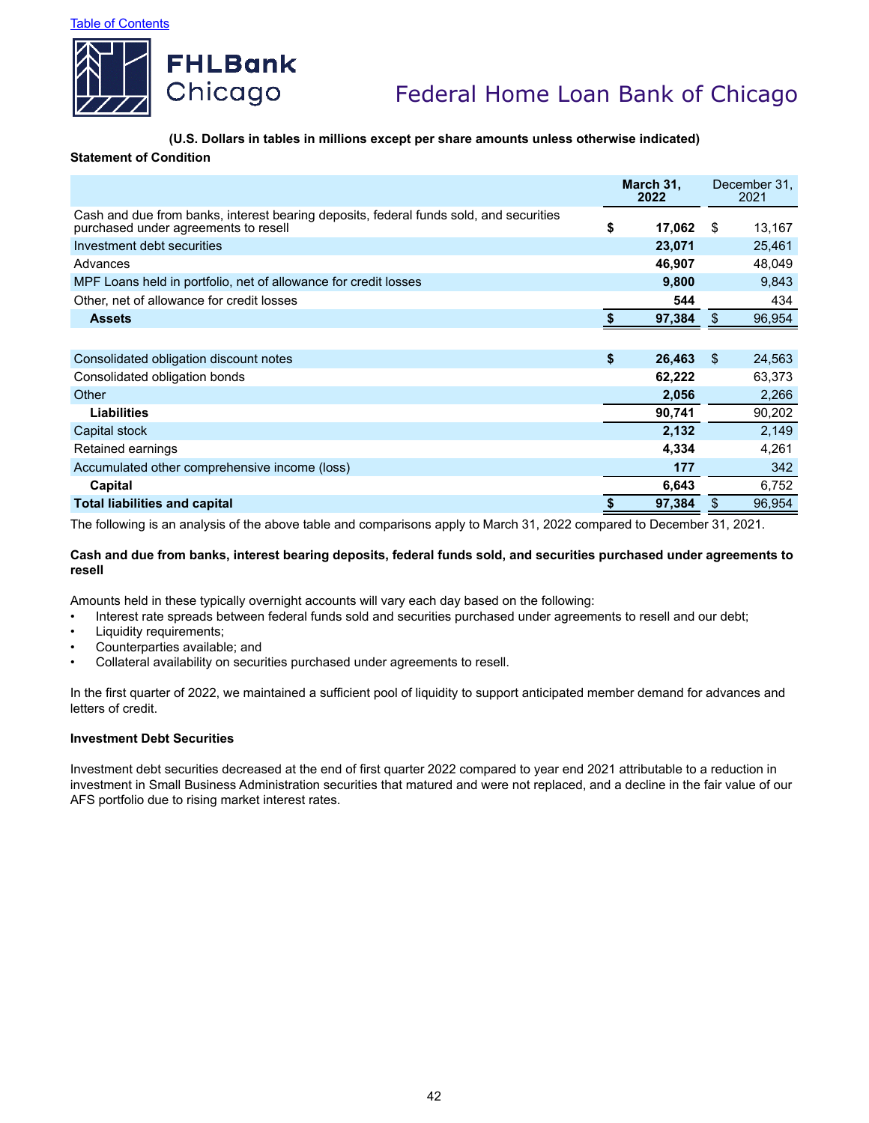

# **(U.S. Dollars in tables in millions except per share amounts unless otherwise indicated)**

### **Statement of Condition**

|                                                                                                                                | March 31,<br>2022 |      | December 31,<br>2021 |
|--------------------------------------------------------------------------------------------------------------------------------|-------------------|------|----------------------|
| Cash and due from banks, interest bearing deposits, federal funds sold, and securities<br>purchased under agreements to resell | \$<br>17,062      | - \$ | 13,167               |
| Investment debt securities                                                                                                     | 23,071            |      | 25,461               |
| Advances                                                                                                                       | 46,907            |      | 48,049               |
| MPF Loans held in portfolio, net of allowance for credit losses                                                                | 9,800             |      | 9,843                |
| Other, net of allowance for credit losses                                                                                      | 544               |      | 434                  |
| <b>Assets</b>                                                                                                                  | 97,384            | \$   | 96,954               |
|                                                                                                                                |                   |      |                      |
| Consolidated obligation discount notes                                                                                         | \$<br>26,463      | \$   | 24,563               |
| Consolidated obligation bonds                                                                                                  | 62,222            |      | 63,373               |
| Other                                                                                                                          | 2,056             |      | 2,266                |
| <b>Liabilities</b>                                                                                                             | 90,741            |      | 90,202               |
| Capital stock                                                                                                                  | 2,132             |      | 2,149                |
| Retained earnings                                                                                                              | 4,334             |      | 4,261                |
| Accumulated other comprehensive income (loss)                                                                                  | 177               |      | 342                  |
| Capital                                                                                                                        | 6,643             |      | 6,752                |
| <b>Total liabilities and capital</b>                                                                                           | 97,384            | \$   | 96,954               |

The following is an analysis of the above table and comparisons apply to March 31, 2022 compared to December 31, 2021.

## **Cash and due from banks, interest bearing deposits, federal funds sold, and securities purchased under agreements to resell**

Amounts held in these typically overnight accounts will vary each day based on the following:

- Interest rate spreads between federal funds sold and securities purchased under agreements to resell and our debt;
- Liquidity requirements;
- Counterparties available; and
- Collateral availability on securities purchased under agreements to resell.

In the first quarter of 2022, we maintained a sufficient pool of liquidity to support anticipated member demand for advances and letters of credit.

### **Investment Debt Securities**

Investment debt securities decreased at the end of first quarter 2022 compared to year end 2021 attributable to a reduction in investment in Small Business Administration securities that matured and were not replaced, and a decline in the fair value of our AFS portfolio due to rising market interest rates.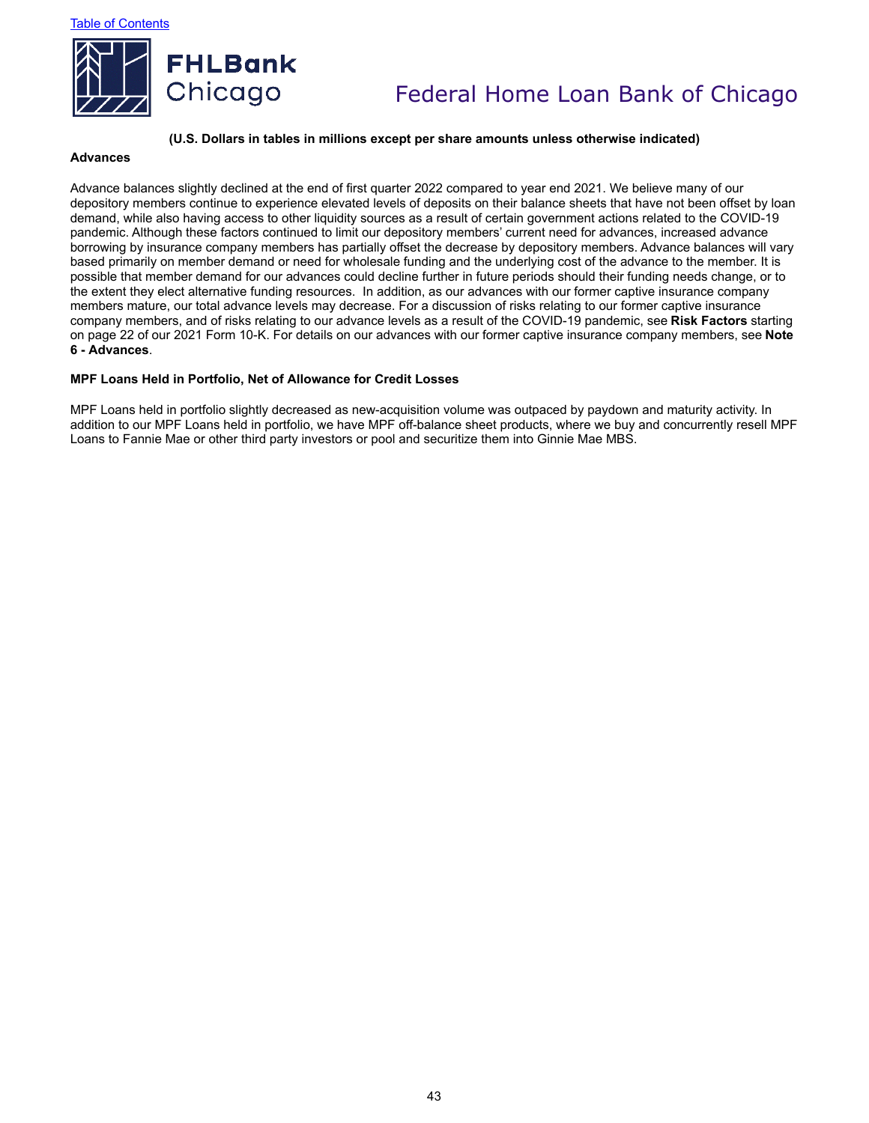

#### **(U.S. Dollars in tables in millions except per share amounts unless otherwise indicated)**

### **Advances**

Advance balances slightly declined at the end of first quarter 2022 compared to year end 2021. We believe many of our depository members continue to experience elevated levels of deposits on their balance sheets that have not been offset by loan demand, while also having access to other liquidity sources as a result of certain government actions related to the COVID-19 pandemic. Although these factors continued to limit our depository members' current need for advances, increased advance borrowing by insurance company members has partially offset the decrease by depository members. Advance balances will vary based primarily on member demand or need for wholesale funding and the underlying cost of the advance to the member. It is possible that member demand for our advances could decline further in future periods should their funding needs change, or to the extent they elect alternative funding resources. In addition, as our advances with our former captive insurance company members mature, our total advance levels may decrease. For a discussion of risks relating to our former captive insurance company members, and of risks relating to our advance levels as a result of the COVID-19 pandemic, see **Risk Factors** starting on page 22 of our 2021 Form 10-K. For details on our advances with our former captive insurance company members, see **Note 6 - Advances**.

#### **MPF Loans Held in Portfolio, Net of Allowance for Credit Losses**

MPF Loans held in portfolio slightly decreased as new-acquisition volume was outpaced by paydown and maturity activity. In addition to our MPF Loans held in portfolio, we have MPF off-balance sheet products, where we buy and concurrently resell MPF Loans to Fannie Mae or other third party investors or pool and securitize them into Ginnie Mae MBS.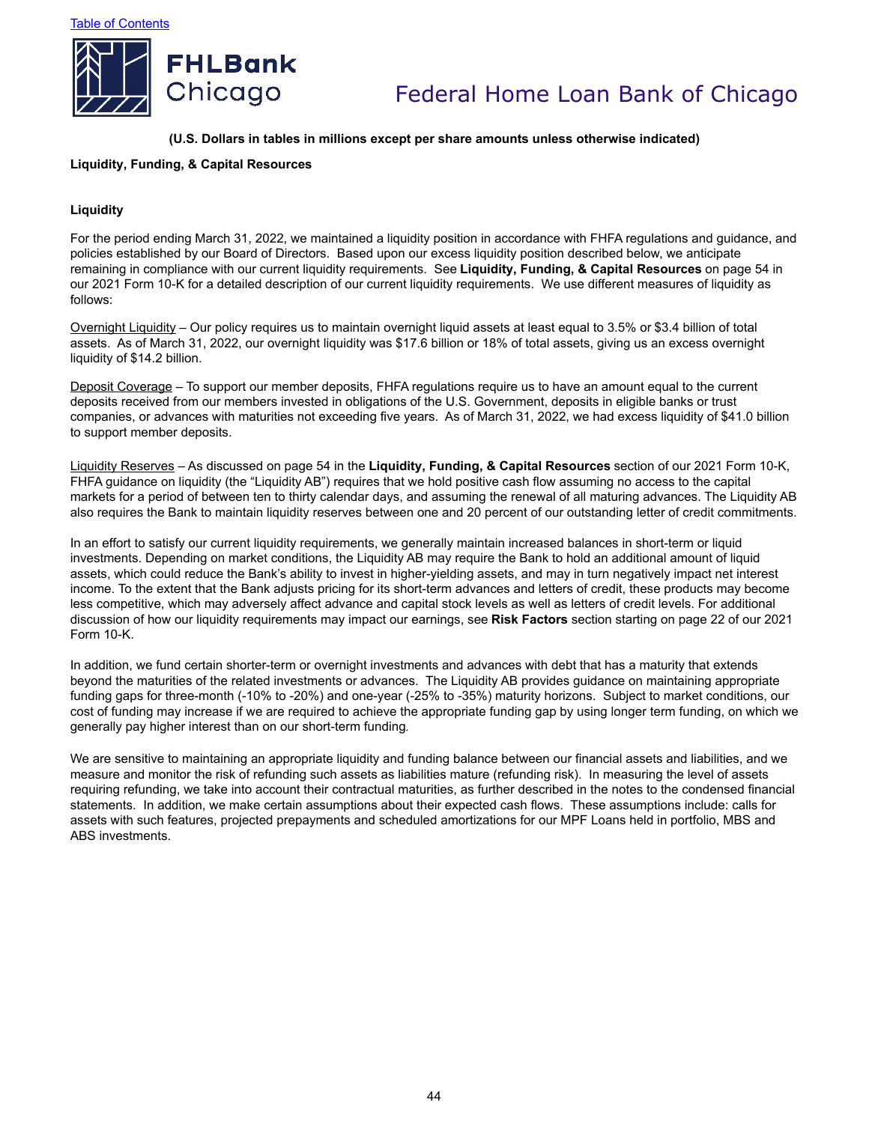

### **(U.S. Dollars in tables in millions except per share amounts unless otherwise indicated)**

### **Liquidity, Funding, & Capital Resources**

### **Liquidity**

For the period ending March 31, 2022, we maintained a liquidity position in accordance with FHFA regulations and guidance, and policies established by our Board of Directors. Based upon our excess liquidity position described below, we anticipate remaining in compliance with our current liquidity requirements. See **Liquidity, Funding, & Capital Resources** on page 54 in our 2021 Form 10-K for a detailed description of our current liquidity requirements. We use different measures of liquidity as follows:

Overnight Liquidity – Our policy requires us to maintain overnight liquid assets at least equal to 3.5% or \$3.4 billion of total assets. As of March 31, 2022, our overnight liquidity was \$17.6 billion or 18% of total assets, giving us an excess overnight liquidity of \$14.2 billion.

Deposit Coverage – To support our member deposits, FHFA regulations require us to have an amount equal to the current deposits received from our members invested in obligations of the U.S. Government, deposits in eligible banks or trust companies, or advances with maturities not exceeding five years. As of March 31, 2022, we had excess liquidity of \$41.0 billion to support member deposits.

Liquidity Reserves – As discussed on page 54 in the **Liquidity, Funding, & Capital Resources** section of our 2021 Form 10-K, FHFA guidance on liquidity (the "Liquidity AB") requires that we hold positive cash flow assuming no access to the capital markets for a period of between ten to thirty calendar days, and assuming the renewal of all maturing advances. The Liquidity AB also requires the Bank to maintain liquidity reserves between one and 20 percent of our outstanding letter of credit commitments.

In an effort to satisfy our current liquidity requirements, we generally maintain increased balances in short-term or liquid investments. Depending on market conditions, the Liquidity AB may require the Bank to hold an additional amount of liquid assets, which could reduce the Bank's ability to invest in higher-yielding assets, and may in turn negatively impact net interest income. To the extent that the Bank adjusts pricing for its short-term advances and letters of credit, these products may become less competitive, which may adversely affect advance and capital stock levels as well as letters of credit levels. For additional discussion of how our liquidity requirements may impact our earnings, see **Risk Factors** section starting on page 22 of our 2021 Form 10-K.

In addition, we fund certain shorter-term or overnight investments and advances with debt that has a maturity that extends beyond the maturities of the related investments or advances. The Liquidity AB provides guidance on maintaining appropriate funding gaps for three-month (-10% to -20%) and one-year (-25% to -35%) maturity horizons. Subject to market conditions, our cost of funding may increase if we are required to achieve the appropriate funding gap by using longer term funding, on which we generally pay higher interest than on our short-term funding.

We are sensitive to maintaining an appropriate liquidity and funding balance between our financial assets and liabilities, and we measure and monitor the risk of refunding such assets as liabilities mature (refunding risk). In measuring the level of assets requiring refunding, we take into account their contractual maturities, as further described in the notes to the condensed financial statements. In addition, we make certain assumptions about their expected cash flows. These assumptions include: calls for assets with such features, projected prepayments and scheduled amortizations for our MPF Loans held in portfolio, MBS and ABS investments.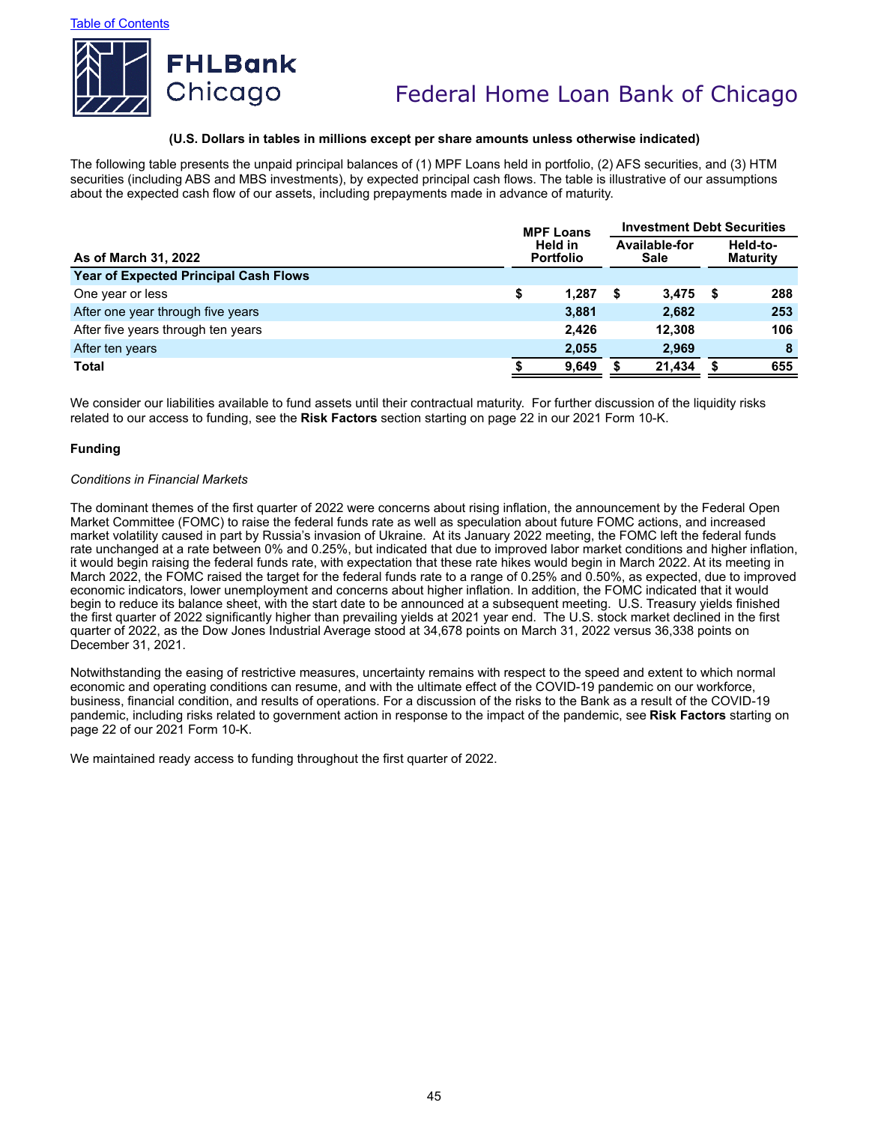

### **(U.S. Dollars in tables in millions except per share amounts unless otherwise indicated)**

The following table presents the unpaid principal balances of (1) MPF Loans held in portfolio, (2) AFS securities, and (3) HTM securities (including ABS and MBS investments), by expected principal cash flows. The table is illustrative of our assumptions about the expected cash flow of our assets, including prepayments made in advance of maturity.

|                                              |                                                             | <b>MPF Loans</b> | <b>Investment Debt Securities</b> |        |      |     |  |  |
|----------------------------------------------|-------------------------------------------------------------|------------------|-----------------------------------|--------|------|-----|--|--|
| As of March 31, 2022                         | Available-for<br>Held in<br><b>Portfolio</b><br><b>Sale</b> |                  | Held-to-<br><b>Maturity</b>       |        |      |     |  |  |
| <b>Year of Expected Principal Cash Flows</b> |                                                             |                  |                                   |        |      |     |  |  |
| One year or less                             | \$                                                          | 1.287            | S                                 | 3.475  | - \$ | 288 |  |  |
| After one year through five years            |                                                             | 3,881            |                                   | 2,682  |      | 253 |  |  |
| After five years through ten years           |                                                             | 2.426            |                                   | 12.308 |      | 106 |  |  |
| After ten years                              |                                                             | 2.055            |                                   | 2.969  |      | 8   |  |  |
| Total                                        |                                                             | 9,649            |                                   | 21,434 |      | 655 |  |  |

We consider our liabilities available to fund assets until their contractual maturity. For further discussion of the liquidity risks related to our access to funding, see the **Risk Factors** section starting on page 22 in our 2021 Form 10-K.

#### **Funding**

#### *Conditions in Financial Markets*

The dominant themes of the first quarter of 2022 were concerns about rising inflation, the announcement by the Federal Open Market Committee (FOMC) to raise the federal funds rate as well as speculation about future FOMC actions, and increased market volatility caused in part by Russia's invasion of Ukraine. At its January 2022 meeting, the FOMC left the federal funds rate unchanged at a rate between 0% and 0.25%, but indicated that due to improved labor market conditions and higher inflation, it would begin raising the federal funds rate, with expectation that these rate hikes would begin in March 2022. At its meeting in March 2022, the FOMC raised the target for the federal funds rate to a range of 0.25% and 0.50%, as expected, due to improved economic indicators, lower unemployment and concerns about higher inflation. In addition, the FOMC indicated that it would begin to reduce its balance sheet, with the start date to be announced at a subsequent meeting. U.S. Treasury yields finished the first quarter of 2022 significantly higher than prevailing yields at 2021 year end. The U.S. stock market declined in the first quarter of 2022, as the Dow Jones Industrial Average stood at 34,678 points on March 31, 2022 versus 36,338 points on December 31, 2021.

Notwithstanding the easing of restrictive measures, uncertainty remains with respect to the speed and extent to which normal economic and operating conditions can resume, and with the ultimate effect of the COVID-19 pandemic on our workforce, business, financial condition, and results of operations. For a discussion of the risks to the Bank as a result of the COVID-19 pandemic, including risks related to government action in response to the impact of the pandemic, see **Risk Factors** starting on page 22 of our 2021 Form 10-K.

We maintained ready access to funding throughout the first quarter of 2022.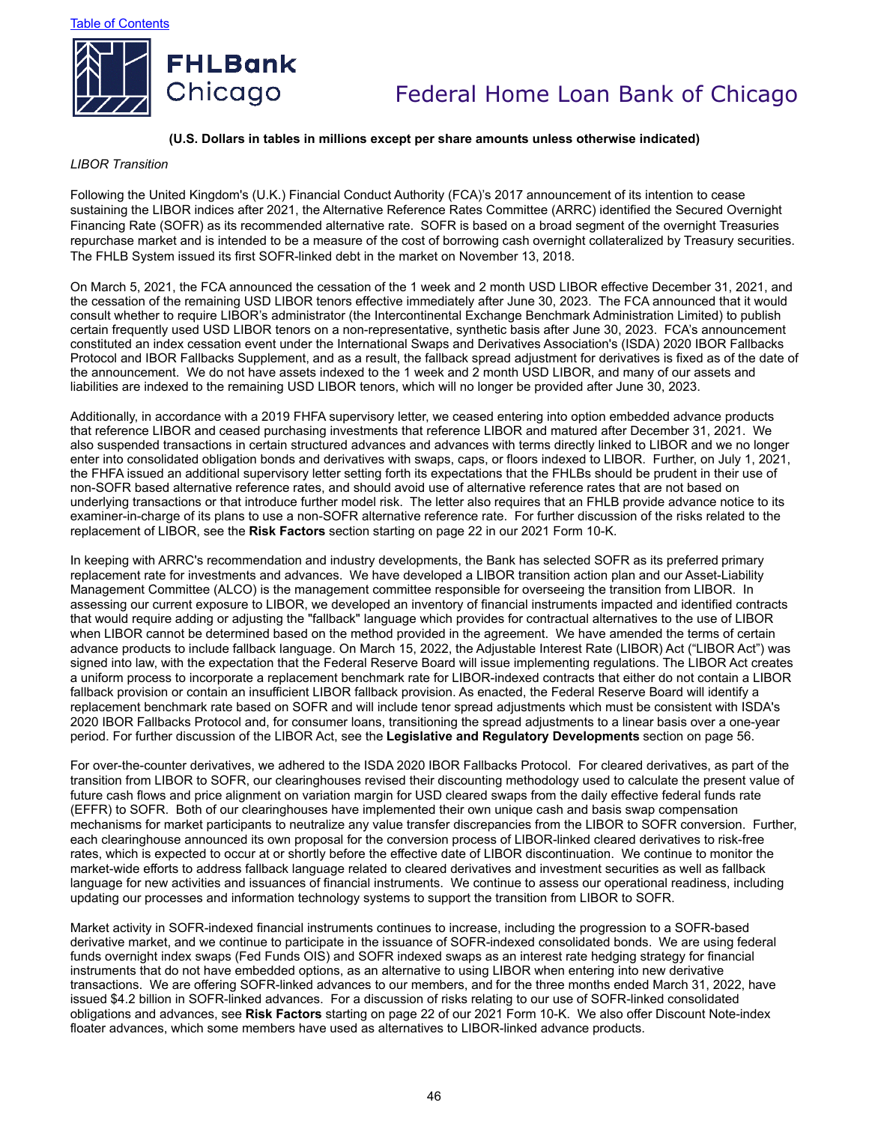

### **(U.S. Dollars in tables in millions except per share amounts unless otherwise indicated)**

#### *LIBOR Transition*

Following the United Kingdom's (U.K.) Financial Conduct Authority (FCA)'s 2017 announcement of its intention to cease sustaining the LIBOR indices after 2021, the Alternative Reference Rates Committee (ARRC) identified the Secured Overnight Financing Rate (SOFR) as its recommended alternative rate. SOFR is based on a broad segment of the overnight Treasuries repurchase market and is intended to be a measure of the cost of borrowing cash overnight collateralized by Treasury securities. The FHLB System issued its first SOFR-linked debt in the market on November 13, 2018.

On March 5, 2021, the FCA announced the cessation of the 1 week and 2 month USD LIBOR effective December 31, 2021, and the cessation of the remaining USD LIBOR tenors effective immediately after June 30, 2023. The FCA announced that it would consult whether to require LIBOR's administrator (the Intercontinental Exchange Benchmark Administration Limited) to publish certain frequently used USD LIBOR tenors on a non-representative, synthetic basis after June 30, 2023. FCA's announcement constituted an index cessation event under the International Swaps and Derivatives Association's (ISDA) 2020 IBOR Fallbacks Protocol and IBOR Fallbacks Supplement, and as a result, the fallback spread adjustment for derivatives is fixed as of the date of the announcement. We do not have assets indexed to the 1 week and 2 month USD LIBOR, and many of our assets and liabilities are indexed to the remaining USD LIBOR tenors, which will no longer be provided after June 30, 2023.

Additionally, in accordance with a 2019 FHFA supervisory letter, we ceased entering into option embedded advance products that reference LIBOR and ceased purchasing investments that reference LIBOR and matured after December 31, 2021. We also suspended transactions in certain structured advances and advances with terms directly linked to LIBOR and we no longer enter into consolidated obligation bonds and derivatives with swaps, caps, or floors indexed to LIBOR. Further, on July 1, 2021, the FHFA issued an additional supervisory letter setting forth its expectations that the FHLBs should be prudent in their use of non-SOFR based alternative reference rates, and should avoid use of alternative reference rates that are not based on underlying transactions or that introduce further model risk. The letter also requires that an FHLB provide advance notice to its examiner-in-charge of its plans to use a non-SOFR alternative reference rate. For further discussion of the risks related to the replacement of LIBOR, see the **Risk Factors** section starting on page 22 in our 2021 Form 10-K.

In keeping with ARRC's recommendation and industry developments, the Bank has selected SOFR as its preferred primary replacement rate for investments and advances. We have developed a LIBOR transition action plan and our Asset-Liability Management Committee (ALCO) is the management committee responsible for overseeing the transition from LIBOR. In assessing our current exposure to LIBOR, we developed an inventory of financial instruments impacted and identified contracts that would require adding or adjusting the "fallback" language which provides for contractual alternatives to the use of LIBOR when LIBOR cannot be determined based on the method provided in the agreement. We have amended the terms of certain advance products to include fallback language. On March 15, 2022, the Adjustable Interest Rate (LIBOR) Act ("LIBOR Act") was signed into law, with the expectation that the Federal Reserve Board will issue implementing regulations. The LIBOR Act creates a uniform process to incorporate a replacement benchmark rate for LIBOR-indexed contracts that either do not contain a LIBOR fallback provision or contain an insufficient LIBOR fallback provision. As enacted, the Federal Reserve Board will identify a replacement benchmark rate based on SOFR and will include tenor spread adjustments which must be consistent with ISDA's 2020 IBOR Fallbacks Protocol and, for consumer loans, transitioning the spread adjustments to a linear basis over a one-year period. For further discussion of the LIBOR Act, see the **Legislative and Regulatory Developments** section on page 56.

For over-the-counter derivatives, we adhered to the ISDA 2020 IBOR Fallbacks Protocol. For cleared derivatives, as part of the transition from LIBOR to SOFR, our clearinghouses revised their discounting methodology used to calculate the present value of future cash flows and price alignment on variation margin for USD cleared swaps from the daily effective federal funds rate (EFFR) to SOFR. Both of our clearinghouses have implemented their own unique cash and basis swap compensation mechanisms for market participants to neutralize any value transfer discrepancies from the LIBOR to SOFR conversion. Further, each clearinghouse announced its own proposal for the conversion process of LIBOR-linked cleared derivatives to risk-free rates, which is expected to occur at or shortly before the effective date of LIBOR discontinuation. We continue to monitor the market-wide efforts to address fallback language related to cleared derivatives and investment securities as well as fallback language for new activities and issuances of financial instruments. We continue to assess our operational readiness, including updating our processes and information technology systems to support the transition from LIBOR to SOFR.

Market activity in SOFR-indexed financial instruments continues to increase, including the progression to a SOFR-based derivative market, and we continue to participate in the issuance of SOFR-indexed consolidated bonds. We are using federal funds overnight index swaps (Fed Funds OIS) and SOFR indexed swaps as an interest rate hedging strategy for financial instruments that do not have embedded options, as an alternative to using LIBOR when entering into new derivative transactions. We are offering SOFR-linked advances to our members, and for the three months ended March 31, 2022, have issued \$4.2 billion in SOFR-linked advances. For a discussion of risks relating to our use of SOFR-linked consolidated obligations and advances, see **Risk Factors** starting on page 22 of our 2021 Form 10-K. We also offer Discount Note-index floater advances, which some members have used as alternatives to LIBOR-linked advance products.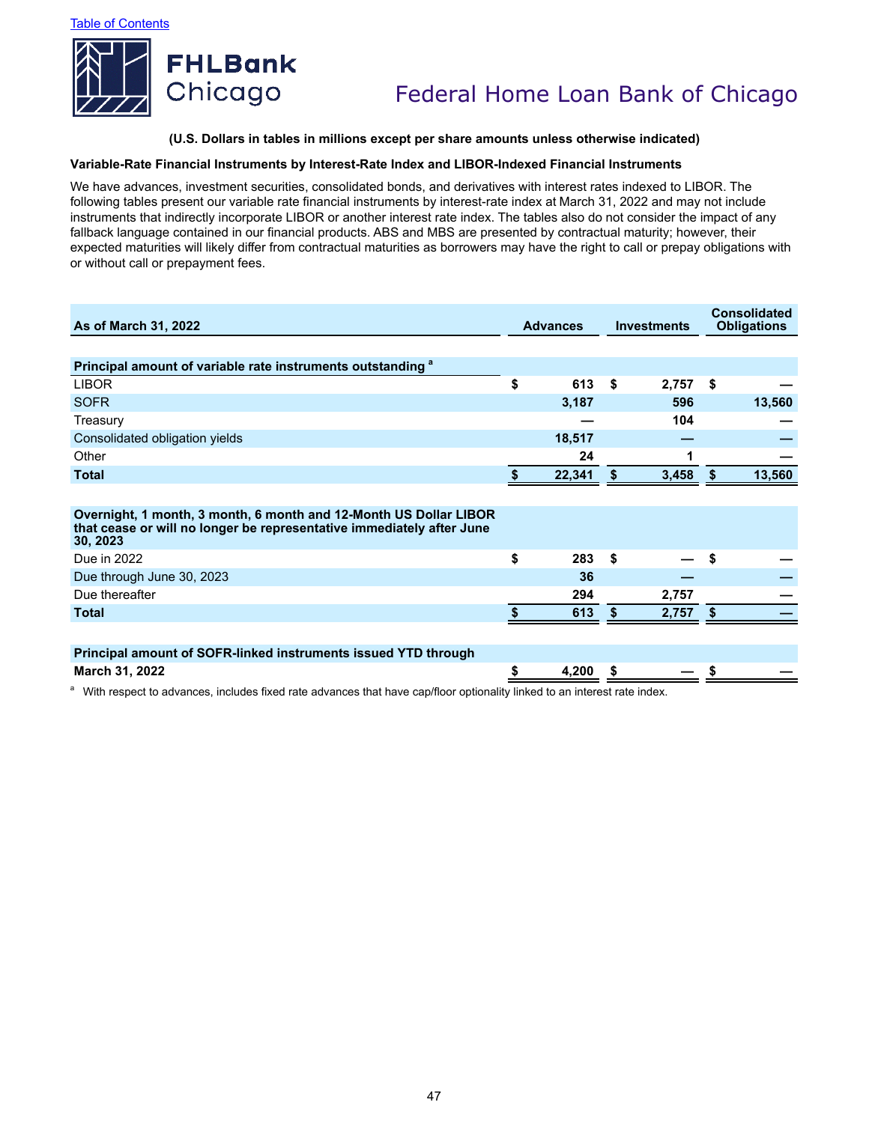

### **(U.S. Dollars in tables in millions except per share amounts unless otherwise indicated)**

#### **Variable-Rate Financial Instruments by Interest-Rate Index and LIBOR-Indexed Financial Instruments**

We have advances, investment securities, consolidated bonds, and derivatives with interest rates indexed to LIBOR. The following tables present our variable rate financial instruments by interest-rate index at March 31, 2022 and may not include instruments that indirectly incorporate LIBOR or another interest rate index. The tables also do not consider the impact of any fallback language contained in our financial products. ABS and MBS are presented by contractual maturity; however, their expected maturities will likely differ from contractual maturities as borrowers may have the right to call or prepay obligations with or without call or prepayment fees.

| As of March 31, 2022                                                                                                                                   | <b>Advances</b> |      | <b>Investments</b> | <b>Consolidated</b><br><b>Obligations</b> |        |  |
|--------------------------------------------------------------------------------------------------------------------------------------------------------|-----------------|------|--------------------|-------------------------------------------|--------|--|
|                                                                                                                                                        |                 |      |                    |                                           |        |  |
| Principal amount of variable rate instruments outstanding <sup>a</sup>                                                                                 |                 |      |                    |                                           |        |  |
| <b>LIBOR</b>                                                                                                                                           | \$<br>613       | - \$ | 2,757              | - \$                                      |        |  |
| <b>SOFR</b>                                                                                                                                            | 3,187           |      | 596                |                                           | 13,560 |  |
| Treasury                                                                                                                                               |                 |      | 104                |                                           |        |  |
| Consolidated obligation yields                                                                                                                         | 18,517          |      |                    |                                           |        |  |
| Other                                                                                                                                                  | 24              |      | 1                  |                                           |        |  |
| <b>Total</b>                                                                                                                                           | 22,341          | S    | 3,458              | S                                         | 13,560 |  |
|                                                                                                                                                        |                 |      |                    |                                           |        |  |
| Overnight, 1 month, 3 month, 6 month and 12-Month US Dollar LIBOR<br>that cease or will no longer be representative immediately after June<br>30, 2023 |                 |      |                    |                                           |        |  |
| Due in 2022                                                                                                                                            | \$<br>283       | -\$  |                    | \$                                        |        |  |
| Due through June 30, 2023                                                                                                                              | 36              |      |                    |                                           |        |  |
| Due thereafter                                                                                                                                         | 294             |      | 2,757              |                                           |        |  |
| <b>Total</b>                                                                                                                                           | 613             | \$.  | 2,757              | \$.                                       |        |  |
|                                                                                                                                                        |                 |      |                    |                                           |        |  |
| Principal amount of SOFR-linked instruments issued YTD through                                                                                         |                 |      |                    |                                           |        |  |
| March 31, 2022                                                                                                                                         | 4,200           | - \$ |                    | \$                                        |        |  |

a With respect to advances, includes fixed rate advances that have cap/floor optionality linked to an interest rate index.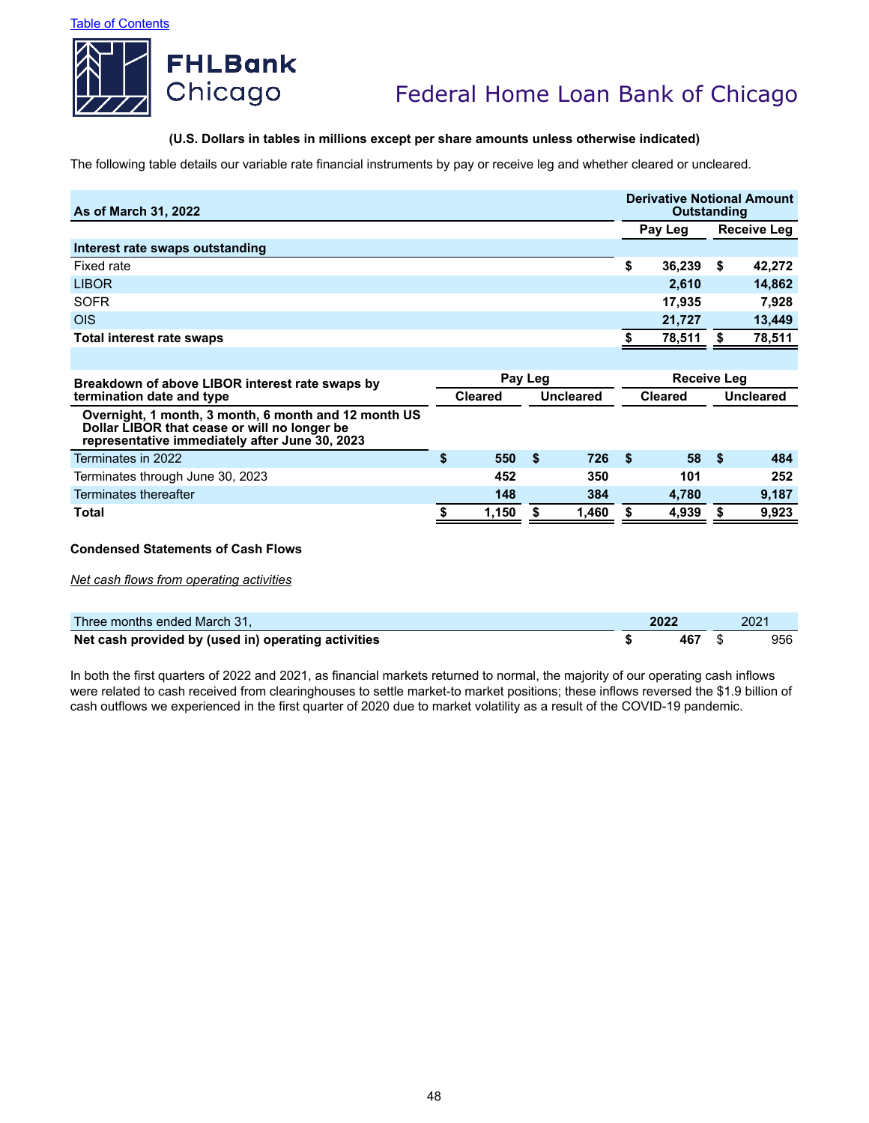

## **(U.S. Dollars in tables in millions except per share amounts unless otherwise indicated)**

The following table details our variable rate financial instruments by pay or receive leg and whether cleared or uncleared.

| As of March 31, 2022                                                                                                                                   |                             |       |         |                |                    |           | <b>Derivative Notional Amount</b><br><b>Outstanding</b><br>Receive Leg |        |  |  |
|--------------------------------------------------------------------------------------------------------------------------------------------------------|-----------------------------|-------|---------|----------------|--------------------|-----------|------------------------------------------------------------------------|--------|--|--|
|                                                                                                                                                        |                             |       |         |                |                    | Pay Leg   |                                                                        |        |  |  |
| Interest rate swaps outstanding                                                                                                                        |                             |       |         |                |                    |           |                                                                        |        |  |  |
| Fixed rate                                                                                                                                             |                             |       |         |                | \$                 | 36,239    | S.                                                                     | 42,272 |  |  |
| <b>LIBOR</b>                                                                                                                                           |                             |       |         |                |                    | 2,610     |                                                                        | 14,862 |  |  |
| <b>SOFR</b>                                                                                                                                            |                             |       |         |                |                    | 17,935    |                                                                        | 7,928  |  |  |
| <b>OIS</b>                                                                                                                                             |                             |       |         |                |                    | 21,727    |                                                                        | 13,449 |  |  |
| <b>Total interest rate swaps</b>                                                                                                                       |                             |       |         |                |                    | 78,511    |                                                                        | 78,511 |  |  |
|                                                                                                                                                        |                             |       |         |                |                    |           |                                                                        |        |  |  |
| Breakdown of above LIBOR interest rate swaps by                                                                                                        |                             |       | Pay Leg |                | <b>Receive Leg</b> |           |                                                                        |        |  |  |
| termination date and type                                                                                                                              | <b>Cleared</b><br>Uncleared |       |         | <b>Cleared</b> |                    | Uncleared |                                                                        |        |  |  |
| Overnight, 1 month, 3 month, 6 month and 12 month US<br>Dollar LIBOR that cease or will no longer be<br>representative immediately after June 30, 2023 |                             |       |         |                |                    |           |                                                                        |        |  |  |
| Terminates in 2022                                                                                                                                     | \$                          | 550   | Ŝ.      | 726            | - \$               | 58        | - \$                                                                   | 484    |  |  |
| Terminates through June 30, 2023                                                                                                                       |                             | 452   |         | 350            |                    | 101       |                                                                        | 252    |  |  |
| Terminates thereafter                                                                                                                                  |                             | 148   |         | 384            |                    | 4,780     |                                                                        | 9,187  |  |  |
| Total                                                                                                                                                  | S.                          | 1,150 | S       | 1,460          | S                  | 4,939     | S                                                                      | 9,923  |  |  |
| <b>Condensed Statements of Cash Flows</b>                                                                                                              |                             |       |         |                |                    |           |                                                                        |        |  |  |

*Net cash flows from operating activities*

| Three months ended March 31,                        | 2022 | 2021 |
|-----------------------------------------------------|------|------|
| Net cash provided by (used in) operating activities | 467  | 956  |

In both the first quarters of 2022 and 2021, as financial markets returned to normal, the majority of our operating cash inflows were related to cash received from clearinghouses to settle market-to market positions; these inflows reversed the \$1.9 billion of cash outflows we experienced in the first quarter of 2020 due to market volatility as a result of the COVID-19 pandemic.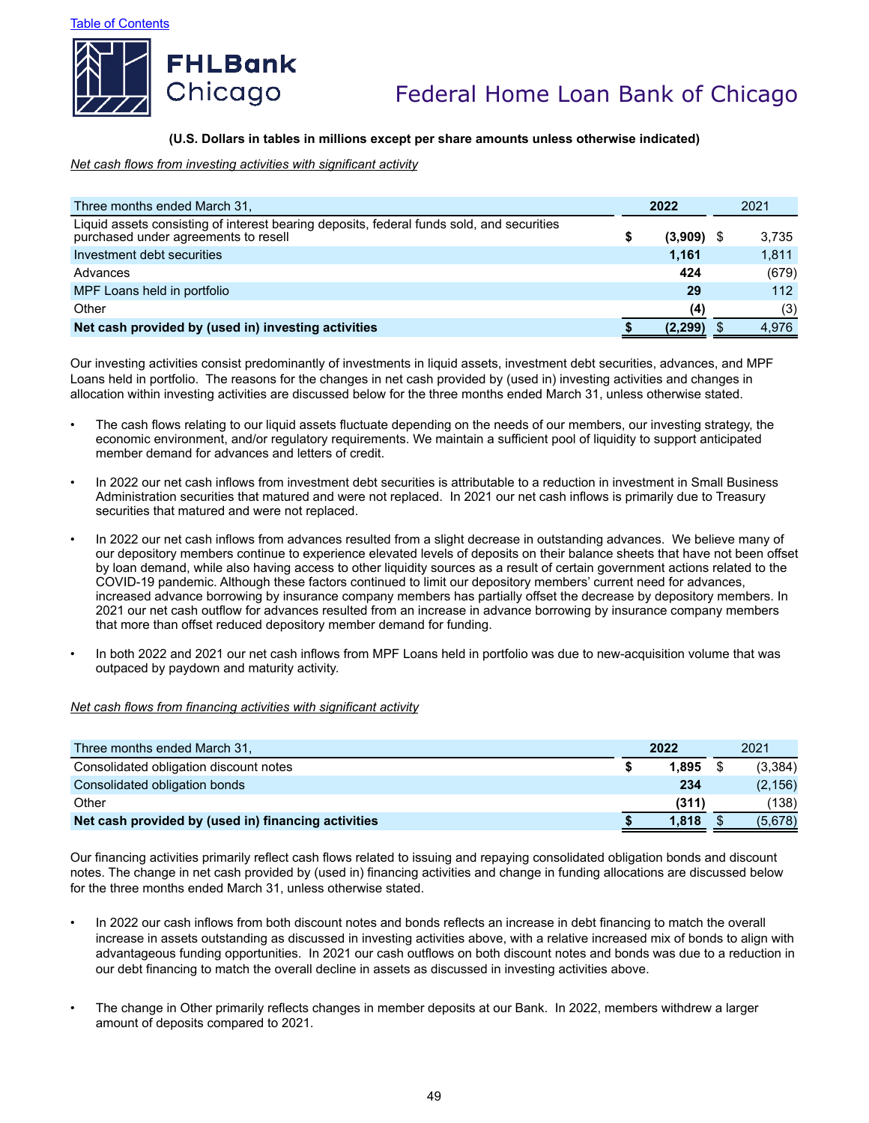



### **(U.S. Dollars in tables in millions except per share amounts unless otherwise indicated)**

*Net cash flows from investing activities with significant activity*

| Three months ended March 31,                                                                                                      | 2022 |         | 2021 |       |
|-----------------------------------------------------------------------------------------------------------------------------------|------|---------|------|-------|
| Liquid assets consisting of interest bearing deposits, federal funds sold, and securities<br>purchased under agreements to resell |      | (3,909) |      | 3,735 |
| Investment debt securities                                                                                                        |      | 1.161   |      | 1,811 |
| Advances                                                                                                                          |      | 424     |      | (679) |
| MPF Loans held in portfolio                                                                                                       |      | 29      |      | 112   |
| Other                                                                                                                             |      | (4)     |      | (3)   |
| Net cash provided by (used in) investing activities                                                                               |      | (2.299  |      | 4,976 |

Our investing activities consist predominantly of investments in liquid assets, investment debt securities, advances, and MPF Loans held in portfolio. The reasons for the changes in net cash provided by (used in) investing activities and changes in allocation within investing activities are discussed below for the three months ended March 31, unless otherwise stated.

- The cash flows relating to our liquid assets fluctuate depending on the needs of our members, our investing strategy, the economic environment, and/or regulatory requirements. We maintain a sufficient pool of liquidity to support anticipated member demand for advances and letters of credit.
- In 2022 our net cash inflows from investment debt securities is attributable to a reduction in investment in Small Business Administration securities that matured and were not replaced. In 2021 our net cash inflows is primarily due to Treasury securities that matured and were not replaced.
- In 2022 our net cash inflows from advances resulted from a slight decrease in outstanding advances. We believe many of our depository members continue to experience elevated levels of deposits on their balance sheets that have not been offset by loan demand, while also having access to other liquidity sources as a result of certain government actions related to the COVID-19 pandemic. Although these factors continued to limit our depository members' current need for advances, increased advance borrowing by insurance company members has partially offset the decrease by depository members. In 2021 our net cash outflow for advances resulted from an increase in advance borrowing by insurance company members that more than offset reduced depository member demand for funding.
- In both 2022 and 2021 our net cash inflows from MPF Loans held in portfolio was due to new-acquisition volume that was outpaced by paydown and maturity activity.

### *Net cash flows from financing activities with significant activity*

| Three months ended March 31,                        | 2022 |       | 2021 |          |
|-----------------------------------------------------|------|-------|------|----------|
| Consolidated obligation discount notes              |      | 1.895 |      | (3,384)  |
| Consolidated obligation bonds                       |      | 234   |      | (2, 156) |
| Other                                               |      | (311) |      | (138)    |
| Net cash provided by (used in) financing activities |      | 1.818 |      | (5,678)  |

Our financing activities primarily reflect cash flows related to issuing and repaying consolidated obligation bonds and discount notes. The change in net cash provided by (used in) financing activities and change in funding allocations are discussed below for the three months ended March 31, unless otherwise stated.

- In 2022 our cash inflows from both discount notes and bonds reflects an increase in debt financing to match the overall increase in assets outstanding as discussed in investing activities above, with a relative increased mix of bonds to align with advantageous funding opportunities. In 2021 our cash outflows on both discount notes and bonds was due to a reduction in our debt financing to match the overall decline in assets as discussed in investing activities above.
- The change in Other primarily reflects changes in member deposits at our Bank. In 2022, members withdrew a larger amount of deposits compared to 2021.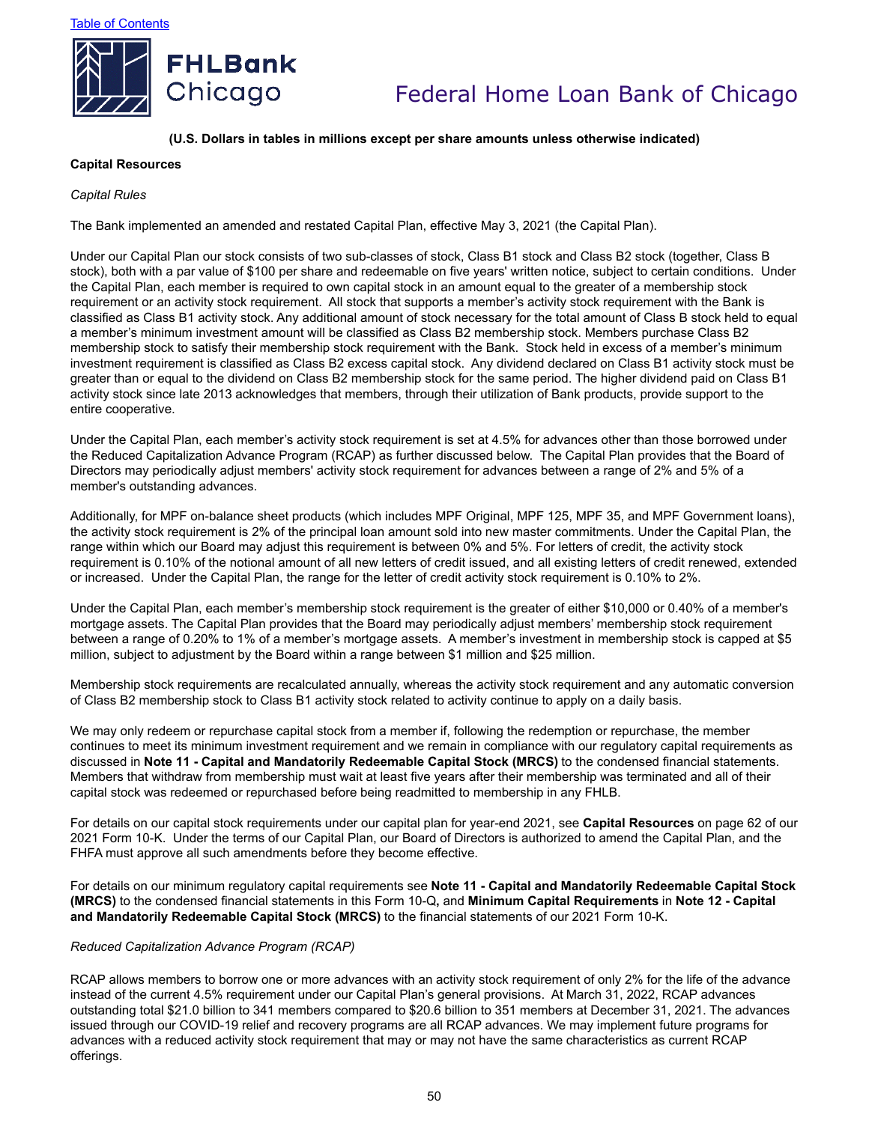

### **(U.S. Dollars in tables in millions except per share amounts unless otherwise indicated)**

### **Capital Resources**

### *Capital Rules*

The Bank implemented an amended and restated Capital Plan, effective May 3, 2021 (the Capital Plan).

Under our Capital Plan our stock consists of two sub-classes of stock, Class B1 stock and Class B2 stock (together, Class B stock), both with a par value of \$100 per share and redeemable on five years' written notice, subject to certain conditions. Under the Capital Plan, each member is required to own capital stock in an amount equal to the greater of a membership stock requirement or an activity stock requirement. All stock that supports a member's activity stock requirement with the Bank is classified as Class B1 activity stock. Any additional amount of stock necessary for the total amount of Class B stock held to equal a member's minimum investment amount will be classified as Class B2 membership stock. Members purchase Class B2 membership stock to satisfy their membership stock requirement with the Bank. Stock held in excess of a member's minimum investment requirement is classified as Class B2 excess capital stock. Any dividend declared on Class B1 activity stock must be greater than or equal to the dividend on Class B2 membership stock for the same period. The higher dividend paid on Class B1 activity stock since late 2013 acknowledges that members, through their utilization of Bank products, provide support to the entire cooperative.

Under the Capital Plan, each member's activity stock requirement is set at 4.5% for advances other than those borrowed under the Reduced Capitalization Advance Program (RCAP) as further discussed below. The Capital Plan provides that the Board of Directors may periodically adjust members' activity stock requirement for advances between a range of 2% and 5% of a member's outstanding advances.

Additionally, for MPF on-balance sheet products (which includes MPF Original, MPF 125, MPF 35, and MPF Government loans), the activity stock requirement is 2% of the principal loan amount sold into new master commitments. Under the Capital Plan, the range within which our Board may adjust this requirement is between 0% and 5%. For letters of credit, the activity stock requirement is 0.10% of the notional amount of all new letters of credit issued, and all existing letters of credit renewed, extended or increased. Under the Capital Plan, the range for the letter of credit activity stock requirement is 0.10% to 2%.

Under the Capital Plan, each member's membership stock requirement is the greater of either \$10,000 or 0.40% of a member's mortgage assets. The Capital Plan provides that the Board may periodically adjust members' membership stock requirement between a range of 0.20% to 1% of a member's mortgage assets. A member's investment in membership stock is capped at \$5 million, subject to adjustment by the Board within a range between \$1 million and \$25 million.

Membership stock requirements are recalculated annually, whereas the activity stock requirement and any automatic conversion of Class B2 membership stock to Class B1 activity stock related to activity continue to apply on a daily basis.

We may only redeem or repurchase capital stock from a member if, following the redemption or repurchase, the member continues to meet its minimum investment requirement and we remain in compliance with our regulatory capital requirements as discussed in **Note 11 - Capital and Mandatorily Redeemable Capital Stock (MRCS)** to the condensed financial statements. Members that withdraw from membership must wait at least five years after their membership was terminated and all of their capital stock was redeemed or repurchased before being readmitted to membership in any FHLB.

For details on our capital stock requirements under our capital plan for year-end 2021, see **Capital Resources** on page 62 of our 2021 Form 10-K. Under the terms of our Capital Plan, our Board of Directors is authorized to amend the Capital Plan, and the FHFA must approve all such amendments before they become effective.

For details on our minimum regulatory capital requirements see **Note 11 - Capital and Mandatorily Redeemable Capital Stock (MRCS)** to the condensed financial statements in this Form 10-Q**,** and **Minimum Capital Requirements** in **Note 12 - Capital and Mandatorily Redeemable Capital Stock (MRCS)** to the financial statements of our 2021 Form 10-K.

### *Reduced Capitalization Advance Program (RCAP)*

RCAP allows members to borrow one or more advances with an activity stock requirement of only 2% for the life of the advance instead of the current 4.5% requirement under our Capital Plan's general provisions. At March 31, 2022, RCAP advances outstanding total \$21.0 billion to 341 members compared to \$20.6 billion to 351 members at December 31, 2021. The advances issued through our COVID-19 relief and recovery programs are all RCAP advances. We may implement future programs for advances with a reduced activity stock requirement that may or may not have the same characteristics as current RCAP offerings.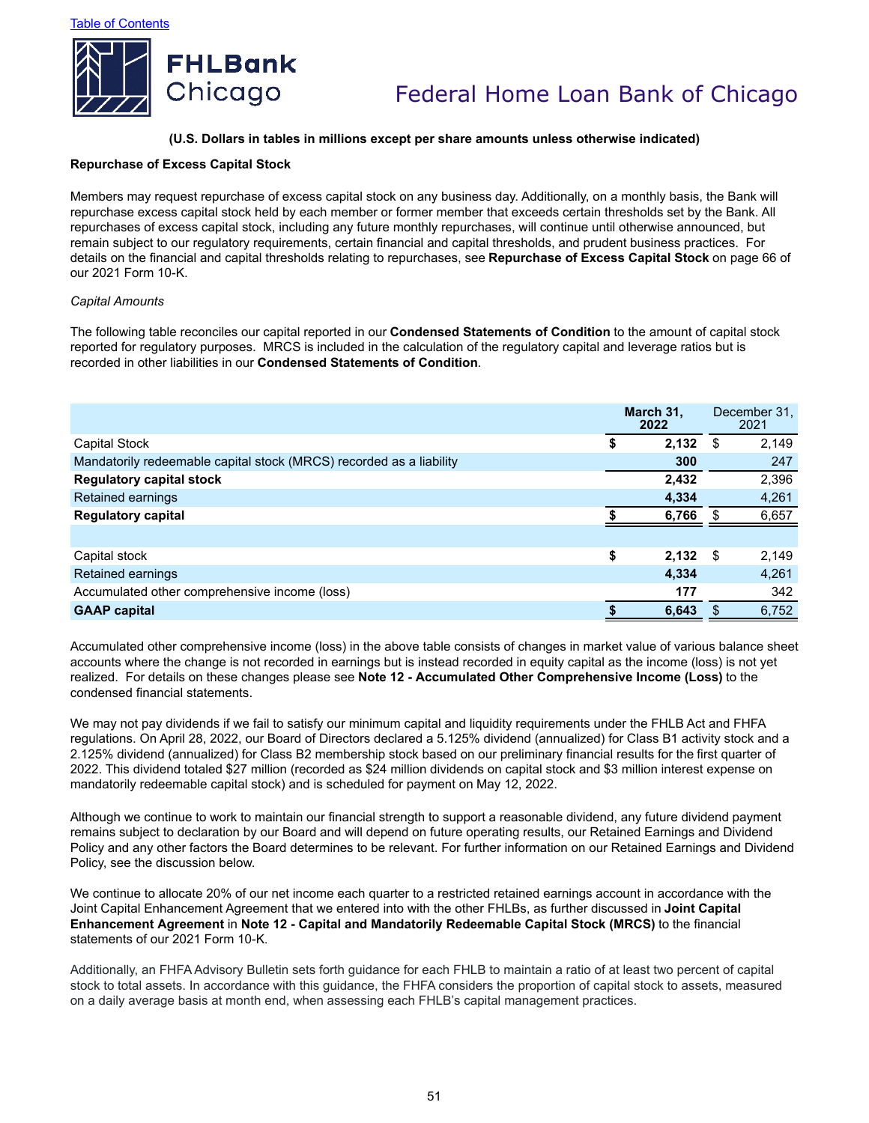

#### **(U.S. Dollars in tables in millions except per share amounts unless otherwise indicated)**

### **Repurchase of Excess Capital Stock**

Members may request repurchase of excess capital stock on any business day. Additionally, on a monthly basis, the Bank will repurchase excess capital stock held by each member or former member that exceeds certain thresholds set by the Bank. All repurchases of excess capital stock, including any future monthly repurchases, will continue until otherwise announced, but remain subject to our regulatory requirements, certain financial and capital thresholds, and prudent business practices. For details on the financial and capital thresholds relating to repurchases, see **Repurchase of Excess Capital Stock** on page 66 of our 2021 Form 10-K.

#### *Capital Amounts*

The following table reconciles our capital reported in our **Condensed Statements of Condition** to the amount of capital stock reported for regulatory purposes. MRCS is included in the calculation of the regulatory capital and leverage ratios but is recorded in other liabilities in our **Condensed Statements of Condition**.

|                                                                     | March 31.<br>2022 |      | December 31,<br>2021 |
|---------------------------------------------------------------------|-------------------|------|----------------------|
| <b>Capital Stock</b>                                                | \$<br>2,132       | - \$ | 2,149                |
| Mandatorily redeemable capital stock (MRCS) recorded as a liability | 300               |      | 247                  |
| <b>Regulatory capital stock</b>                                     | 2,432             |      | 2,396                |
| Retained earnings                                                   | 4.334             |      | 4,261                |
| <b>Regulatory capital</b>                                           | 6,766             |      | 6,657                |
|                                                                     |                   |      |                      |
| Capital stock                                                       | \$<br>$2,132$ \$  |      | 2,149                |
| Retained earnings                                                   | 4.334             |      | 4,261                |
| Accumulated other comprehensive income (loss)                       | 177               |      | 342                  |
| <b>GAAP capital</b>                                                 | 6,643             |      | 6,752                |

Accumulated other comprehensive income (loss) in the above table consists of changes in market value of various balance sheet accounts where the change is not recorded in earnings but is instead recorded in equity capital as the income (loss) is not yet realized. For details on these changes please see **Note 12 - Accumulated Other Comprehensive Income (Loss)** to the condensed financial statements.

We may not pay dividends if we fail to satisfy our minimum capital and liquidity requirements under the FHLB Act and FHFA regulations. On April 28, 2022, our Board of Directors declared a 5.125% dividend (annualized) for Class B1 activity stock and a 2.125% dividend (annualized) for Class B2 membership stock based on our preliminary financial results for the first quarter of 2022. This dividend totaled \$27 million (recorded as \$24 million dividends on capital stock and \$3 million interest expense on mandatorily redeemable capital stock) and is scheduled for payment on May 12, 2022.

Although we continue to work to maintain our financial strength to support a reasonable dividend, any future dividend payment remains subject to declaration by our Board and will depend on future operating results, our Retained Earnings and Dividend Policy and any other factors the Board determines to be relevant. For further information on our Retained Earnings and Dividend Policy, see the discussion below.

We continue to allocate 20% of our net income each quarter to a restricted retained earnings account in accordance with the Joint Capital Enhancement Agreement that we entered into with the other FHLBs, as further discussed in **Joint Capital Enhancement Agreement** in **Note 12 - Capital and Mandatorily Redeemable Capital Stock (MRCS)** to the financial statements of our 2021 Form 10-K.

Additionally, an FHFA Advisory Bulletin sets forth guidance for each FHLB to maintain a ratio of at least two percent of capital stock to total assets. In accordance with this guidance, the FHFA considers the proportion of capital stock to assets, measured on a daily average basis at month end, when assessing each FHLB's capital management practices.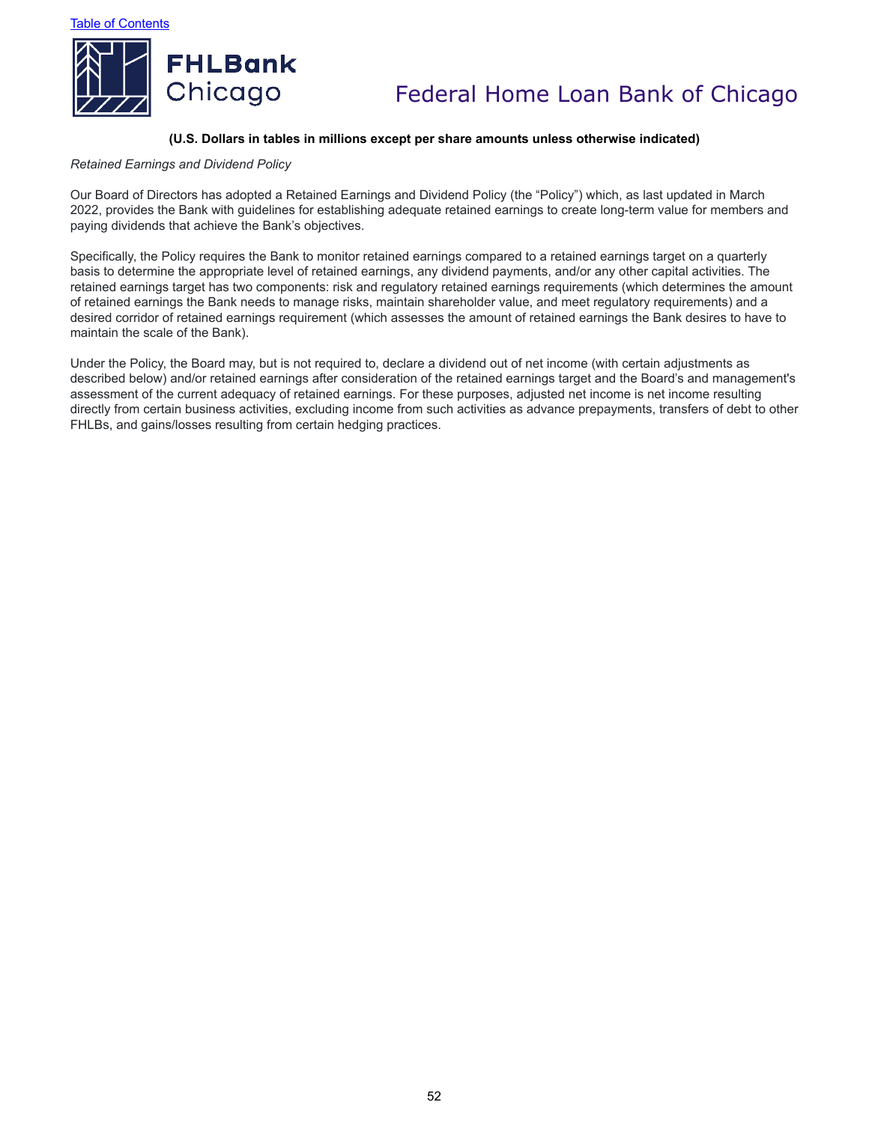

### **(U.S. Dollars in tables in millions except per share amounts unless otherwise indicated)**

#### *Retained Earnings and Dividend Policy*

Our Board of Directors has adopted a Retained Earnings and Dividend Policy (the "Policy") which, as last updated in March 2022, provides the Bank with guidelines for establishing adequate retained earnings to create long-term value for members and paying dividends that achieve the Bank's objectives.

Specifically, the Policy requires the Bank to monitor retained earnings compared to a retained earnings target on a quarterly basis to determine the appropriate level of retained earnings, any dividend payments, and/or any other capital activities. The retained earnings target has two components: risk and regulatory retained earnings requirements (which determines the amount of retained earnings the Bank needs to manage risks, maintain shareholder value, and meet regulatory requirements) and a desired corridor of retained earnings requirement (which assesses the amount of retained earnings the Bank desires to have to maintain the scale of the Bank).

Under the Policy, the Board may, but is not required to, declare a dividend out of net income (with certain adjustments as described below) and/or retained earnings after consideration of the retained earnings target and the Board's and management's assessment of the current adequacy of retained earnings. For these purposes, adjusted net income is net income resulting directly from certain business activities, excluding income from such activities as advance prepayments, transfers of debt to other FHLBs, and gains/losses resulting from certain hedging practices.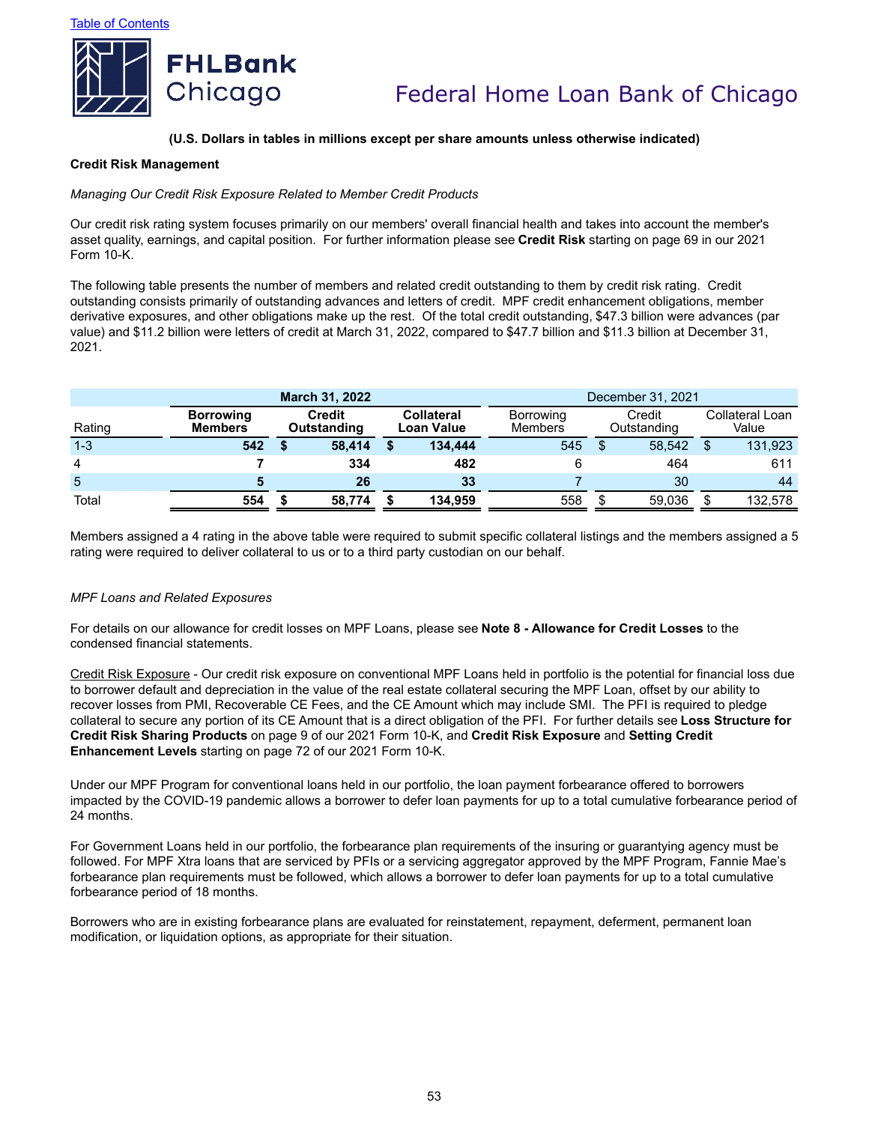

### **(U.S. Dollars in tables in millions except per share amounts unless otherwise indicated)**

#### **Credit Risk Management**

### *Managing Our Credit Risk Exposure Related to Member Credit Products*

Our credit risk rating system focuses primarily on our members' overall financial health and takes into account the member's asset quality, earnings, and capital position. For further information please see **Credit Risk** starting on page 69 in our 2021 Form 10-K.

The following table presents the number of members and related credit outstanding to them by credit risk rating. Credit outstanding consists primarily of outstanding advances and letters of credit. MPF credit enhancement obligations, member derivative exposures, and other obligations make up the rest. Of the total credit outstanding, \$47.3 billion were advances (par value) and \$11.2 billion were letters of credit at March 31, 2022, compared to \$47.7 billion and \$11.3 billion at December 31, 2021.

|         | December 31, 2021                  |                       |     |                                 |         |                      |  |                       |   |                          |
|---------|------------------------------------|-----------------------|-----|---------------------------------|---------|----------------------|--|-----------------------|---|--------------------------|
| Rating  | <b>Borrowing</b><br><b>Members</b> | Credit<br>Outstanding |     | Collateral<br><b>Loan Value</b> |         | Borrowing<br>Members |  | Credit<br>Outstanding |   | Collateral Loan<br>Value |
| $1 - 3$ | 542                                | 58.414                |     |                                 | 134,444 | 545                  |  | 58.542                | S | 131,923                  |
| 4       |                                    |                       | 334 |                                 | 482     |                      |  | 464                   |   | 611                      |
| 5       |                                    |                       | 26  |                                 | 33      |                      |  | 30                    |   | 44                       |
| Total   | 554                                | 58.774                |     |                                 | 134.959 | 558                  |  | 59,036                |   | 132,578                  |

Members assigned a 4 rating in the above table were required to submit specific collateral listings and the members assigned a 5 rating were required to deliver collateral to us or to a third party custodian on our behalf.

### *MPF Loans and Related Exposures*

For details on our allowance for credit losses on MPF Loans, please see **Note 8 - Allowance for Credit Losses** to the condensed financial statements.

Credit Risk Exposure - Our credit risk exposure on conventional MPF Loans held in portfolio is the potential for financial loss due to borrower default and depreciation in the value of the real estate collateral securing the MPF Loan, offset by our ability to recover losses from PMI, Recoverable CE Fees, and the CE Amount which may include SMI. The PFI is required to pledge collateral to secure any portion of its CE Amount that is a direct obligation of the PFI. For further details see **Loss Structure for Credit Risk Sharing Products** on page 9 of our 2021 Form 10-K, and **Credit Risk Exposure** and **Setting Credit Enhancement Levels** starting on page 72 of our 2021 Form 10-K.

Under our MPF Program for conventional loans held in our portfolio, the loan payment forbearance offered to borrowers impacted by the COVID-19 pandemic allows a borrower to defer loan payments for up to a total cumulative forbearance period of 24 months.

For Government Loans held in our portfolio, the forbearance plan requirements of the insuring or guarantying agency must be followed. For MPF Xtra loans that are serviced by PFIs or a servicing aggregator approved by the MPF Program, Fannie Mae's forbearance plan requirements must be followed, which allows a borrower to defer loan payments for up to a total cumulative forbearance period of 18 months.

Borrowers who are in existing forbearance plans are evaluated for reinstatement, repayment, deferment, permanent loan modification, or liquidation options, as appropriate for their situation.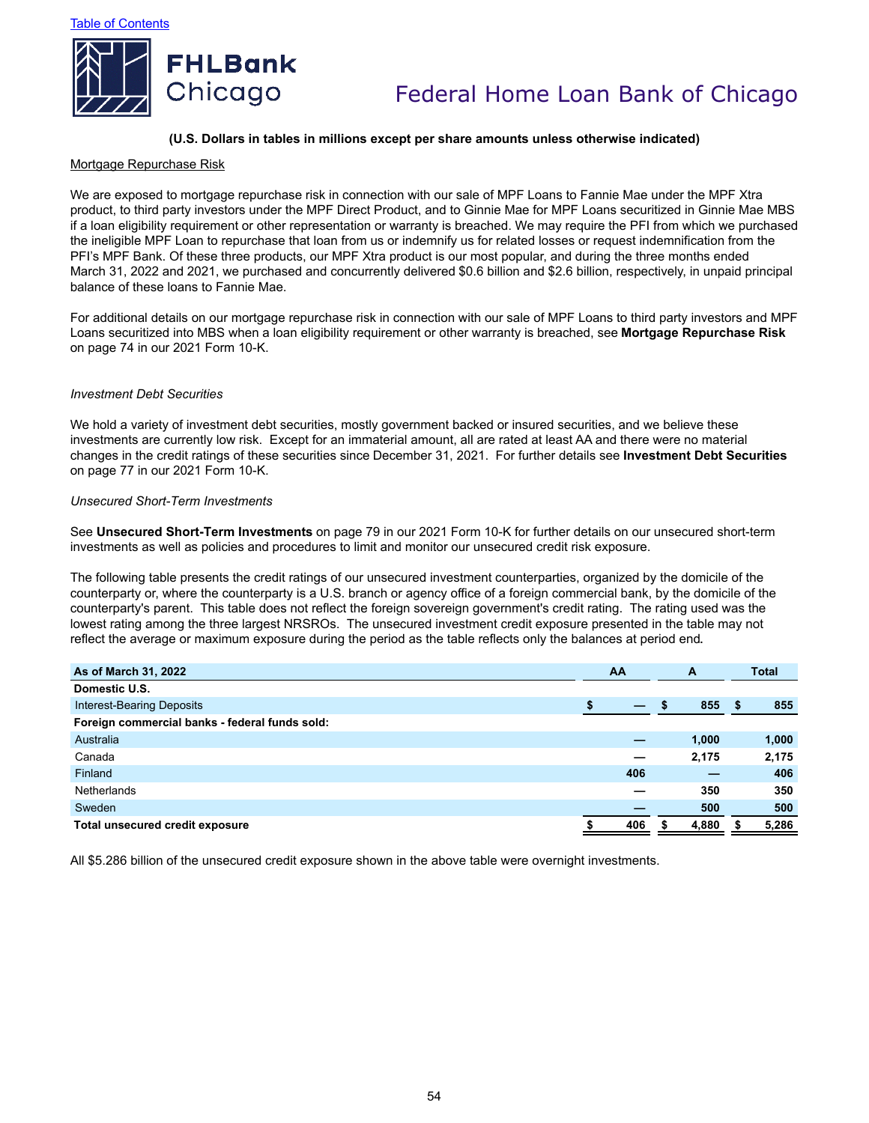

### **(U.S. Dollars in tables in millions except per share amounts unless otherwise indicated)**

#### Mortgage Repurchase Risk

We are exposed to mortgage repurchase risk in connection with our sale of MPF Loans to Fannie Mae under the MPF Xtra product, to third party investors under the MPF Direct Product, and to Ginnie Mae for MPF Loans securitized in Ginnie Mae MBS if a loan eligibility requirement or other representation or warranty is breached. We may require the PFI from which we purchased the ineligible MPF Loan to repurchase that loan from us or indemnify us for related losses or request indemnification from the PFI's MPF Bank. Of these three products, our MPF Xtra product is our most popular, and during the three months ended March 31, 2022 and 2021, we purchased and concurrently delivered \$0.6 billion and \$2.6 billion, respectively, in unpaid principal balance of these loans to Fannie Mae.

For additional details on our mortgage repurchase risk in connection with our sale of MPF Loans to third party investors and MPF Loans securitized into MBS when a loan eligibility requirement or other warranty is breached, see **Mortgage Repurchase Risk** on page 74 in our 2021 Form 10-K.

#### *Investment Debt Securities*

We hold a variety of investment debt securities, mostly government backed or insured securities, and we believe these investments are currently low risk. Except for an immaterial amount, all are rated at least AA and there were no material changes in the credit ratings of these securities since December 31, 2021. For further details see **Investment Debt Securities** on page 77 in our 2021 Form 10-K.

#### *Unsecured Short-Term Investments*

See **Unsecured Short-Term Investments** on page 79 in our 2021 Form 10-K for further details on our unsecured short-term investments as well as policies and procedures to limit and monitor our unsecured credit risk exposure.

The following table presents the credit ratings of our unsecured investment counterparties, organized by the domicile of the counterparty or, where the counterparty is a U.S. branch or agency office of a foreign commercial bank, by the domicile of the counterparty's parent. This table does not reflect the foreign sovereign government's credit rating. The rating used was the lowest rating among the three largest NRSROs. The unsecured investment credit exposure presented in the table may not reflect the average or maximum exposure during the period as the table reflects only the balances at period end**.**

| As of March 31, 2022                           | AA  | A     | <b>Total</b> |
|------------------------------------------------|-----|-------|--------------|
| Domestic U.S.                                  |     |       |              |
| Interest-Bearing Deposits                      |     | 855   | 855          |
| Foreign commercial banks - federal funds sold: |     |       |              |
| Australia                                      |     | 1,000 | 1,000        |
| Canada                                         | _   | 2,175 | 2,175        |
| Finland                                        | 406 |       | 406          |
| <b>Netherlands</b>                             |     | 350   | 350          |
| Sweden                                         |     | 500   | 500          |
| <b>Total unsecured credit exposure</b>         | 406 | 4,880 | 5,286        |

All \$5.286 billion of the unsecured credit exposure shown in the above table were overnight investments.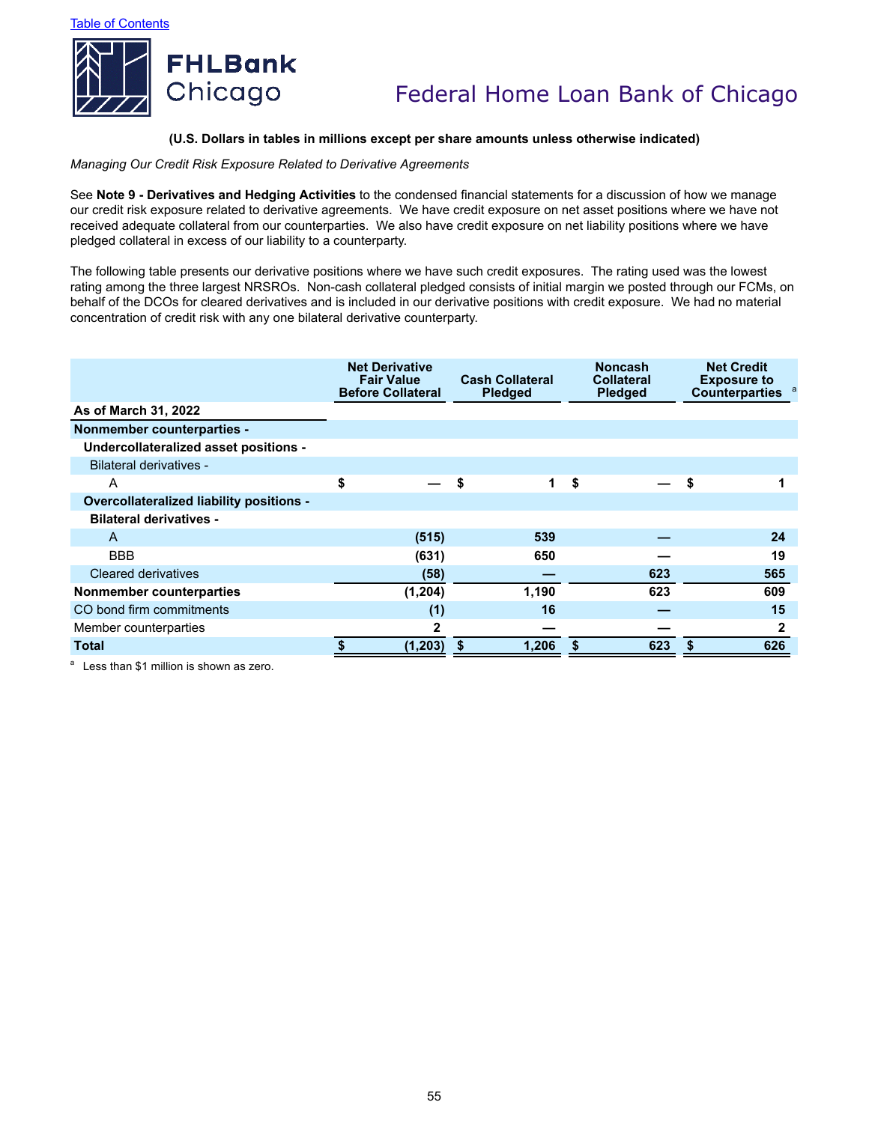

### **(U.S. Dollars in tables in millions except per share amounts unless otherwise indicated)**

*Managing Our Credit Risk Exposure Related to Derivative Agreements*

See **Note 9 - Derivatives and Hedging Activities** to the condensed financial statements for a discussion of how we manage our credit risk exposure related to derivative agreements. We have credit exposure on net asset positions where we have not received adequate collateral from our counterparties. We also have credit exposure on net liability positions where we have pledged collateral in excess of our liability to a counterparty.

The following table presents our derivative positions where we have such credit exposures. The rating used was the lowest rating among the three largest NRSROs. Non-cash collateral pledged consists of initial margin we posted through our FCMs, on behalf of the DCOs for cleared derivatives and is included in our derivative positions with credit exposure. We had no material concentration of credit risk with any one bilateral derivative counterparty.

|                                                 | <b>Net Derivative</b><br><b>Fair Value</b><br><b>Cash Collateral</b><br><b>Before Collateral</b><br><b>Pledged</b> |          |    | <b>Noncash</b><br><b>Collateral</b><br><b>Pledged</b> |    | <b>Net Credit</b><br><b>Exposure to</b><br><b>Counterparties</b> |  |     |
|-------------------------------------------------|--------------------------------------------------------------------------------------------------------------------|----------|----|-------------------------------------------------------|----|------------------------------------------------------------------|--|-----|
| As of March 31, 2022                            |                                                                                                                    |          |    |                                                       |    |                                                                  |  |     |
| <b>Nonmember counterparties -</b>               |                                                                                                                    |          |    |                                                       |    |                                                                  |  |     |
| Undercollateralized asset positions -           |                                                                                                                    |          |    |                                                       |    |                                                                  |  |     |
| Bilateral derivatives -                         |                                                                                                                    |          |    |                                                       |    |                                                                  |  |     |
| A                                               | \$                                                                                                                 |          | \$ | 1                                                     | \$ |                                                                  |  |     |
| <b>Overcollateralized liability positions -</b> |                                                                                                                    |          |    |                                                       |    |                                                                  |  |     |
| <b>Bilateral derivatives -</b>                  |                                                                                                                    |          |    |                                                       |    |                                                                  |  |     |
| $\mathsf{A}$                                    |                                                                                                                    | (515)    |    | 539                                                   |    |                                                                  |  | 24  |
| <b>BBB</b>                                      |                                                                                                                    | (631)    |    | 650                                                   |    |                                                                  |  | 19  |
| Cleared derivatives                             |                                                                                                                    | (58)     |    |                                                       |    | 623                                                              |  | 565 |
| Nonmember counterparties                        |                                                                                                                    | (1,204)  |    | 1,190                                                 |    | 623                                                              |  | 609 |
| CO bond firm commitments                        |                                                                                                                    | (1)      |    | 16                                                    |    |                                                                  |  | 15  |
| Member counterparties                           |                                                                                                                    | 2        |    |                                                       |    |                                                                  |  | 2   |
| <b>Total</b>                                    |                                                                                                                    | (1, 203) | \$ | 1,206                                                 |    | 623                                                              |  | 626 |

 $a$  Less than \$1 million is shown as zero.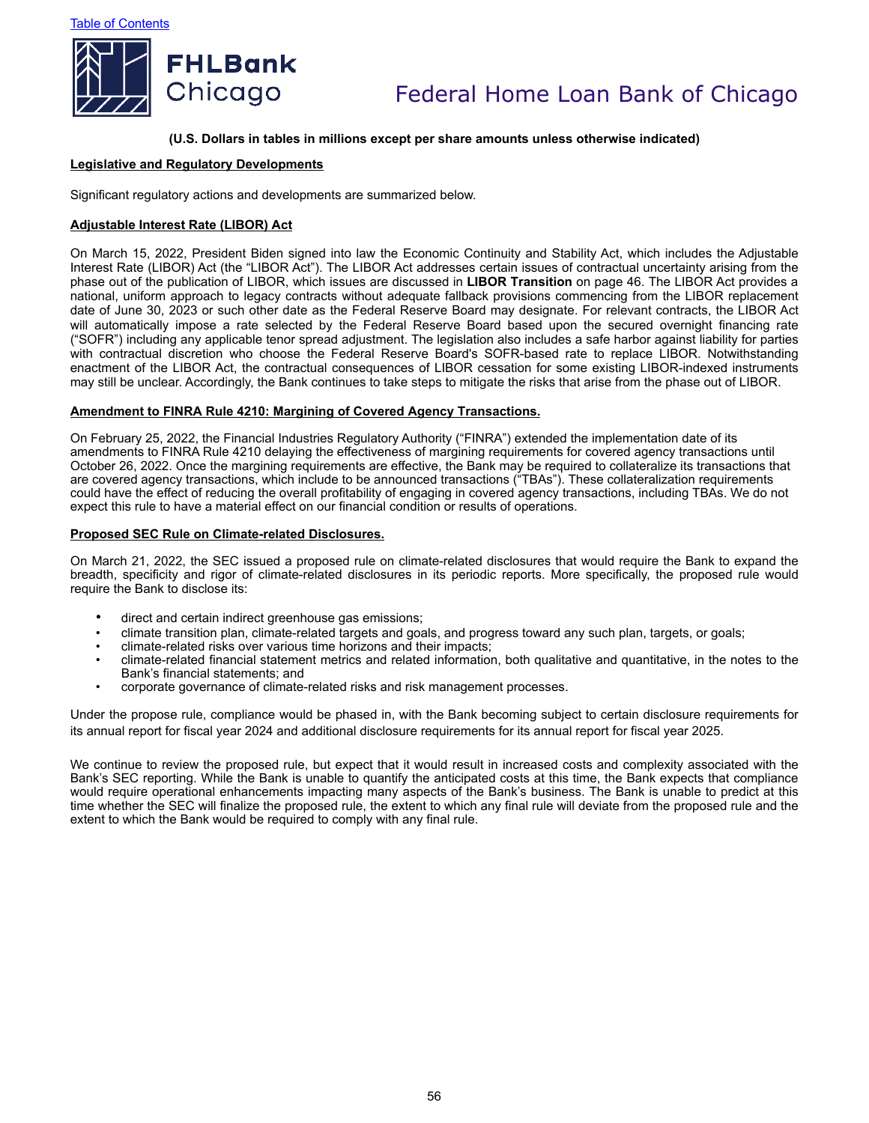

#### **(U.S. Dollars in tables in millions except per share amounts unless otherwise indicated)**

#### **Legislative and Regulatory Developments**

Significant regulatory actions and developments are summarized below.

#### **Adjustable Interest Rate (LIBOR) Act**

On March 15, 2022, President Biden signed into law the Economic Continuity and Stability Act, which includes the Adjustable Interest Rate (LIBOR) Act (the "LIBOR Act"). The LIBOR Act addresses certain issues of contractual uncertainty arising from the phase out of the publication of LIBOR, which issues are discussed in **LIBOR Transition** on page 46. The LIBOR Act provides a national, uniform approach to legacy contracts without adequate fallback provisions commencing from the LIBOR replacement date of June 30, 2023 or such other date as the Federal Reserve Board may designate. For relevant contracts, the LIBOR Act will automatically impose a rate selected by the Federal Reserve Board based upon the secured overnight financing rate ("SOFR") including any applicable tenor spread adjustment. The legislation also includes a safe harbor against liability for parties with contractual discretion who choose the Federal Reserve Board's SOFR-based rate to replace LIBOR. Notwithstanding enactment of the LIBOR Act, the contractual consequences of LIBOR cessation for some existing LIBOR-indexed instruments may still be unclear. Accordingly, the Bank continues to take steps to mitigate the risks that arise from the phase out of LIBOR.

#### **Amendment to FINRA Rule 4210: Margining of Covered Agency Transactions.**

On February 25, 2022, the Financial Industries Regulatory Authority ("FINRA") extended the implementation date of its amendments to FINRA Rule 4210 delaying the effectiveness of margining requirements for covered agency transactions until October 26, 2022. Once the margining requirements are effective, the Bank may be required to collateralize its transactions that are covered agency transactions, which include to be announced transactions ("TBAs"). These collateralization requirements could have the effect of reducing the overall profitability of engaging in covered agency transactions, including TBAs. We do not expect this rule to have a material effect on our financial condition or results of operations.

#### **Proposed SEC Rule on Climate-related Disclosures.**

On March 21, 2022, the SEC issued a proposed rule on climate-related disclosures that would require the Bank to expand the breadth, specificity and rigor of climate-related disclosures in its periodic reports. More specifically, the proposed rule would require the Bank to disclose its:

- direct and certain indirect greenhouse gas emissions;
- climate transition plan, climate-related targets and goals, and progress toward any such plan, targets, or goals;
- climate-related risks over various time horizons and their impacts;
- climate-related financial statement metrics and related information, both qualitative and quantitative, in the notes to the Bank's financial statements; and
- corporate governance of climate-related risks and risk management processes.

Under the propose rule, compliance would be phased in, with the Bank becoming subject to certain disclosure requirements for its annual report for fiscal year 2024 and additional disclosure requirements for its annual report for fiscal year 2025.

We continue to review the proposed rule, but expect that it would result in increased costs and complexity associated with the Bank's SEC reporting. While the Bank is unable to quantify the anticipated costs at this time, the Bank expects that compliance would require operational enhancements impacting many aspects of the Bank's business. The Bank is unable to predict at this time whether the SEC will finalize the proposed rule, the extent to which any final rule will deviate from the proposed rule and the extent to which the Bank would be required to comply with any final rule.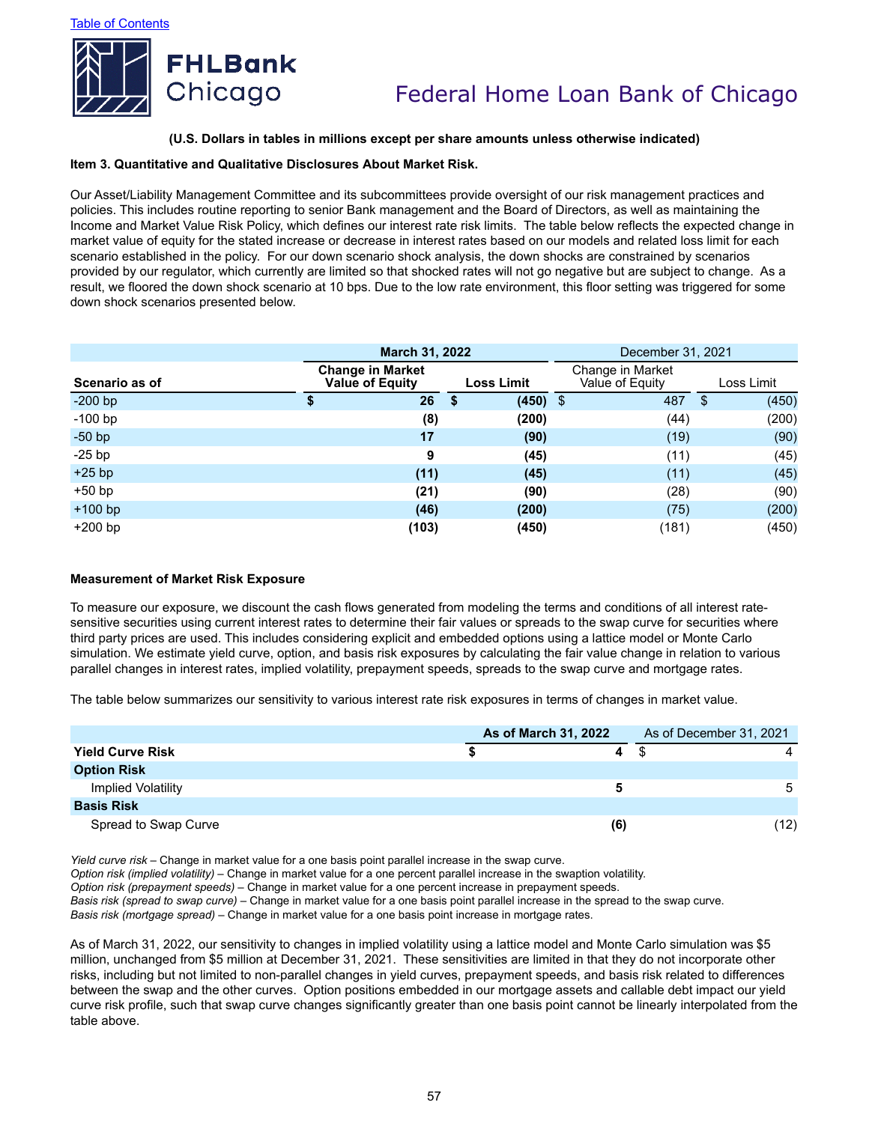

#### **(U.S. Dollars in tables in millions except per share amounts unless otherwise indicated)**

#### **Item 3. Quantitative and Qualitative Disclosures About Market Risk.**

Our Asset/Liability Management Committee and its subcommittees provide oversight of our risk management practices and policies. This includes routine reporting to senior Bank management and the Board of Directors, as well as maintaining the Income and Market Value Risk Policy, which defines our interest rate risk limits. The table below reflects the expected change in market value of equity for the stated increase or decrease in interest rates based on our models and related loss limit for each scenario established in the policy. For our down scenario shock analysis, the down shocks are constrained by scenarios provided by our regulator, which currently are limited so that shocked rates will not go negative but are subject to change. As a result, we floored the down shock scenario at 10 bps. Due to the low rate environment, this floor setting was triggered for some down shock scenarios presented below.

|                | March 31, 2022                                    |                   | December 31, 2021                   |             |  |
|----------------|---------------------------------------------------|-------------------|-------------------------------------|-------------|--|
| Scenario as of | <b>Change in Market</b><br><b>Value of Equity</b> | <b>Loss Limit</b> | Change in Market<br>Value of Equity | Loss Limit  |  |
| $-200$ bp      | 26<br>\$                                          | $(450)$ \$<br>\$  | 487                                 | (450)<br>\$ |  |
| $-100$ bp      | (8)                                               | (200)             | (44)                                | (200)       |  |
| $-50$ bp       | 17                                                | (90)              | (19)                                | (90)        |  |
| $-25$ bp       | 9                                                 | (45)              | (11)                                | (45)        |  |
| $+25$ bp       | (11)                                              | (45)              | (11)                                | (45)        |  |
| $+50$ bp       | (21)                                              | (90)              | (28)                                | (90)        |  |
| $+100$ bp      | (46)                                              | (200)             | (75)                                | (200)       |  |
| $+200$ bp      | (103)                                             | (450)             | (181)                               | (450)       |  |

#### **Measurement of Market Risk Exposure**

To measure our exposure, we discount the cash flows generated from modeling the terms and conditions of all interest ratesensitive securities using current interest rates to determine their fair values or spreads to the swap curve for securities where third party prices are used. This includes considering explicit and embedded options using a lattice model or Monte Carlo simulation. We estimate yield curve, option, and basis risk exposures by calculating the fair value change in relation to various parallel changes in interest rates, implied volatility, prepayment speeds, spreads to the swap curve and mortgage rates.

The table below summarizes our sensitivity to various interest rate risk exposures in terms of changes in market value.

|                           | As of March 31, 2022 |     | As of December 31, 2021 |
|---------------------------|----------------------|-----|-------------------------|
| <b>Yield Curve Risk</b>   |                      | 4   |                         |
| <b>Option Risk</b>        |                      |     |                         |
| <b>Implied Volatility</b> |                      |     | 5                       |
| <b>Basis Risk</b>         |                      |     |                         |
| Spread to Swap Curve      |                      | (6) | (12)                    |

*Yield curve risk* – Change in market value for a one basis point parallel increase in the swap curve.

*Option risk (implied volatility)* – Change in market value for a one percent parallel increase in the swaption volatility.

*Option risk (prepayment speeds)* – Change in market value for a one percent increase in prepayment speeds.

*Basis risk (spread to swap curve)* – Change in market value for a one basis point parallel increase in the spread to the swap curve.

*Basis risk (mortgage spread)* – Change in market value for a one basis point increase in mortgage rates.

As of March 31, 2022, our sensitivity to changes in implied volatility using a lattice model and Monte Carlo simulation was \$5 million, unchanged from \$5 million at December 31, 2021. These sensitivities are limited in that they do not incorporate other risks, including but not limited to non-parallel changes in yield curves, prepayment speeds, and basis risk related to differences between the swap and the other curves. Option positions embedded in our mortgage assets and callable debt impact our yield curve risk profile, such that swap curve changes significantly greater than one basis point cannot be linearly interpolated from the table above.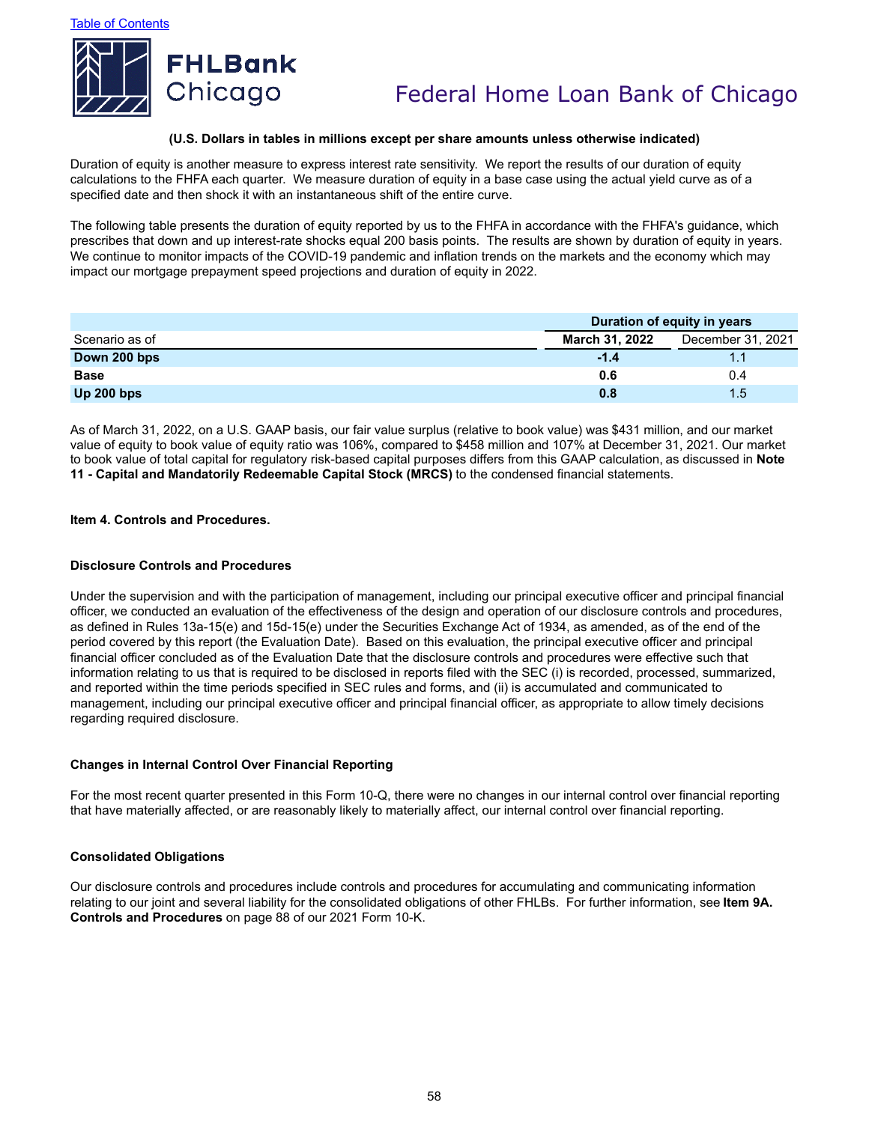

#### **(U.S. Dollars in tables in millions except per share amounts unless otherwise indicated)**

Duration of equity is another measure to express interest rate sensitivity. We report the results of our duration of equity calculations to the FHFA each quarter. We measure duration of equity in a base case using the actual yield curve as of a specified date and then shock it with an instantaneous shift of the entire curve.

The following table presents the duration of equity reported by us to the FHFA in accordance with the FHFA's guidance, which prescribes that down and up interest-rate shocks equal 200 basis points. The results are shown by duration of equity in years. We continue to monitor impacts of the COVID-19 pandemic and inflation trends on the markets and the economy which may impact our mortgage prepayment speed projections and duration of equity in 2022.

|                |                       | Duration of equity in years |  |  |
|----------------|-----------------------|-----------------------------|--|--|
| Scenario as of | <b>March 31, 2022</b> | December 31, 2021           |  |  |
| Down 200 bps   | $-1.4$                |                             |  |  |
| <b>Base</b>    | 0.6                   | 0.4                         |  |  |
| Up $200$ bps   | 0.8                   | 1.5                         |  |  |

As of March 31, 2022, on a U.S. GAAP basis, our fair value surplus (relative to book value) was \$431 million, and our market value of equity to book value of equity ratio was 106%, compared to \$458 million and 107% at December 31, 2021. Our market to book value of total capital for regulatory risk-based capital purposes differs from this GAAP calculation, as discussed in **Note 11 - Capital and Mandatorily Redeemable Capital Stock (MRCS)** to the condensed financial statements.

#### **Item 4. Controls and Procedures.**

#### **Disclosure Controls and Procedures**

Under the supervision and with the participation of management, including our principal executive officer and principal financial officer, we conducted an evaluation of the effectiveness of the design and operation of our disclosure controls and procedures, as defined in Rules 13a-15(e) and 15d-15(e) under the Securities Exchange Act of 1934, as amended, as of the end of the period covered by this report (the Evaluation Date). Based on this evaluation, the principal executive officer and principal financial officer concluded as of the Evaluation Date that the disclosure controls and procedures were effective such that information relating to us that is required to be disclosed in reports filed with the SEC (i) is recorded, processed, summarized, and reported within the time periods specified in SEC rules and forms, and (ii) is accumulated and communicated to management, including our principal executive officer and principal financial officer, as appropriate to allow timely decisions regarding required disclosure.

#### **Changes in Internal Control Over Financial Reporting**

For the most recent quarter presented in this Form 10-Q, there were no changes in our internal control over financial reporting that have materially affected, or are reasonably likely to materially affect, our internal control over financial reporting.

#### **Consolidated Obligations**

Our disclosure controls and procedures include controls and procedures for accumulating and communicating information relating to our joint and several liability for the consolidated obligations of other FHLBs. For further information, see **Item 9A. Controls and Procedures** on page 88 of our 2021 Form 10-K.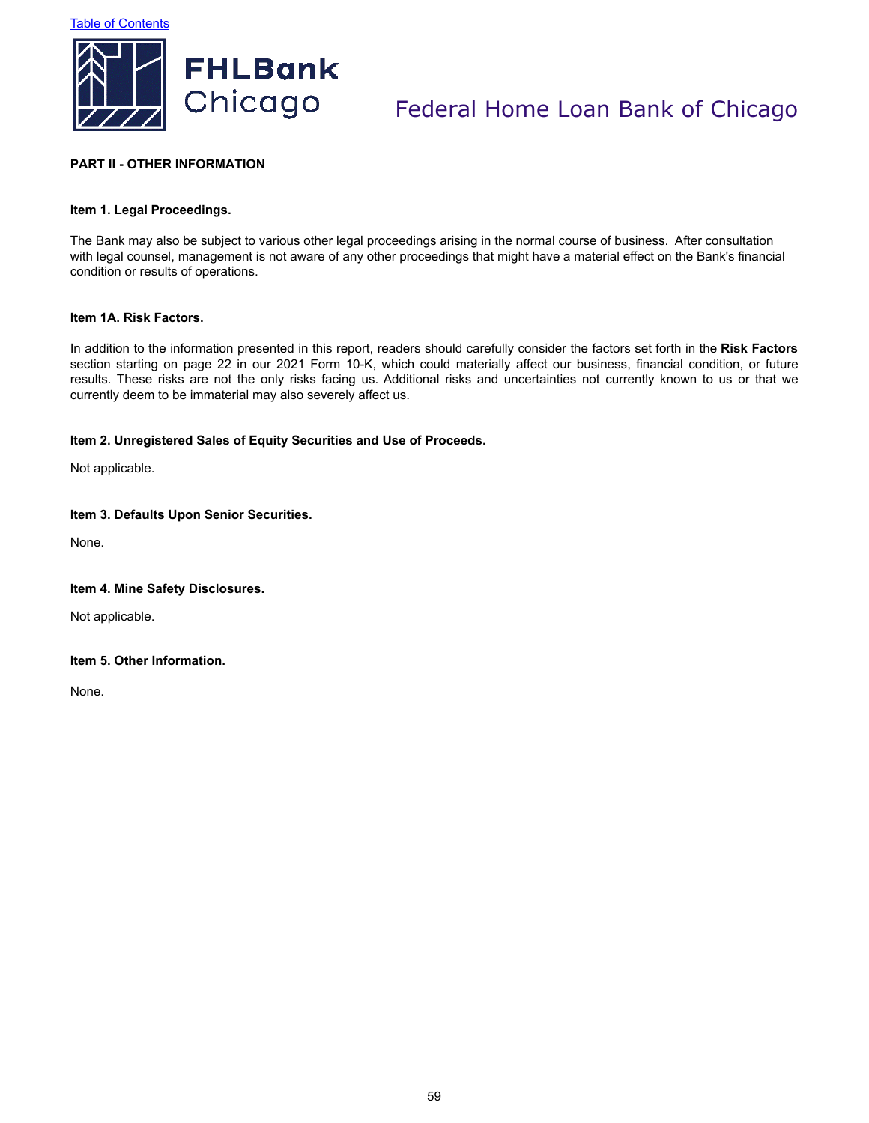

## **PART II - OTHER INFORMATION**

### **Item 1. Legal Proceedings.**

The Bank may also be subject to various other legal proceedings arising in the normal course of business. After consultation with legal counsel, management is not aware of any other proceedings that might have a material effect on the Bank's financial condition or results of operations.

#### **Item 1A. Risk Factors.**

In addition to the information presented in this report, readers should carefully consider the factors set forth in the **Risk Factors** section starting on page 22 in our 2021 Form 10-K, which could materially affect our business, financial condition, or future results. These risks are not the only risks facing us. Additional risks and uncertainties not currently known to us or that we currently deem to be immaterial may also severely affect us.

#### **Item 2. Unregistered Sales of Equity Securities and Use of Proceeds.**

Not applicable.

### **Item 3. Defaults Upon Senior Securities.**

None.

#### **Item 4. Mine Safety Disclosures.**

Not applicable.

### **Item 5. Other Information.**

None.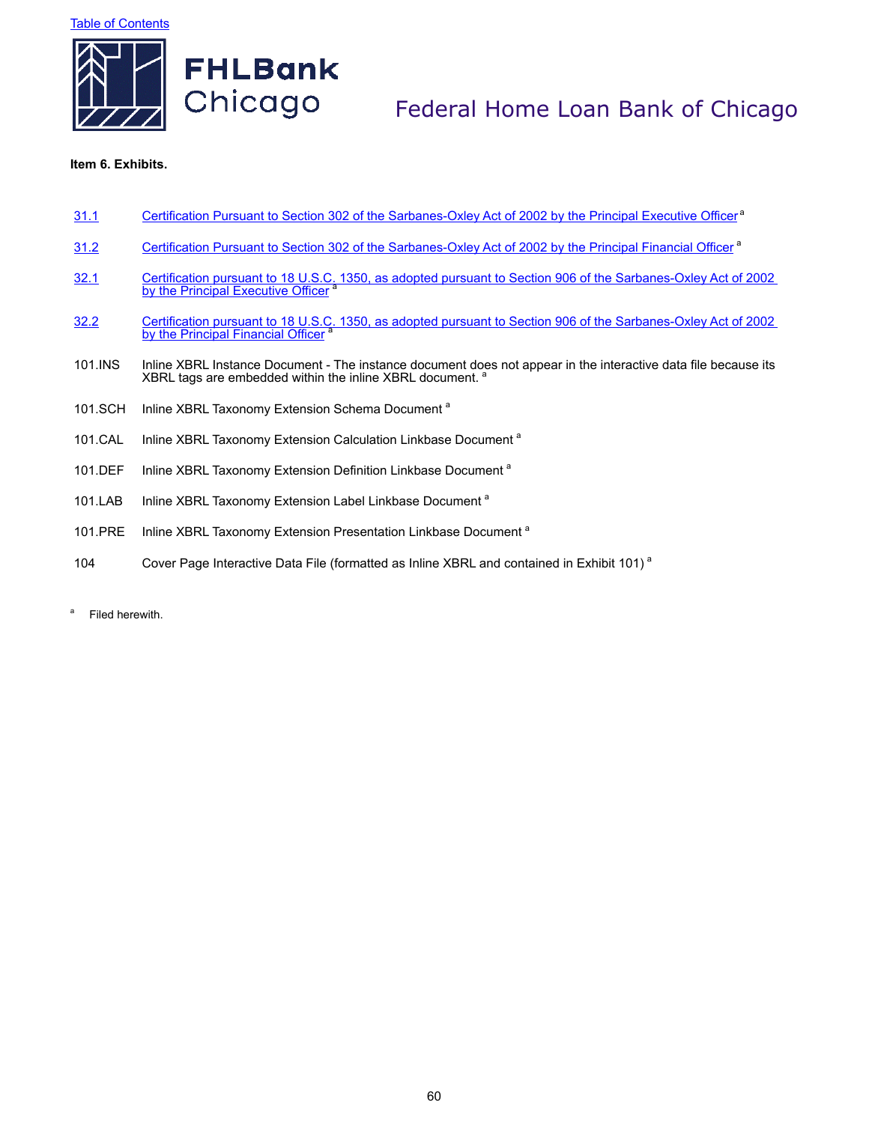**Table of Contents** 



# Federal Home Loan Bank of Chicago

### **Item 6. Exhibits.**

|  | 31.1 | Certification Pursuant to Section 302 of the Sarbanes-Oxley Act of 2002 by the Principal Executive Officer <sup>a</sup> |  |  |
|--|------|-------------------------------------------------------------------------------------------------------------------------|--|--|
|--|------|-------------------------------------------------------------------------------------------------------------------------|--|--|

- 31.2 Certification Pursuant to Section 302 of the Sarbanes-Oxley Act of 2002 by the Principal Financial Officer<sup>a</sup>
- Solutive Certification pursuant to 18 U.S.C. 1350, as adopted pursuant to Section 906 of the Sarbanes-Oxley Act of 2002<br>by the Principal Executive Officer<sup>a</sup>
- Solutive Certification pursuant to 18 U.S.C. 1350, as adopted pursuant to Section 906 of the Sarbanes-Oxley Act of 2002<br>by the Principal Financial Officer <sup>a</sup>
- 101.INS Inline XBRL Instance Document The instance document does not appear in the interactive data file because its XBRL tags are embedded within the inline XBRL document. <sup>8</sup>
- 101.SCH Inline XBRL Taxonomy Extension Schema Document<sup>a</sup>
- 101.CAL Inline XBRL Taxonomy Extension Calculation Linkbase Document<sup>a</sup>
- 101.DEF Inline XBRL Taxonomy Extension Definition Linkbase Document<sup>a</sup>
- 101.LAB Inline XBRL Taxonomy Extension Label Linkbase Document<sup>a</sup>
- 101.PRE Inline XBRL Taxonomy Extension Presentation Linkbase Document<sup>a</sup>
- 104 Cover Page Interactive Data File (formatted as Inline XBRL and contained in Exhibit 101)<sup>a</sup>
- <sup>a</sup> Filed herewith.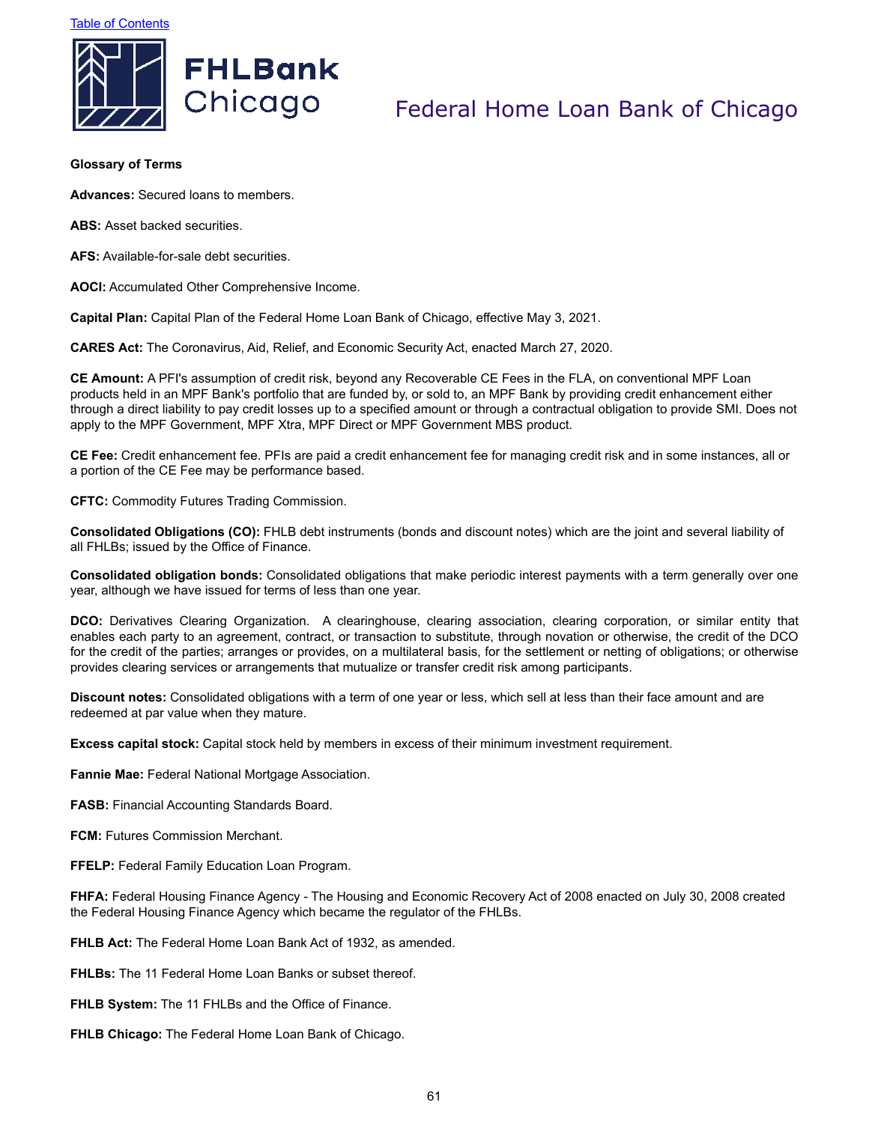



### **Glossary of Terms**

**Advances:** Secured loans to members.

**ABS:** Asset backed securities.

**AFS:** Available-for-sale debt securities.

**AOCI:** Accumulated Other Comprehensive Income.

**Capital Plan:** Capital Plan of the Federal Home Loan Bank of Chicago, effective May 3, 2021.

**CARES Act:** The Coronavirus, Aid, Relief, and Economic Security Act, enacted March 27, 2020.

**CE Amount:** A PFI's assumption of credit risk, beyond any Recoverable CE Fees in the FLA, on conventional MPF Loan products held in an MPF Bank's portfolio that are funded by, or sold to, an MPF Bank by providing credit enhancement either through a direct liability to pay credit losses up to a specified amount or through a contractual obligation to provide SMI. Does not apply to the MPF Government, MPF Xtra, MPF Direct or MPF Government MBS product.

**CE Fee:** Credit enhancement fee. PFIs are paid a credit enhancement fee for managing credit risk and in some instances, all or a portion of the CE Fee may be performance based.

**CFTC:** Commodity Futures Trading Commission.

**Consolidated Obligations (CO):** FHLB debt instruments (bonds and discount notes) which are the joint and several liability of all FHLBs; issued by the Office of Finance.

**Consolidated obligation bonds:** Consolidated obligations that make periodic interest payments with a term generally over one year, although we have issued for terms of less than one year.

**DCO:** Derivatives Clearing Organization. A clearinghouse, clearing association, clearing corporation, or similar entity that enables each party to an agreement, contract, or transaction to substitute, through novation or otherwise, the credit of the DCO for the credit of the parties; arranges or provides, on a multilateral basis, for the settlement or netting of obligations; or otherwise provides clearing services or arrangements that mutualize or transfer credit risk among participants.

**Discount notes:** Consolidated obligations with a term of one year or less, which sell at less than their face amount and are redeemed at par value when they mature.

**Excess capital stock:** Capital stock held by members in excess of their minimum investment requirement.

**Fannie Mae:** Federal National Mortgage Association.

**FASB:** Financial Accounting Standards Board.

**FCM:** Futures Commission Merchant.

**FFELP:** Federal Family Education Loan Program.

**FHFA:** Federal Housing Finance Agency - The Housing and Economic Recovery Act of 2008 enacted on July 30, 2008 created the Federal Housing Finance Agency which became the regulator of the FHLBs.

**FHLB Act:** The Federal Home Loan Bank Act of 1932, as amended.

**FHLBs:** The 11 Federal Home Loan Banks or subset thereof.

**FHLB System:** The 11 FHLBs and the Office of Finance.

**FHLB Chicago:** The Federal Home Loan Bank of Chicago.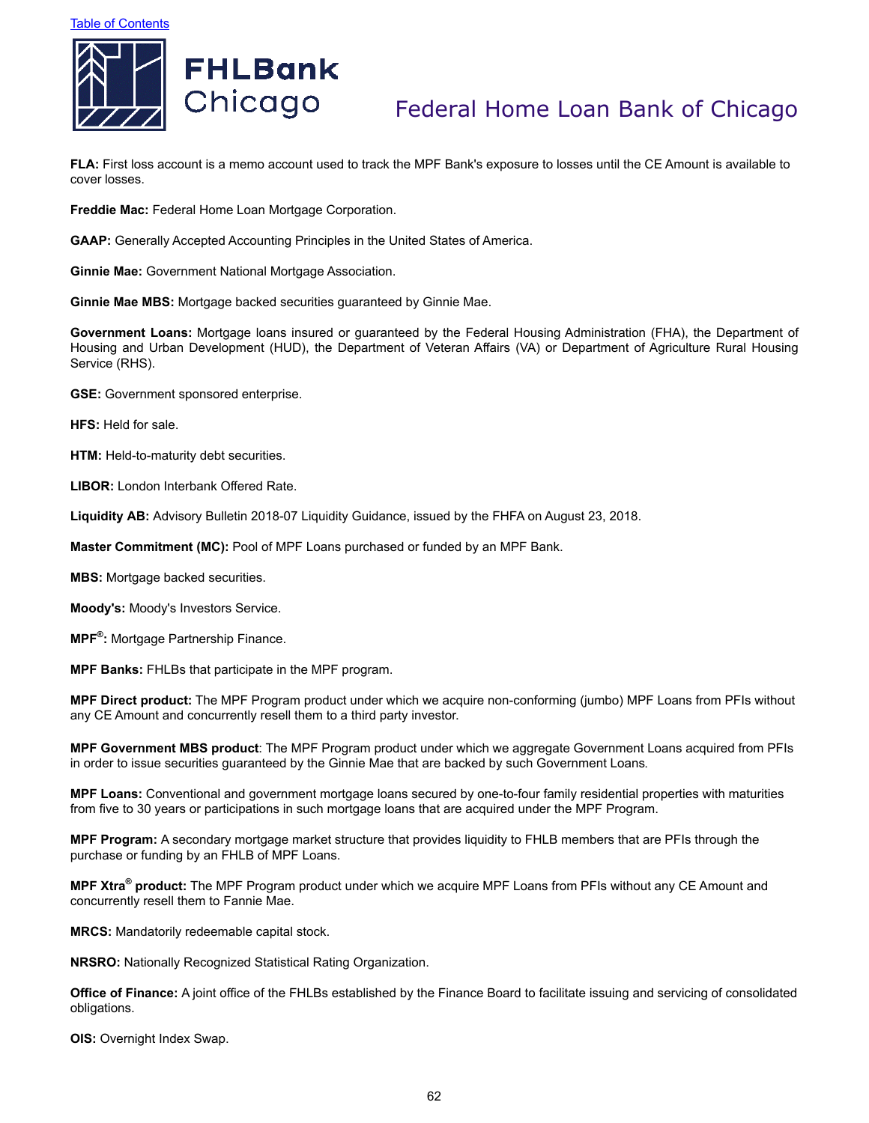

**FLA:** First loss account is a memo account used to track the MPF Bank's exposure to losses until the CE Amount is available to cover losses.

**Freddie Mac:** Federal Home Loan Mortgage Corporation.

**GAAP:** Generally Accepted Accounting Principles in the United States of America.

**Ginnie Mae:** Government National Mortgage Association.

**Ginnie Mae MBS:** Mortgage backed securities guaranteed by Ginnie Mae.

**Government Loans:** Mortgage loans insured or guaranteed by the Federal Housing Administration (FHA), the Department of Housing and Urban Development (HUD), the Department of Veteran Affairs (VA) or Department of Agriculture Rural Housing Service (RHS).

**GSE:** Government sponsored enterprise.

**HFS:** Held for sale.

**HTM:** Held-to-maturity debt securities.

**LIBOR:** London Interbank Offered Rate.

**Liquidity AB:** Advisory Bulletin 2018-07 Liquidity Guidance, issued by the FHFA on August 23, 2018.

**Master Commitment (MC):** Pool of MPF Loans purchased or funded by an MPF Bank.

**MBS:** Mortgage backed securities.

**Moody's:** Moody's Investors Service.

**MPF® :** Mortgage Partnership Finance.

**MPF Banks:** FHLBs that participate in the MPF program.

**MPF Direct product:** The MPF Program product under which we acquire non-conforming (jumbo) MPF Loans from PFIs without any CE Amount and concurrently resell them to a third party investor.

**MPF Government MBS product**: The MPF Program product under which we aggregate Government Loans acquired from PFIs in order to issue securities guaranteed by the Ginnie Mae that are backed by such Government Loans.

**MPF Loans:** Conventional and government mortgage loans secured by one-to-four family residential properties with maturities from five to 30 years or participations in such mortgage loans that are acquired under the MPF Program.

**MPF Program:** A secondary mortgage market structure that provides liquidity to FHLB members that are PFIs through the purchase or funding by an FHLB of MPF Loans.

**MPF Xtra® product:** The MPF Program product under which we acquire MPF Loans from PFIs without any CE Amount and concurrently resell them to Fannie Mae.

**MRCS:** Mandatorily redeemable capital stock.

**NRSRO:** Nationally Recognized Statistical Rating Organization.

**Office of Finance:** A joint office of the FHLBs established by the Finance Board to facilitate issuing and servicing of consolidated obligations.

**OIS: Overnight Index Swap.**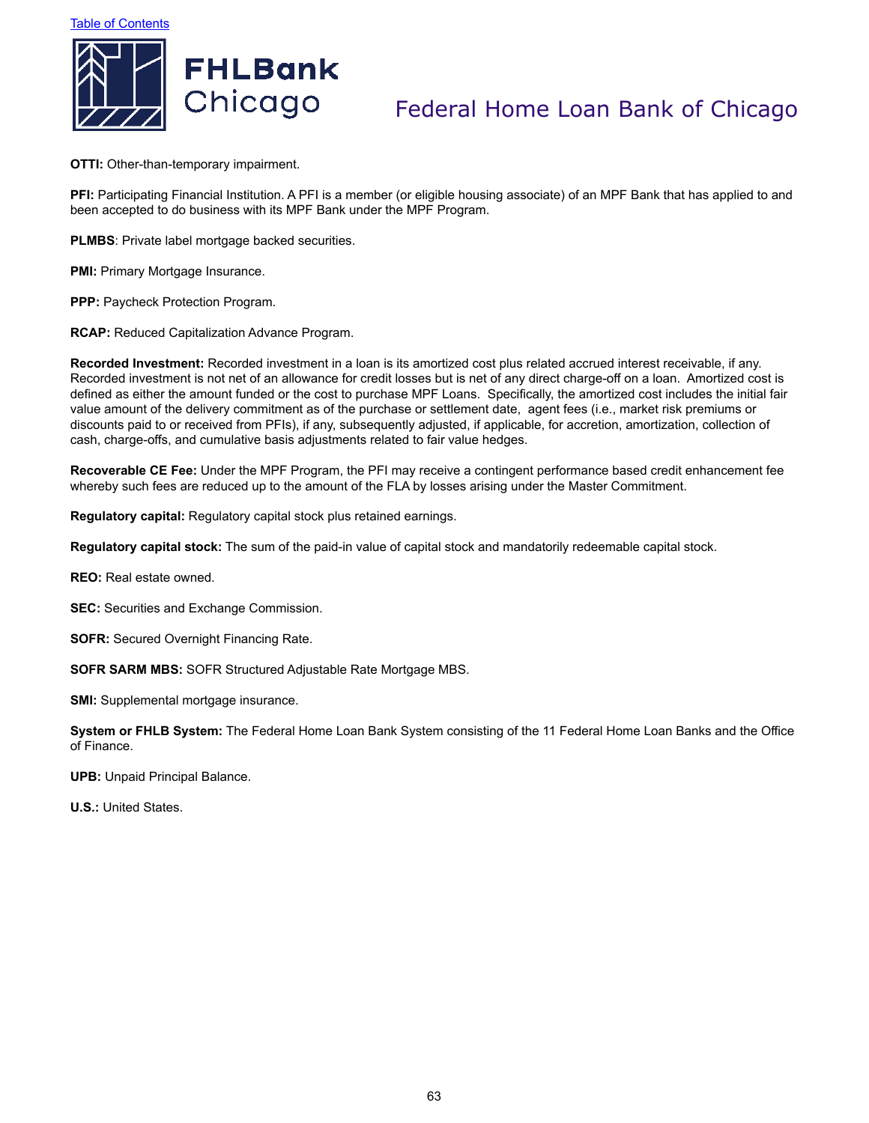



**OTTI:** Other-than-temporary impairment.

**PFI:** Participating Financial Institution. A PFI is a member (or eligible housing associate) of an MPF Bank that has applied to and been accepted to do business with its MPF Bank under the MPF Program.

**PLMBS**: Private label mortgage backed securities.

**PMI:** Primary Mortgage Insurance.

**PPP:** Paycheck Protection Program.

**RCAP:** Reduced Capitalization Advance Program.

**Recorded Investment:** Recorded investment in a loan is its amortized cost plus related accrued interest receivable, if any. Recorded investment is not net of an allowance for credit losses but is net of any direct charge-off on a loan. Amortized cost is defined as either the amount funded or the cost to purchase MPF Loans. Specifically, the amortized cost includes the initial fair value amount of the delivery commitment as of the purchase or settlement date, agent fees (i.e., market risk premiums or discounts paid to or received from PFIs), if any, subsequently adjusted, if applicable, for accretion, amortization, collection of cash, charge-offs, and cumulative basis adjustments related to fair value hedges.

**Recoverable CE Fee:** Under the MPF Program, the PFI may receive a contingent performance based credit enhancement fee whereby such fees are reduced up to the amount of the FLA by losses arising under the Master Commitment.

**Regulatory capital:** Regulatory capital stock plus retained earnings.

**Regulatory capital stock:** The sum of the paid-in value of capital stock and mandatorily redeemable capital stock.

**REO:** Real estate owned.

**SEC:** Securities and Exchange Commission.

**SOFR:** Secured Overnight Financing Rate.

**SOFR SARM MBS:** SOFR Structured Adjustable Rate Mortgage MBS.

**SMI:** Supplemental mortgage insurance.

**System or FHLB System:** The Federal Home Loan Bank System consisting of the 11 Federal Home Loan Banks and the Office of Finance.

**UPB:** Unpaid Principal Balance.

**U.S.:** United States.